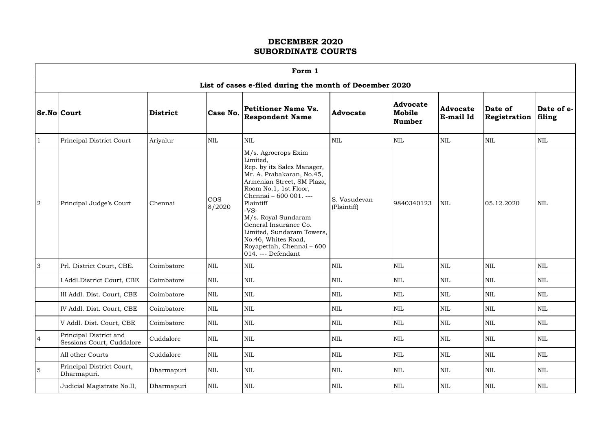|                | Form 1                                              |                 |                      |                                                                                                                                                                                                                                                                                                                                                           |                             |                                            |                              |                         |                      |  |  |  |  |
|----------------|-----------------------------------------------------|-----------------|----------------------|-----------------------------------------------------------------------------------------------------------------------------------------------------------------------------------------------------------------------------------------------------------------------------------------------------------------------------------------------------------|-----------------------------|--------------------------------------------|------------------------------|-------------------------|----------------------|--|--|--|--|
|                |                                                     |                 |                      | List of cases e-filed during the month of December 2020                                                                                                                                                                                                                                                                                                   |                             |                                            |                              |                         |                      |  |  |  |  |
|                | <b>Sr.No Court</b>                                  | <b>District</b> | Case No.             | <b>Petitioner Name Vs.</b><br><b>Respondent Name</b>                                                                                                                                                                                                                                                                                                      | Advocate                    | <b>Advocate</b><br>Mobile<br><b>Number</b> | <b>Advocate</b><br>E-mail Id | Date of<br>Registration | Date of e-<br>filing |  |  |  |  |
|                | Principal District Court                            | Ariyalur        | $\mbox{NIL}$         | <b>NIL</b>                                                                                                                                                                                                                                                                                                                                                | <b>NIL</b>                  | <b>NIL</b>                                 | <b>NIL</b>                   | <b>NIL</b>              | $\mbox{NIL}$         |  |  |  |  |
| $\sqrt{2}$     | Principal Judge's Court                             | Chennai         | <b>COS</b><br>8/2020 | M/s. Agrocrops Exim<br>Limited,<br>Rep. by its Sales Manager,<br>Mr. A. Prabakaran, No.45,<br>Armenian Street, SM Plaza,<br>Room No.1, 1st Floor,<br>Chennai - 600 001. ---<br>Plaintiff<br>$-VS-$<br>M/s. Royal Sundaram<br>General Insurance Co.<br>Limited, Sundaram Towers,<br>No.46, Whites Road,<br>Royapettah, Chennai - 600<br>014. --- Defendant | S. Vasudevan<br>(Plaintiff) | 9840340123                                 | <b>NIL</b>                   | 05.12.2020              | <b>NIL</b>           |  |  |  |  |
| 3              | Prl. District Court, CBE.                           | Coimbatore      | <b>NIL</b>           | <b>NIL</b>                                                                                                                                                                                                                                                                                                                                                | <b>NIL</b>                  | <b>NIL</b>                                 | <b>NIL</b>                   | <b>NIL</b>              | <b>NIL</b>           |  |  |  |  |
|                | I Addl.District Court, CBE                          | Coimbatore      | <b>NIL</b>           | <b>NIL</b>                                                                                                                                                                                                                                                                                                                                                | <b>NIL</b>                  | <b>NIL</b>                                 | <b>NIL</b>                   | <b>NIL</b>              | <b>NIL</b>           |  |  |  |  |
|                | III Addl. Dist. Court, CBE                          | Coimbatore      | $\mbox{NIL}$         | <b>NIL</b>                                                                                                                                                                                                                                                                                                                                                | <b>NIL</b>                  | NIL                                        | NIL                          | NIL                     | NIL                  |  |  |  |  |
|                | IV Addl. Dist. Court, CBE                           | Coimbatore      | NIL                  | NIL                                                                                                                                                                                                                                                                                                                                                       | <b>NIL</b>                  | $\mbox{NIL}$                               | $\mbox{NIL}$                 | <b>NIL</b>              | $\mbox{NIL}$         |  |  |  |  |
|                | V Addl. Dist. Court, CBE                            | Coimbatore      | <b>NIL</b>           | <b>NIL</b>                                                                                                                                                                                                                                                                                                                                                | NIL                         | <b>NIL</b>                                 | <b>NIL</b>                   | <b>NIL</b>              | <b>NIL</b>           |  |  |  |  |
| $\overline{4}$ | Principal District and<br>Sessions Court, Cuddalore | Cuddalore       | NIL                  | NIL                                                                                                                                                                                                                                                                                                                                                       | <b>NIL</b>                  | $\mbox{NIL}$                               | $\mbox{NIL}$                 | <b>NIL</b>              | $\mbox{NIL}$         |  |  |  |  |
|                | All other Courts                                    | Cuddalore       | NIL                  | NIL                                                                                                                                                                                                                                                                                                                                                       | <b>NIL</b>                  | <b>NIL</b>                                 | <b>NIL</b>                   | <b>NIL</b>              | <b>NIL</b>           |  |  |  |  |
| $\overline{5}$ | Principal District Court,<br>Dharmapuri.            | Dharmapuri      | <b>NIL</b>           | NIL                                                                                                                                                                                                                                                                                                                                                       | <b>NIL</b>                  | <b>NIL</b>                                 | <b>NIL</b>                   | <b>NIL</b>              | <b>NIL</b>           |  |  |  |  |
|                | Judicial Magistrate No.II,                          | Dharmapuri      | <b>NIL</b>           | NIL                                                                                                                                                                                                                                                                                                                                                       | <b>NIL</b>                  | $\mbox{NIL}$                               | <b>NIL</b>                   | <b>NIL</b>              | $\mbox{NIL}$         |  |  |  |  |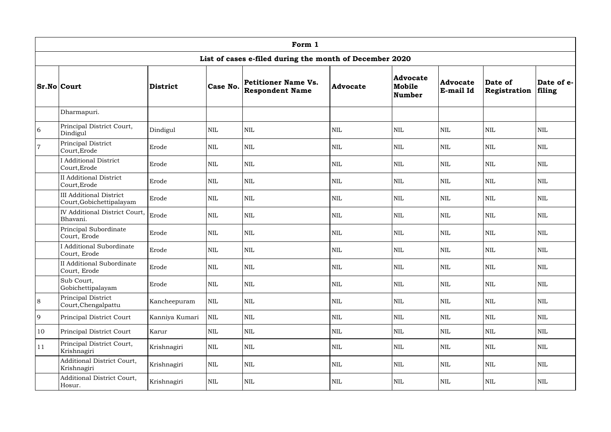|                | Form 1                                                     |                 |              |                                                         |                 |                                     |                              |                         |                      |  |  |  |
|----------------|------------------------------------------------------------|-----------------|--------------|---------------------------------------------------------|-----------------|-------------------------------------|------------------------------|-------------------------|----------------------|--|--|--|
|                |                                                            |                 |              | List of cases e-filed during the month of December 2020 |                 |                                     |                              |                         |                      |  |  |  |
|                | <b>Sr.No Court</b>                                         | <b>District</b> | Case No.     | <b>Petitioner Name Vs.</b><br><b>Respondent Name</b>    | <b>Advocate</b> | <b>Advocate</b><br>Mobile<br>Number | <b>Advocate</b><br>E-mail Id | Date of<br>Registration | Date of e-<br>filing |  |  |  |
|                | Dharmapuri.                                                |                 |              |                                                         |                 |                                     |                              |                         |                      |  |  |  |
| 6              | Principal District Court,<br>Dindigul                      | Dindigul        | <b>NIL</b>   | <b>NIL</b>                                              | $\text{NIL}$    | NIL                                 | <b>NIL</b>                   | $\mbox{NIL}$            | $\mbox{NIL}$         |  |  |  |
| $\overline{7}$ | Principal District<br>Court, Erode                         | Erode           | <b>NIL</b>   | <b>NIL</b>                                              | <b>NIL</b>      | <b>NIL</b>                          | <b>NIL</b>                   | <b>NIL</b>              | <b>NIL</b>           |  |  |  |
|                | <b>I Additional District</b><br>Court, Erode               | Erode           | <b>NIL</b>   | NIL                                                     | NIL             | $\mbox{NIL}$                        | <b>NIL</b>                   | $\mbox{NIL}$            | <b>NIL</b>           |  |  |  |
|                | <b>II</b> Additional District<br>Court, Erode              | Erode           | <b>NIL</b>   | $\mbox{NIL}$                                            | <b>NIL</b>      | <b>NIL</b>                          | <b>NIL</b>                   | <b>NIL</b>              | <b>NIL</b>           |  |  |  |
|                | <b>III Additional District</b><br>Court, Gobichettipalayam | Erode           | <b>NIL</b>   | <b>NIL</b>                                              | NIL             | $\mbox{NIL}$                        | <b>NIL</b>                   | <b>NIL</b>              | <b>NIL</b>           |  |  |  |
|                | IV Additional District Court,<br>Bhavani.                  | Erode           | <b>NIL</b>   | <b>NIL</b>                                              | $\text{NIL}$    | $\mbox{NIL}$                        | $\mbox{NIL}$                 | <b>NIL</b>              | $\mbox{NIL}$         |  |  |  |
|                | Principal Subordinate<br>Court, Erode                      | Erode           | <b>NIL</b>   | <b>NIL</b>                                              | $\text{NIL}$    | $\mbox{NIL}$                        | <b>NIL</b>                   | <b>NIL</b>              | <b>NIL</b>           |  |  |  |
|                | <b>I</b> Additional Subordinate<br>Court, Erode            | Erode           | <b>NIL</b>   | <b>NIL</b>                                              | $\text{NIL}$    | $\mbox{NIL}$                        | <b>NIL</b>                   | $\mbox{NIL}$            | <b>NIL</b>           |  |  |  |
|                | <b>II Additional Subordinate</b><br>Court, Erode           | Erode           | $\mbox{NIL}$ | $\mbox{NIL}$                                            | $\mbox{NIL}$    | $\mbox{NIL}$                        | $\mbox{NIL}$                 | $\mbox{NIL}$            | $\mbox{NIL}$         |  |  |  |
|                | Sub Court,<br>Gobichettipalayam                            | Erode           | $\mbox{NIL}$ | <b>NIL</b>                                              | <b>NIL</b>      | $\mbox{NIL}$                        | <b>NIL</b>                   | $\mbox{NIL}$            | <b>NIL</b>           |  |  |  |
| 8              | Principal District<br>Court, Chengalpattu                  | Kancheepuram    | $\mbox{NIL}$ | NIL                                                     | $\mbox{NIL}$    | $\mbox{NIL}$                        | <b>NIL</b>                   | <b>NIL</b>              | <b>NIL</b>           |  |  |  |
| 9              | Principal District Court                                   | Kanniya Kumari  | $\mbox{NIL}$ | <b>NIL</b>                                              | <b>NIL</b>      | $\mbox{NIL}$                        | <b>NIL</b>                   | <b>NIL</b>              | <b>NIL</b>           |  |  |  |
| 10             | Principal District Court                                   | Karur           | $\mbox{NIL}$ | NIL                                                     | $\mbox{NIL}$    | $\mbox{NIL}$                        | <b>NIL</b>                   | $\mbox{NIL}$            | <b>NIL</b>           |  |  |  |
| 11             | Principal District Court,<br>Krishnagiri                   | Krishnagiri     | $\mbox{NIL}$ | NIL                                                     | $\mbox{NIL}$    | $\mbox{NIL}$                        | <b>NIL</b>                   | <b>NIL</b>              | <b>NIL</b>           |  |  |  |
|                | Additional District Court,<br>Krishnagiri                  | Krishnagiri     | $\mbox{NIL}$ | <b>NIL</b>                                              | <b>NIL</b>      | <b>NIL</b>                          | <b>NIL</b>                   | <b>NIL</b>              | <b>NIL</b>           |  |  |  |
|                | Additional District Court,<br>Hosur.                       | Krishnagiri     | $\mbox{NIL}$ | <b>NIL</b>                                              | <b>NIL</b>      | $\mbox{NIL}$                        | <b>NIL</b>                   | <b>NIL</b>              | <b>NIL</b>           |  |  |  |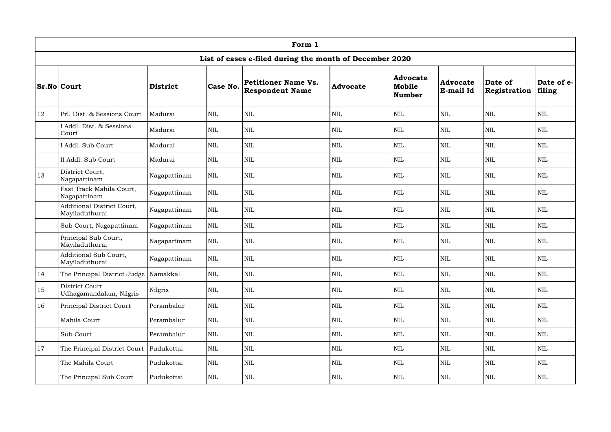|    | Form 1                                       |                 |              |                                                         |            |                                            |                              |                         |                      |  |  |  |
|----|----------------------------------------------|-----------------|--------------|---------------------------------------------------------|------------|--------------------------------------------|------------------------------|-------------------------|----------------------|--|--|--|
|    |                                              |                 |              | List of cases e-filed during the month of December 2020 |            |                                            |                              |                         |                      |  |  |  |
|    | <b>Sr.No Court</b>                           | <b>District</b> | Case No.     | Petitioner Name Vs.<br><b>Respondent Name</b>           | Advocate   | <b>Advocate</b><br>Mobile<br><b>Number</b> | <b>Advocate</b><br>E-mail Id | Date of<br>Registration | Date of e-<br>filing |  |  |  |
| 12 | Prl. Dist. & Sessions Court                  | Madurai         | <b>NIL</b>   | <b>NIL</b>                                              | <b>NIL</b> | <b>NIL</b>                                 | $\mbox{NIL}$                 | $\mbox{NIL}$            | <b>NIL</b>           |  |  |  |
|    | I Addl. Dist. & Sessions<br>Court            | Madurai         | <b>NIL</b>   | <b>NIL</b>                                              | <b>NIL</b> | <b>NIL</b>                                 | <b>NIL</b>                   | <b>NIL</b>              | <b>NIL</b>           |  |  |  |
|    | I Addl. Sub Court                            | Madurai         | $\mbox{NIL}$ | <b>NIL</b>                                              | <b>NIL</b> | <b>NIL</b>                                 | $\mbox{NIL}$                 | <b>NIL</b>              | <b>NIL</b>           |  |  |  |
|    | II Addl. Sub Court                           | Madurai         | <b>NIL</b>   | <b>NIL</b>                                              | <b>NIL</b> | <b>NIL</b>                                 | $\mbox{NIL}$                 | <b>NIL</b>              | <b>NIL</b>           |  |  |  |
| 13 | District Court,<br>Nagapattinam              | Nagapattinam    | $\mbox{NIL}$ | <b>NIL</b>                                              | <b>NIL</b> | <b>NIL</b>                                 | $\mbox{NIL}$                 | <b>NIL</b>              | <b>NIL</b>           |  |  |  |
|    | Fast Track Mahila Court,<br>Nagapattinam     | Nagapattinam    | $\mbox{NIL}$ | <b>NIL</b>                                              | <b>NIL</b> | <b>NIL</b>                                 | $\mbox{NIL}$                 | <b>NIL</b>              | <b>NIL</b>           |  |  |  |
|    | Additional District Court,<br>Mayiladuthurai | Nagapattinam    | <b>NIL</b>   | <b>NIL</b>                                              | <b>NIL</b> | <b>NIL</b>                                 | <b>NIL</b>                   | <b>NIL</b>              | <b>NIL</b>           |  |  |  |
|    | Sub Court, Nagapattinam                      | Nagapattinam    | <b>NIL</b>   | <b>NIL</b>                                              | <b>NIL</b> | <b>NIL</b>                                 | <b>NIL</b>                   | <b>NIL</b>              | <b>NIL</b>           |  |  |  |
|    | Principal Sub Court,<br>Mayiladuthurai       | Nagapattinam    | $\mbox{NIL}$ | <b>NIL</b>                                              | <b>NIL</b> | <b>NIL</b>                                 | $\mbox{NIL}$                 | <b>NIL</b>              | <b>NIL</b>           |  |  |  |
|    | Additional Sub Court,<br>Mayiladuthurai      | Nagapattinam    | <b>NIL</b>   | <b>NIL</b>                                              | <b>NIL</b> | <b>NIL</b>                                 | <b>NIL</b>                   | <b>NIL</b>              | <b>NIL</b>           |  |  |  |
| 14 | The Principal District Judge                 | Namakkal        | $\mbox{NIL}$ | $\mbox{NIL}$                                            | <b>NIL</b> | $\mbox{NIL}$                               | $\mbox{NIL}$                 | $\mbox{NIL}$            | $\mbox{NIL}$         |  |  |  |
| 15 | District Court<br>Udhagamandalam, Nilgris    | Nilgris         | $\mbox{NIL}$ | $\mbox{NIL}$                                            | <b>NIL</b> | <b>NIL</b>                                 | <b>NIL</b>                   | $\mbox{NIL}$            | <b>NIL</b>           |  |  |  |
| 16 | Principal District Court                     | Perambalur      | $\mbox{NIL}$ | $\mbox{NIL}$                                            | <b>NIL</b> | <b>NIL</b>                                 | $\mbox{NIL}$                 | $\mbox{NIL}$            | <b>NIL</b>           |  |  |  |
|    | Mahila Court                                 | Perambalur      | $\mbox{NIL}$ | $\mbox{NIL}$                                            | <b>NIL</b> | <b>NIL</b>                                 | $\mbox{NIL}$                 | $\mbox{NIL}$            | <b>NIL</b>           |  |  |  |
|    | Sub Court                                    | Perambalur      | $\mbox{NIL}$ | $\mbox{NIL}$                                            | <b>NIL</b> | $\mbox{NIL}$                               | <b>NIL</b>                   | $\mbox{NIL}$            | $\mbox{NIL}$         |  |  |  |
| 17 | The Principal District Court                 | Pudukottai      | $\mbox{NIL}$ | <b>NIL</b>                                              | <b>NIL</b> | <b>NIL</b>                                 | <b>NIL</b>                   | <b>NIL</b>              | <b>NIL</b>           |  |  |  |
|    | The Mahila Court                             | Pudukottai      | $\mbox{NIL}$ | $\mbox{NIL}$                                            | <b>NIL</b> | $\mbox{NIL}$                               | $\mbox{NIL}$                 | $\mbox{NIL}$            | $\mbox{NIL}$         |  |  |  |
|    | The Principal Sub Court                      | Pudukottai      | $\mbox{NIL}$ | NIL                                                     | NIL        | $\mbox{NIL}$                               | <b>NIL</b>                   | $\mbox{NIL}$            | $\mbox{NIL}$         |  |  |  |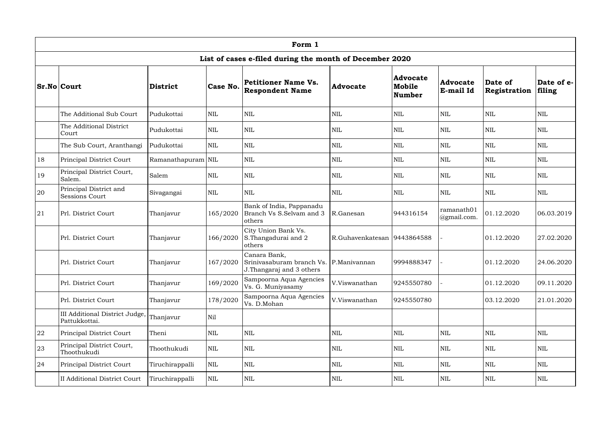|    | Form 1                                          |                    |              |                                                                                     |                               |                                            |                              |                         |                      |  |  |  |  |
|----|-------------------------------------------------|--------------------|--------------|-------------------------------------------------------------------------------------|-------------------------------|--------------------------------------------|------------------------------|-------------------------|----------------------|--|--|--|--|
|    |                                                 |                    |              | List of cases e-filed during the month of December 2020                             |                               |                                            |                              |                         |                      |  |  |  |  |
|    | <b>Sr.No Court</b>                              | <b>District</b>    | Case No.     | Petitioner Name Vs.<br><b>Respondent Name</b>                                       | Advocate                      | <b>Advocate</b><br>Mobile<br><b>Number</b> | <b>Advocate</b><br>E-mail Id | Date of<br>Registration | Date of e-<br>filing |  |  |  |  |
|    | The Additional Sub Court                        | Pudukottai         | <b>NIL</b>   | <b>NIL</b>                                                                          | <b>NIL</b>                    | <b>NIL</b>                                 | $\mbox{NIL}$                 | $\mbox{NIL}$            | <b>NIL</b>           |  |  |  |  |
|    | The Additional District<br>Court                | Pudukottai         | <b>NIL</b>   | <b>NIL</b>                                                                          | <b>NIL</b>                    | <b>NIL</b>                                 | <b>NIL</b>                   | <b>NIL</b>              | <b>NIL</b>           |  |  |  |  |
|    | The Sub Court, Aranthangi                       | Pudukottai         | <b>NIL</b>   | <b>NIL</b>                                                                          | <b>NIL</b>                    | <b>NIL</b>                                 | <b>NIL</b>                   | <b>NIL</b>              | <b>NIL</b>           |  |  |  |  |
| 18 | Principal District Court                        | Ramanathapuram NIL |              | <b>NIL</b>                                                                          | <b>NIL</b>                    | <b>NIL</b>                                 | <b>NIL</b>                   | <b>NIL</b>              | <b>NIL</b>           |  |  |  |  |
| 19 | Principal District Court,<br>Salem.             | Salem              | <b>NIL</b>   | <b>NIL</b>                                                                          | <b>NIL</b>                    | <b>NIL</b>                                 | <b>NIL</b>                   | <b>NIL</b>              | <b>NIL</b>           |  |  |  |  |
| 20 | Principal District and<br><b>Sessions Court</b> | Sivagangai         | <b>NIL</b>   | <b>NIL</b>                                                                          | <b>NIL</b>                    | <b>NIL</b>                                 | $\mbox{NIL}$                 | <b>NIL</b>              | <b>NIL</b>           |  |  |  |  |
| 21 | Prl. District Court                             | Thanjavur          | 165/2020     | Bank of India, Pappanadu<br>Branch Vs S.Selvam and 3<br>others                      | R.Ganesan                     | 944316154                                  | ramanath01<br>@gmail.com.    | 01.12.2020              | 06.03.2019           |  |  |  |  |
|    | Prl. District Court                             | Thanjavur          | 166/2020     | City Union Bank Vs.<br>S. Thangadurai and 2<br>others                               | R.Guhavenkatesan   9443864588 |                                            |                              | 01.12.2020              | 27.02.2020           |  |  |  |  |
|    | Prl. District Court                             | Thanjavur          | 167/2020     | Canara Bank,<br>Srinivasaburam branch Vs. P.Manivannan<br>J. Thangaraj and 3 others |                               | 9994888347                                 |                              | 01.12.2020              | 24.06.2020           |  |  |  |  |
|    | Prl. District Court                             | Thanjavur          | 169/2020     | Sampoorna Aqua Agencies<br>Vs. G. Muniyasamy                                        | V.Viswanathan                 | 9245550780                                 |                              | 01.12.2020              | 09.11.2020           |  |  |  |  |
|    | Prl. District Court                             | Thanjavur          | 178/2020     | Sampoorna Aqua Agencies<br>Vs. D.Mohan                                              | V.Viswanathan                 | 9245550780                                 |                              | 03.12.2020              | 21.01.2020           |  |  |  |  |
|    | III Additional District Judge,<br>Pattukkottai. | Thanjavur          | Nil          |                                                                                     |                               |                                            |                              |                         |                      |  |  |  |  |
| 22 | Principal District Court                        | Theni              | $\mbox{NIL}$ | $\mbox{NIL}$                                                                        | <b>NIL</b>                    | <b>NIL</b>                                 | $\mbox{NIL}$                 | $\mbox{NIL}$            | <b>NIL</b>           |  |  |  |  |
| 23 | Principal District Court,<br>Thoothukudi        | Thoothukudi        | NIL          | <b>NIL</b>                                                                          | <b>NIL</b>                    | <b>NIL</b>                                 | <b>NIL</b>                   | <b>NIL</b>              | <b>NIL</b>           |  |  |  |  |
| 24 | Principal District Court                        | Tiruchirappalli    | $\mbox{NIL}$ | <b>NIL</b>                                                                          | <b>NIL</b>                    | <b>NIL</b>                                 | $\mbox{NIL}$                 | $\mbox{NIL}$            | <b>NIL</b>           |  |  |  |  |
|    | II Additional District Court                    | Tiruchirappalli    | $\mbox{NIL}$ | $\mbox{NIL}$                                                                        | <b>NIL</b>                    | <b>NIL</b>                                 | <b>NIL</b>                   | $\mbox{NIL}$            | <b>NIL</b>           |  |  |  |  |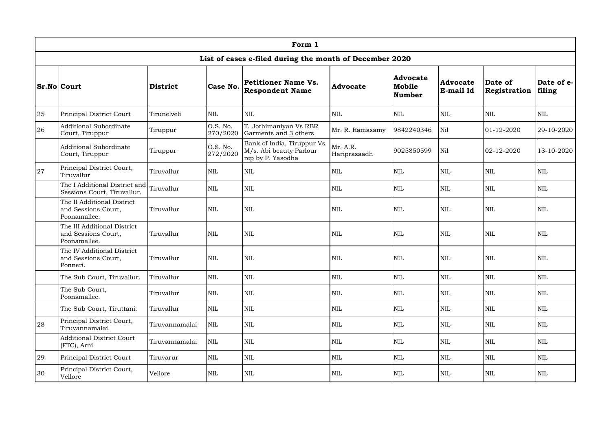|    | Form 1                                                             |                 |                      |                                                                            |                          |                                            |                              |                         |                      |  |  |  |
|----|--------------------------------------------------------------------|-----------------|----------------------|----------------------------------------------------------------------------|--------------------------|--------------------------------------------|------------------------------|-------------------------|----------------------|--|--|--|
|    |                                                                    |                 |                      | List of cases e-filed during the month of December 2020                    |                          |                                            |                              |                         |                      |  |  |  |
|    | <b>Sr.No Court</b>                                                 | <b>District</b> | Case No.             | <b>Petitioner Name Vs.</b><br><b>Respondent Name</b>                       | Advocate                 | <b>Advocate</b><br>Mobile<br><b>Number</b> | <b>Advocate</b><br>E-mail Id | Date of<br>Registration | Date of e-<br>filing |  |  |  |
| 25 | Principal District Court                                           | Tirunelveli     | $\mbox{NIL}$         | <b>NIL</b>                                                                 | <b>NIL</b>               | <b>NIL</b>                                 | $\mbox{NIL}$                 | <b>NIL</b>              | <b>NIL</b>           |  |  |  |
| 26 | <b>Additional Subordinate</b><br>Court, Tiruppur                   | Tiruppur        | O.S. No.<br>270/2020 | T. Jothimaniyan Vs RBR<br>Garments and 3 others                            | Mr. R. Ramasamy          | 9842240346                                 | Nil                          | 01-12-2020              | 29-10-2020           |  |  |  |
|    | Additional Subordinate<br>Court, Tiruppur                          | Tiruppur        | O.S. No.<br>272/2020 | Bank of India, Tiruppur Vs<br>M/s. Abi beauty Parlour<br>rep by P. Yasodha | Mr. A.R.<br>Hariprasaadh | 9025850599                                 | Nil                          | 02-12-2020              | 13-10-2020           |  |  |  |
| 27 | Principal District Court,<br>Tiruvallur                            | Tiruvallur      | <b>NIL</b>           | <b>NIL</b>                                                                 | <b>NIL</b>               | <b>NIL</b>                                 | <b>NIL</b>                   | <b>NIL</b>              | <b>NIL</b>           |  |  |  |
|    | The I Additional District and<br>Sessions Court, Tiruvallur.       | Tiruvallur      | $\mbox{NIL}$         | <b>NIL</b>                                                                 | <b>NIL</b>               | <b>NIL</b>                                 | $\mbox{NIL}$                 | <b>NIL</b>              | <b>NIL</b>           |  |  |  |
|    | The II Additional District<br>and Sessions Court,<br>Poonamallee.  | Tiruvallur      | <b>NIL</b>           | <b>NIL</b>                                                                 | <b>NIL</b>               | <b>NIL</b>                                 | <b>NIL</b>                   | <b>NIL</b>              | <b>NIL</b>           |  |  |  |
|    | The III Additional District<br>and Sessions Court,<br>Poonamallee. | Tiruvallur      | <b>NIL</b>           | <b>NIL</b>                                                                 | <b>NIL</b>               | <b>NIL</b>                                 | <b>NIL</b>                   | <b>NIL</b>              | <b>NIL</b>           |  |  |  |
|    | The IV Additional District<br>and Sessions Court,<br>Ponneri.      | Tiruvallur      | <b>NIL</b>           | <b>NIL</b>                                                                 | <b>NIL</b>               | <b>NIL</b>                                 | <b>NIL</b>                   | <b>NIL</b>              | <b>NIL</b>           |  |  |  |
|    | The Sub Court, Tiruvallur.                                         | Tiruvallur      | NIL                  | $\mbox{NIL}$                                                               | <b>NIL</b>               | $\mbox{NIL}$                               | $\mbox{NIL}$                 | $\mbox{NIL}$            | $\mbox{NIL}$         |  |  |  |
|    | The Sub Court,<br>Poonamallee.                                     | Tiruvallur      | $\mbox{NIL}$         | $\mbox{NIL}$                                                               | <b>NIL</b>               | <b>NIL</b>                                 | <b>NIL</b>                   | $\mbox{NIL}$            | <b>NIL</b>           |  |  |  |
|    | The Sub Court, Tiruttani.                                          | Tiruvallur      | $\mbox{NIL}$         | <b>NIL</b>                                                                 | <b>NIL</b>               | <b>NIL</b>                                 | <b>NIL</b>                   | $\mbox{NIL}$            | <b>NIL</b>           |  |  |  |
| 28 | Principal District Court,<br>Tiruvannamalai.                       | Tiruvannamalai  | $\mbox{NIL}$         | <b>NIL</b>                                                                 | <b>NIL</b>               | NIL                                        | <b>NIL</b>                   | <b>NIL</b>              | <b>NIL</b>           |  |  |  |
|    | <b>Additional District Court</b><br>(FTC), Arni                    | Tiruvannamalai  | $\mbox{NIL}$         | <b>NIL</b>                                                                 | <b>NIL</b>               | <b>NIL</b>                                 | <b>NIL</b>                   | $\mbox{NIL}$            | <b>NIL</b>           |  |  |  |
| 29 | Principal District Court                                           | Tiruvarur       | $\mbox{NIL}$         | $\mbox{NIL}$                                                               | <b>NIL</b>               | <b>NIL</b>                                 | <b>NIL</b>                   | $\mbox{NIL}$            | <b>NIL</b>           |  |  |  |
| 30 | Principal District Court,<br>Vellore                               | Vellore         | $\mbox{NIL}$         | $\mbox{NIL}$                                                               | <b>NIL</b>               | NIL                                        | <b>NIL</b>                   | $\mbox{NIL}$            | <b>NIL</b>           |  |  |  |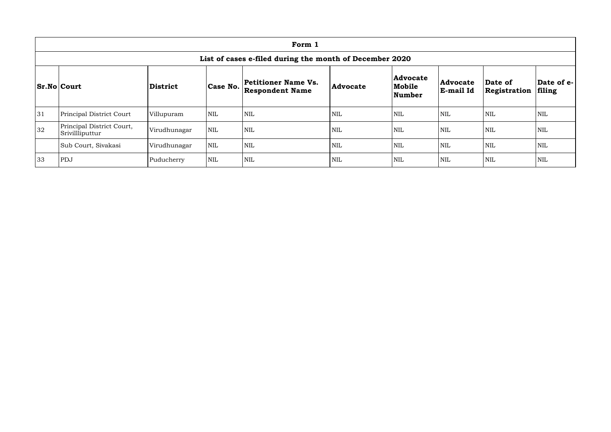|                                                                                                                       | Form 1                                       |              |            |            |     |                                     |                                     |                         |                      |  |  |  |
|-----------------------------------------------------------------------------------------------------------------------|----------------------------------------------|--------------|------------|------------|-----|-------------------------------------|-------------------------------------|-------------------------|----------------------|--|--|--|
| List of cases e-filed during the month of December 2020                                                               |                                              |              |            |            |     |                                     |                                     |                         |                      |  |  |  |
| <b>Petitioner Name Vs.</b><br>Case No.<br><b>Sr.No Court</b><br>District<br><b>Advocate</b><br><b>Respondent Name</b> |                                              |              |            |            |     | <b>Advocate</b><br>Mobile<br>Number | <b>Advocate</b><br><b>E-mail Id</b> | Date of<br>Registration | Date of e-<br>filing |  |  |  |
| 31                                                                                                                    | <b>Principal District Court</b>              | Villupuram   | <b>NIL</b> | <b>NIL</b> | NIL | <b>NIL</b>                          | <b>NIL</b>                          | <b>NIL</b>              | <b>NIL</b>           |  |  |  |
| 32                                                                                                                    | Principal District Court,<br>Srivillliputtur | Virudhunagar | <b>NIL</b> | <b>NIL</b> | NIL | <b>NIL</b>                          | <b>NIL</b>                          | NIL                     | NIL                  |  |  |  |
|                                                                                                                       | Sub Court, Sivakasi                          | Virudhunagar | <b>NIL</b> | <b>NIL</b> | NIL | <b>NIL</b>                          | <b>NIL</b>                          | NIL                     | NIL                  |  |  |  |
| 33                                                                                                                    | PDJ                                          | Puducherry   | <b>NIL</b> | <b>NIL</b> | NIL | <b>NIL</b>                          | <b>NIL</b>                          | <b>NIL</b>              | NIL                  |  |  |  |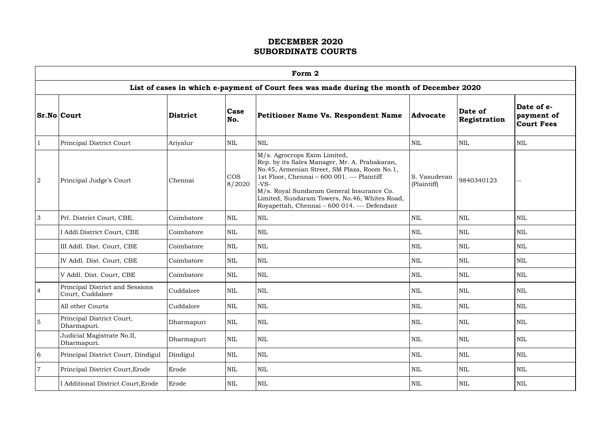|                | Form 2                                              |                 |                      |                                                                                                                                                                                                                                                                                                                                      |                             |                         |                                               |  |  |  |  |  |  |
|----------------|-----------------------------------------------------|-----------------|----------------------|--------------------------------------------------------------------------------------------------------------------------------------------------------------------------------------------------------------------------------------------------------------------------------------------------------------------------------------|-----------------------------|-------------------------|-----------------------------------------------|--|--|--|--|--|--|
|                |                                                     |                 |                      | List of cases in which e-payment of Court fees was made during the month of December 2020                                                                                                                                                                                                                                            |                             |                         |                                               |  |  |  |  |  |  |
|                | $Sr.No $ Court                                      | <b>District</b> | <b>Case</b><br>No.   | Petitioner Name Vs. Respondent Name                                                                                                                                                                                                                                                                                                  | <b>Advocate</b>             | Date of<br>Registration | Date of e-<br>payment of<br><b>Court Fees</b> |  |  |  |  |  |  |
|                | Principal District Court                            | Ariyalur        | <b>NIL</b>           | $\mbox{NIL}$                                                                                                                                                                                                                                                                                                                         | <b>NIL</b>                  | <b>NIL</b>              | <b>NIL</b>                                    |  |  |  |  |  |  |
| $\overline{2}$ | Principal Judge's Court                             | Chennai         | <b>COS</b><br>8/2020 | M/s. Agrocrops Exim Limited,<br>Rep. by its Sales Manager, Mr. A. Prabakaran,<br>No.45, Armenian Street, SM Plaza, Room No.1,<br>1st Floor, Chennai - 600 001. --- Plaintiff<br>$-VS-$<br>M/s. Royal Sundaram General Insurance Co.<br>Limited, Sundaram Towers, No.46, Whites Road,<br>Royapettah, Chennai - 600 014. --- Defendant | S. Vasudevan<br>(Plaintiff) | 9840340123              |                                               |  |  |  |  |  |  |
| 3              | Prl. District Court, CBE.                           | Coimbatore      | <b>NIL</b>           | <b>NIL</b>                                                                                                                                                                                                                                                                                                                           | <b>NIL</b>                  | <b>NIL</b>              | <b>NIL</b>                                    |  |  |  |  |  |  |
|                | I Addl.District Court, CBE                          | Coimbatore      | <b>NIL</b>           | <b>NIL</b>                                                                                                                                                                                                                                                                                                                           | <b>NIL</b>                  | <b>NIL</b>              | <b>NIL</b>                                    |  |  |  |  |  |  |
|                | III Addl. Dist. Court, CBE                          | Coimbatore      | <b>NIL</b>           | <b>NIL</b>                                                                                                                                                                                                                                                                                                                           | <b>NIL</b>                  | <b>NIL</b>              | <b>NIL</b>                                    |  |  |  |  |  |  |
|                | IV Addl. Dist. Court, CBE                           | Coimbatore      | <b>NIL</b>           | <b>NIL</b>                                                                                                                                                                                                                                                                                                                           | <b>NIL</b>                  | <b>NIL</b>              | <b>NIL</b>                                    |  |  |  |  |  |  |
|                | V Addl. Dist. Court, CBE                            | Coimbatore      | <b>NIL</b>           | <b>NIL</b>                                                                                                                                                                                                                                                                                                                           | <b>NIL</b>                  | <b>NIL</b>              | <b>NIL</b>                                    |  |  |  |  |  |  |
|                | Principal District and Sessions<br>Court, Cuddalore | Cuddalore       | <b>NIL</b>           | $\mbox{NIL}$                                                                                                                                                                                                                                                                                                                         | <b>NIL</b>                  | <b>NIL</b>              | <b>NIL</b>                                    |  |  |  |  |  |  |
|                | All other Courts                                    | Cuddalore       | $\mbox{NIL}$         | $\mbox{NIL}$                                                                                                                                                                                                                                                                                                                         | <b>NIL</b>                  | <b>NIL</b>              | <b>NIL</b>                                    |  |  |  |  |  |  |
| 5              | Principal District Court,<br>Dharmapuri.            | Dharmapuri      | <b>NIL</b>           | $\mbox{NIL}$                                                                                                                                                                                                                                                                                                                         | <b>NIL</b>                  | <b>NIL</b>              | <b>NIL</b>                                    |  |  |  |  |  |  |
|                | Judicial Magistrate No.II,<br>Dharmapuri.           | Dharmapuri      | <b>NIL</b>           | $\mbox{NIL}$                                                                                                                                                                                                                                                                                                                         | <b>NIL</b>                  | <b>NIL</b>              | <b>NIL</b>                                    |  |  |  |  |  |  |
| 6              | Principal District Court, Dindigul                  | Dindigul        | $\mbox{NIL}$         | $\mbox{NIL}$                                                                                                                                                                                                                                                                                                                         | $\mbox{NIL}$                | <b>NIL</b>              | <b>NIL</b>                                    |  |  |  |  |  |  |
| $\overline{7}$ | Principal District Court, Erode                     | Erode           | $\mbox{NIL}$         | $\mbox{NIL}$                                                                                                                                                                                                                                                                                                                         | <b>NIL</b>                  | <b>NIL</b>              | <b>NIL</b>                                    |  |  |  |  |  |  |
|                | I Additional District Court, Erode                  | Erode           | <b>NIL</b>           | $\mbox{NIL}$                                                                                                                                                                                                                                                                                                                         | <b>NIL</b>                  | <b>NIL</b>              | <b>NIL</b>                                    |  |  |  |  |  |  |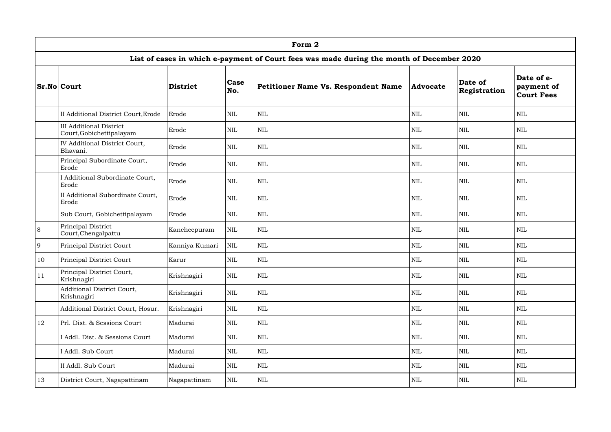|               | Form 2                                                     |                 |              |                                                                                           |                 |                         |                                               |  |  |  |  |  |
|---------------|------------------------------------------------------------|-----------------|--------------|-------------------------------------------------------------------------------------------|-----------------|-------------------------|-----------------------------------------------|--|--|--|--|--|
|               |                                                            |                 |              | List of cases in which e-payment of Court fees was made during the month of December 2020 |                 |                         |                                               |  |  |  |  |  |
|               | <b>Sr.No Court</b>                                         | <b>District</b> | Case<br>No.  | Petitioner Name Vs. Respondent Name                                                       | <b>Advocate</b> | Date of<br>Registration | Date of e-<br>payment of<br><b>Court Fees</b> |  |  |  |  |  |
|               | II Additional District Court, Erode                        | Erode           | $\mbox{NIL}$ | <b>NIL</b>                                                                                | <b>NIL</b>      | <b>NIL</b>              | <b>NIL</b>                                    |  |  |  |  |  |
|               | <b>III Additional District</b><br>Court, Gobichettipalayam | Erode           | <b>NIL</b>   | $\mbox{NIL}$                                                                              | <b>NIL</b>      | <b>NIL</b>              | <b>NIL</b>                                    |  |  |  |  |  |
|               | IV Additional District Court,<br>Bhavani.                  | Erode           | <b>NIL</b>   | $\mbox{NIL}$                                                                              | <b>NIL</b>      | NIL                     | <b>NIL</b>                                    |  |  |  |  |  |
|               | Principal Subordinate Court,<br>Erode                      | Erode           | $\mbox{NIL}$ | <b>NIL</b>                                                                                | <b>NIL</b>      | <b>NIL</b>              | <b>NIL</b>                                    |  |  |  |  |  |
|               | I Additional Subordinate Court,<br>Erode                   | Erode           | <b>NIL</b>   | $\mbox{NIL}$                                                                              | <b>NIL</b>      | <b>NIL</b>              | <b>NIL</b>                                    |  |  |  |  |  |
|               | II Additional Subordinate Court,<br>Erode                  | Erode           | <b>NIL</b>   | $\mbox{NIL}$                                                                              | <b>NIL</b>      | <b>NIL</b>              | <b>NIL</b>                                    |  |  |  |  |  |
|               | Sub Court, Gobichettipalayam                               | Erode           | <b>NIL</b>   | $\mbox{NIL}$                                                                              | <b>NIL</b>      | <b>NIL</b>              | <b>NIL</b>                                    |  |  |  |  |  |
| 8             | Principal District<br>Court, Chengalpattu                  | Kancheepuram    | <b>NIL</b>   | $\mbox{NIL}$                                                                              | <b>NIL</b>      | <b>NIL</b>              | <b>NIL</b>                                    |  |  |  |  |  |
| 9             | Principal District Court                                   | Kanniya Kumari  | <b>NIL</b>   | <b>NIL</b>                                                                                | <b>NIL</b>      | <b>NIL</b>              | <b>NIL</b>                                    |  |  |  |  |  |
| 10            | Principal District Court                                   | Karur           | $\mbox{NIL}$ | $\mbox{NIL}$                                                                              | <b>NIL</b>      | <b>NIL</b>              | <b>NIL</b>                                    |  |  |  |  |  |
| <sup>11</sup> | Principal District Court,<br>Krishnagiri                   | Krishnagiri     | <b>NIL</b>   | $\mbox{NIL}$                                                                              | <b>NIL</b>      | <b>NIL</b>              | <b>NIL</b>                                    |  |  |  |  |  |
|               | Additional District Court,<br>Krishnagiri                  | Krishnagiri     | $\mbox{NIL}$ | $\mbox{NIL}$                                                                              | <b>NIL</b>      | <b>NIL</b>              | <b>NIL</b>                                    |  |  |  |  |  |
|               | Additional District Court, Hosur.                          | Krishnagiri     | $\mbox{NIL}$ | $\mbox{NIL}$                                                                              | <b>NIL</b>      | <b>NIL</b>              | <b>NIL</b>                                    |  |  |  |  |  |
| 12            | Prl. Dist. & Sessions Court                                | Madurai         | $\mbox{NIL}$ | $\mbox{NIL}$                                                                              | <b>NIL</b>      | <b>NIL</b>              | <b>NIL</b>                                    |  |  |  |  |  |
|               | I Addl. Dist. & Sessions Court                             | Madurai         | <b>NIL</b>   | $\mbox{NIL}$                                                                              | <b>NIL</b>      | <b>NIL</b>              | <b>NIL</b>                                    |  |  |  |  |  |
|               | I Addl. Sub Court                                          | Madurai         | $\mbox{NIL}$ | $\mbox{NIL}$                                                                              | <b>NIL</b>      | <b>NIL</b>              | <b>NIL</b>                                    |  |  |  |  |  |
|               | II Addl. Sub Court                                         | Madurai         | <b>NIL</b>   | $\mbox{NIL}$                                                                              | <b>NIL</b>      | <b>NIL</b>              | <b>NIL</b>                                    |  |  |  |  |  |
| 13            | District Court, Nagapattinam                               | Nagapattinam    | NIL          | $\mbox{NIL}$                                                                              | <b>NIL</b>      | NIL                     | <b>NIL</b>                                    |  |  |  |  |  |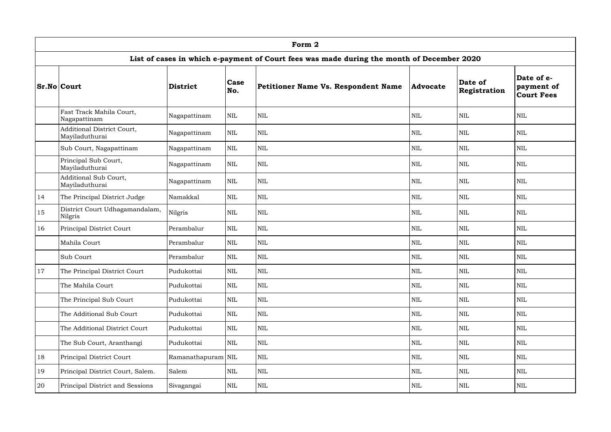|               | Form 2                                              |                    |              |                                                                                           |            |                         |                                               |  |  |  |  |  |  |
|---------------|-----------------------------------------------------|--------------------|--------------|-------------------------------------------------------------------------------------------|------------|-------------------------|-----------------------------------------------|--|--|--|--|--|--|
|               |                                                     |                    |              | List of cases in which e-payment of Court fees was made during the month of December 2020 |            |                         |                                               |  |  |  |  |  |  |
|               | <b>Sr.No Court</b>                                  | <b>District</b>    | Case<br>No.  | Petitioner Name Vs. Respondent Name                                                       | Advocate   | Date of<br>Registration | Date of e-<br>payment of<br><b>Court Fees</b> |  |  |  |  |  |  |
|               | Fast Track Mahila Court,<br>Nagapattinam            | Nagapattinam       | <b>NIL</b>   | <b>NIL</b>                                                                                | <b>NIL</b> | <b>NIL</b>              | <b>NIL</b>                                    |  |  |  |  |  |  |
|               | <b>Additional District Court,</b><br>Mayiladuthurai | Nagapattinam       | <b>NIL</b>   | $\mbox{NIL}$                                                                              | <b>NIL</b> | <b>NIL</b>              | $\mbox{NIL}$                                  |  |  |  |  |  |  |
|               | Sub Court, Nagapattinam                             | Nagapattinam       | <b>NIL</b>   | $\mbox{NIL}$                                                                              | <b>NIL</b> | <b>NIL</b>              | NIL                                           |  |  |  |  |  |  |
|               | Principal Sub Court,<br>Mayiladuthurai              | Nagapattinam       | NIL          | $\mbox{NIL}$                                                                              | <b>NIL</b> | <b>NIL</b>              | <b>NIL</b>                                    |  |  |  |  |  |  |
|               | Additional Sub Court,<br>Mayiladuthurai             | Nagapattinam       | <b>NIL</b>   | <b>NIL</b>                                                                                | <b>NIL</b> | <b>NIL</b>              | <b>NIL</b>                                    |  |  |  |  |  |  |
| 14            | The Principal District Judge                        | Namakkal           | <b>NIL</b>   | <b>NIL</b>                                                                                | <b>NIL</b> | <b>NIL</b>              | $\mbox{NIL}$                                  |  |  |  |  |  |  |
| 15            | District Court Udhagamandalam,<br>Nilgris           | Nilgris            | <b>NIL</b>   | $\mbox{NIL}$                                                                              | <b>NIL</b> | <b>NIL</b>              | <b>NIL</b>                                    |  |  |  |  |  |  |
| 16            | Principal District Court                            | Perambalur         | NIL          | <b>NIL</b>                                                                                | <b>NIL</b> | <b>NIL</b>              | <b>NIL</b>                                    |  |  |  |  |  |  |
|               | Mahila Court                                        | Perambalur         | <b>NIL</b>   | <b>NIL</b>                                                                                | <b>NIL</b> | <b>NIL</b>              | <b>NIL</b>                                    |  |  |  |  |  |  |
|               | Sub Court                                           | Perambalur         | NIL          | $\mbox{NIL}$                                                                              | <b>NIL</b> | $\mbox{NIL}$            | <b>NIL</b>                                    |  |  |  |  |  |  |
| <sup>17</sup> | The Principal District Court                        | Pudukottai         | $\mbox{NIL}$ | $\mbox{NIL}$                                                                              | NIL        | $\mbox{NIL}$            | $\mbox{NIL}$                                  |  |  |  |  |  |  |
|               | The Mahila Court                                    | Pudukottai         | $\mbox{NIL}$ | $\mbox{NIL}$                                                                              | <b>NIL</b> | $\mbox{NIL}$            | $\mbox{NIL}$                                  |  |  |  |  |  |  |
|               | The Principal Sub Court                             | Pudukottai         | $\mbox{NIL}$ | $\mbox{NIL}$                                                                              | <b>NIL</b> | <b>NIL</b>              | $\mbox{NIL}$                                  |  |  |  |  |  |  |
|               | The Additional Sub Court                            | Pudukottai         | $\mbox{NIL}$ | <b>NIL</b>                                                                                | <b>NIL</b> | $\mbox{NIL}$            | $\mbox{NIL}$                                  |  |  |  |  |  |  |
|               | The Additional District Court                       | Pudukottai         | $\mbox{NIL}$ | $\mbox{NIL}$                                                                              | <b>NIL</b> | $\mbox{NIL}$            | $\mbox{NIL}$                                  |  |  |  |  |  |  |
|               | The Sub Court, Aranthangi                           | Pudukottai         | $\mbox{NIL}$ | <b>NIL</b>                                                                                | <b>NIL</b> | <b>NIL</b>              | $\mbox{NIL}$                                  |  |  |  |  |  |  |
| 18            | Principal District Court                            | Ramanathapuram NIL |              | <b>NIL</b>                                                                                | <b>NIL</b> | $\mbox{NIL}$            | $\mbox{NIL}$                                  |  |  |  |  |  |  |
| 19            | Principal District Court, Salem.                    | Salem              | $\mbox{NIL}$ | $\mbox{NIL}$                                                                              | <b>NIL</b> | $\mbox{NIL}$            | $\mbox{NIL}$                                  |  |  |  |  |  |  |
| 20            | Principal District and Sessions                     | Sivagangai         | <b>NIL</b>   | NIL                                                                                       | NIL        | <b>NIL</b>              | <b>NIL</b>                                    |  |  |  |  |  |  |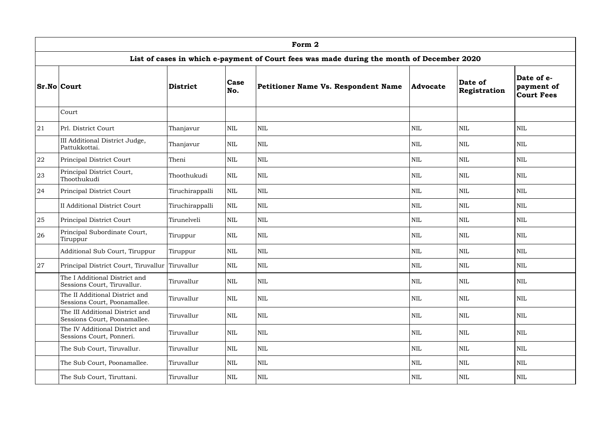|    | Form 2                                                          |                 |                    |                                                                                           |                 |                         |                                               |  |  |  |  |  |  |
|----|-----------------------------------------------------------------|-----------------|--------------------|-------------------------------------------------------------------------------------------|-----------------|-------------------------|-----------------------------------------------|--|--|--|--|--|--|
|    |                                                                 |                 |                    | List of cases in which e-payment of Court fees was made during the month of December 2020 |                 |                         |                                               |  |  |  |  |  |  |
|    | <b>Sr.No Court</b>                                              | <b>District</b> | <b>Case</b><br>No. | Petitioner Name Vs. Respondent Name                                                       | <b>Advocate</b> | Date of<br>Registration | Date of e-<br>payment of<br><b>Court Fees</b> |  |  |  |  |  |  |
|    | Court                                                           |                 |                    |                                                                                           |                 |                         |                                               |  |  |  |  |  |  |
| 21 | Prl. District Court                                             | Thanjavur       | <b>NIL</b>         | $\text{NIL}$                                                                              | <b>NIL</b>      | <b>NIL</b>              | <b>NIL</b>                                    |  |  |  |  |  |  |
|    | III Additional District Judge,<br>Pattukkottai.                 | Thanjavur       | <b>NIL</b>         | <b>NIL</b>                                                                                | <b>NIL</b>      | <b>NIL</b>              | <b>NIL</b>                                    |  |  |  |  |  |  |
| 22 | Principal District Court                                        | Theni           | <b>NIL</b>         | <b>NIL</b>                                                                                | <b>NIL</b>      | <b>NIL</b>              | <b>NIL</b>                                    |  |  |  |  |  |  |
| 23 | Principal District Court,<br>Thoothukudi                        | Thoothukudi     | <b>NIL</b>         | <b>NIL</b>                                                                                | <b>NIL</b>      | <b>NIL</b>              | <b>NIL</b>                                    |  |  |  |  |  |  |
| 24 | Principal District Court                                        | Tiruchirappalli | <b>NIL</b>         | <b>NIL</b>                                                                                | <b>NIL</b>      | <b>NIL</b>              | <b>NIL</b>                                    |  |  |  |  |  |  |
|    | <b>II Additional District Court</b>                             | Tiruchirappalli | <b>NIL</b>         | <b>NIL</b>                                                                                | <b>NIL</b>      | <b>NIL</b>              | <b>NIL</b>                                    |  |  |  |  |  |  |
| 25 | Principal District Court                                        | Tirunelveli     | <b>NIL</b>         | <b>NIL</b>                                                                                | <b>NIL</b>      | <b>NIL</b>              | <b>NIL</b>                                    |  |  |  |  |  |  |
| 26 | Principal Subordinate Court,<br>Tiruppur                        | Tiruppur        | <b>NIL</b>         | $\text{NIL}$                                                                              | <b>NIL</b>      | <b>NIL</b>              | <b>NIL</b>                                    |  |  |  |  |  |  |
|    | Additional Sub Court, Tiruppur                                  | Tiruppur        | $\mbox{NIL}$       | $\mbox{NIL}$                                                                              | <b>NIL</b>      | <b>NIL</b>              | <b>NIL</b>                                    |  |  |  |  |  |  |
| 27 | Principal District Court, Tiruvallur Tiruvallur                 |                 | <b>NIL</b>         | <b>NIL</b>                                                                                | <b>NIL</b>      | <b>NIL</b>              | <b>NIL</b>                                    |  |  |  |  |  |  |
|    | The I Additional District and<br>Sessions Court, Tiruvallur.    | Tiruvallur      | <b>NIL</b>         | <b>NIL</b>                                                                                | <b>NIL</b>      | <b>NIL</b>              | <b>NIL</b>                                    |  |  |  |  |  |  |
|    | The II Additional District and<br>Sessions Court, Poonamallee.  | Tiruvallur      | <b>NIL</b>         | <b>NIL</b>                                                                                | <b>NIL</b>      | <b>NIL</b>              | <b>NIL</b>                                    |  |  |  |  |  |  |
|    | The III Additional District and<br>Sessions Court, Poonamallee. | Tiruvallur      | <b>NIL</b>         | <b>NIL</b>                                                                                | <b>NIL</b>      | <b>NIL</b>              | <b>NIL</b>                                    |  |  |  |  |  |  |
|    | The IV Additional District and<br>Sessions Court, Ponneri.      | Tiruvallur      | <b>NIL</b>         | <b>NIL</b>                                                                                | <b>NIL</b>      | <b>NIL</b>              | <b>NIL</b>                                    |  |  |  |  |  |  |
|    | The Sub Court, Tiruvallur.                                      | Tiruvallur      | <b>NIL</b>         | $\mbox{NIL}$                                                                              | <b>NIL</b>      | <b>NIL</b>              | <b>NIL</b>                                    |  |  |  |  |  |  |
|    | The Sub Court, Poonamallee.                                     | Tiruvallur      | <b>NIL</b>         | $\mbox{NIL}$                                                                              | <b>NIL</b>      | <b>NIL</b>              | <b>NIL</b>                                    |  |  |  |  |  |  |
|    | The Sub Court, Tiruttani.                                       | Tiruvallur      | <b>NIL</b>         | $\mbox{NIL}$                                                                              | <b>NIL</b>      | <b>NIL</b>              | <b>NIL</b>                                    |  |  |  |  |  |  |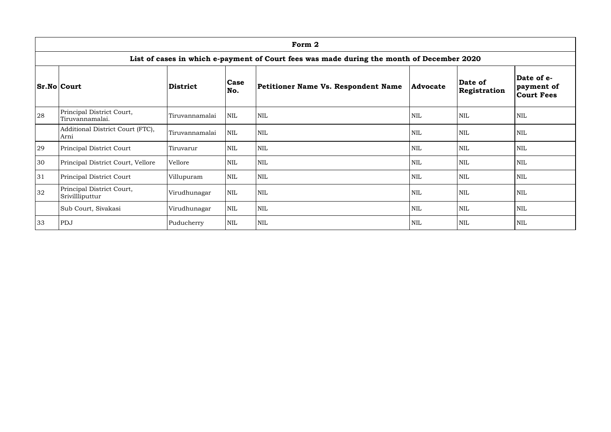|    | Form 2                                                                                    |                 |              |                                     |                 |                         |                                               |  |  |  |  |  |
|----|-------------------------------------------------------------------------------------------|-----------------|--------------|-------------------------------------|-----------------|-------------------------|-----------------------------------------------|--|--|--|--|--|
|    | List of cases in which e-payment of Court fees was made during the month of December 2020 |                 |              |                                     |                 |                         |                                               |  |  |  |  |  |
|    | <b>Sr.No Court</b>                                                                        | <b>District</b> | Case<br>No.  | Petitioner Name Vs. Respondent Name | <b>Advocate</b> | Date of<br>Registration | Date of e-<br>payment of<br><b>Court Fees</b> |  |  |  |  |  |
| 28 | Principal District Court,<br>Tiruvannamalai.                                              | Tiruvannamalai  | <b>NIL</b>   | <b>NIL</b>                          | <b>NIL</b>      | <b>NIL</b>              | <b>NIL</b>                                    |  |  |  |  |  |
|    | Additional District Court (FTC),<br>Arni                                                  | Tiruvannamalai  | <b>NIL</b>   | <b>NIL</b>                          | <b>NIL</b>      | <b>NIL</b>              | <b>NIL</b>                                    |  |  |  |  |  |
| 29 | Principal District Court                                                                  | Tiruvarur       | <b>NIL</b>   | <b>NIL</b>                          | <b>NIL</b>      | <b>NIL</b>              | <b>NIL</b>                                    |  |  |  |  |  |
| 30 | Principal District Court, Vellore                                                         | Vellore         | <b>NIL</b>   | NIL                                 | <b>NIL</b>      | <b>NIL</b>              | <b>NIL</b>                                    |  |  |  |  |  |
| 31 | Principal District Court                                                                  | Villupuram      | <b>NIL</b>   | <b>NIL</b>                          | <b>NIL</b>      | <b>NIL</b>              | <b>NIL</b>                                    |  |  |  |  |  |
| 32 | Principal District Court,<br>Srivillliputtur                                              | Virudhunagar    | <b>NIL</b>   | NIL                                 | <b>NIL</b>      | <b>NIL</b>              | <b>NIL</b>                                    |  |  |  |  |  |
|    | Sub Court, Sivakasi                                                                       | Virudhunagar    | <b>NIL</b>   | <b>NIL</b>                          | <b>NIL</b>      | $\mbox{NIL}$            | NIL                                           |  |  |  |  |  |
| 33 | PDJ                                                                                       | Puducherry      | $\mbox{NIL}$ | <b>NIL</b>                          | <b>NIL</b>      | <b>NIL</b>              | <b>NIL</b>                                    |  |  |  |  |  |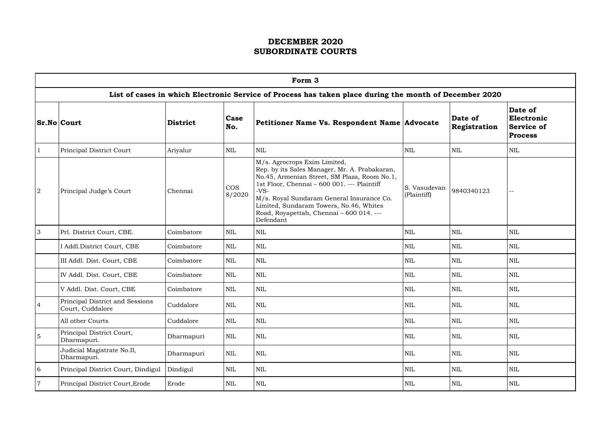|                | Form 3                                              |            |                      |                                                                                                                                                                                                                                                                                                                                         |                             |                         |                                                              |  |  |  |  |  |
|----------------|-----------------------------------------------------|------------|----------------------|-----------------------------------------------------------------------------------------------------------------------------------------------------------------------------------------------------------------------------------------------------------------------------------------------------------------------------------------|-----------------------------|-------------------------|--------------------------------------------------------------|--|--|--|--|--|
|                |                                                     |            |                      | List of cases in which Electronic Service of Process has taken place during the month of December 2020                                                                                                                                                                                                                                  |                             |                         |                                                              |  |  |  |  |  |
|                | <b>Sr.No Court</b>                                  | District   | Case<br>No.          | Petitioner Name Vs. Respondent Name   Advocate                                                                                                                                                                                                                                                                                          |                             | Date of<br>Registration | Date of<br>Electronic<br><b>Service of</b><br><b>Process</b> |  |  |  |  |  |
|                | Principal District Court                            | Ariyalur   | <b>NIL</b>           | <b>NIL</b>                                                                                                                                                                                                                                                                                                                              | <b>NIL</b>                  | <b>NIL</b>              | <b>NIL</b>                                                   |  |  |  |  |  |
| $\overline{2}$ | Principal Judge's Court                             | Chennai    | <b>COS</b><br>8/2020 | M/s. Agrocrops Exim Limited,<br>Rep. by its Sales Manager, Mr. A. Prabakaran,<br>No.45, Armenian Street, SM Plaza, Room No.1,<br>1st Floor, Chennai - 600 001. --- Plaintiff<br>$-VS-$<br>M/s. Royal Sundaram General Insurance Co.<br>Limited, Sundaram Towers, No.46, Whites<br>Road, Royapettah, Chennai - 600 014. ---<br>Defendant | S. Vasudevan<br>(Plaintiff) | 9840340123              | --                                                           |  |  |  |  |  |
| 3              | Prl. District Court, CBE.                           | Coimbatore | <b>NIL</b>           | <b>NIL</b>                                                                                                                                                                                                                                                                                                                              | <b>NIL</b>                  | <b>NIL</b>              | <b>NIL</b>                                                   |  |  |  |  |  |
|                | I Addl.District Court, CBE                          | Coimbatore | NIL                  | <b>NIL</b>                                                                                                                                                                                                                                                                                                                              | <b>NIL</b>                  | <b>NIL</b>              | <b>NIL</b>                                                   |  |  |  |  |  |
|                | III Addl. Dist. Court, CBE                          | Coimbatore | NIL                  | NIL                                                                                                                                                                                                                                                                                                                                     | <b>NIL</b>                  | <b>NIL</b>              | <b>NIL</b>                                                   |  |  |  |  |  |
|                | IV Addl. Dist. Court, CBE                           | Coimbatore | <b>NIL</b>           | <b>NIL</b>                                                                                                                                                                                                                                                                                                                              | <b>NIL</b>                  | <b>NIL</b>              | <b>NIL</b>                                                   |  |  |  |  |  |
|                | V Addl. Dist. Court, CBE                            | Coimbatore | <b>NIL</b>           | <b>NIL</b>                                                                                                                                                                                                                                                                                                                              | <b>NIL</b>                  | <b>NIL</b>              | <b>NIL</b>                                                   |  |  |  |  |  |
| $\overline{4}$ | Principal District and Sessions<br>Court, Cuddalore | Cuddalore  | $\mbox{NIL}$         | $\mbox{NIL}$                                                                                                                                                                                                                                                                                                                            | <b>NIL</b>                  | $\mbox{NIL}$            | $\mbox{NIL}$                                                 |  |  |  |  |  |
|                | All other Courts                                    | Cuddalore  | NIL                  | $\mbox{NIL}$                                                                                                                                                                                                                                                                                                                            | <b>NIL</b>                  | <b>NIL</b>              | NIL                                                          |  |  |  |  |  |
| $\overline{5}$ | Principal District Court,<br>Dharmapuri.            | Dharmapuri | $\mbox{NIL}$         | $\mbox{NIL}$                                                                                                                                                                                                                                                                                                                            | <b>NIL</b>                  | <b>NIL</b>              | <b>NIL</b>                                                   |  |  |  |  |  |
|                | Judicial Magistrate No.II,<br>Dharmapuri.           | Dharmapuri | $\mbox{NIL}$         | <b>NIL</b>                                                                                                                                                                                                                                                                                                                              | <b>NIL</b>                  | <b>NIL</b>              | <b>NIL</b>                                                   |  |  |  |  |  |
| 6              | Principal District Court, Dindigul                  | Dindigul   | NIL                  | NIL                                                                                                                                                                                                                                                                                                                                     | <b>NIL</b>                  | <b>NIL</b>              | <b>NIL</b>                                                   |  |  |  |  |  |
| $\overline{7}$ | Principal District Court, Erode                     | Erode      | NIL                  | NIL                                                                                                                                                                                                                                                                                                                                     | NIL                         | <b>NIL</b>              | <b>NIL</b>                                                   |  |  |  |  |  |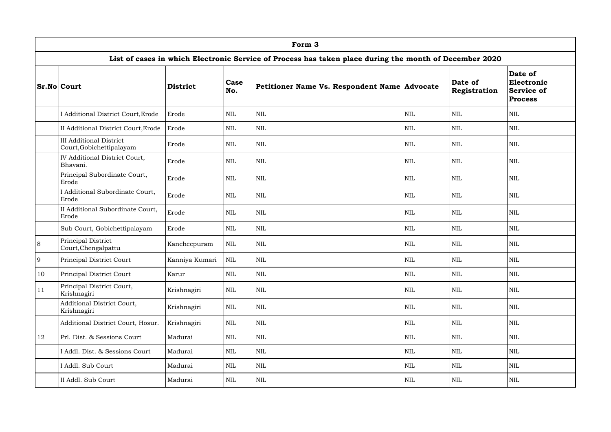|           | Form 3                                                     |                 |              |                                                                                                        |              |                                |                                                              |  |  |  |  |
|-----------|------------------------------------------------------------|-----------------|--------------|--------------------------------------------------------------------------------------------------------|--------------|--------------------------------|--------------------------------------------------------------|--|--|--|--|
|           |                                                            |                 |              | List of cases in which Electronic Service of Process has taken place during the month of December 2020 |              |                                |                                                              |  |  |  |  |
|           | <b>Sr.No Court</b>                                         | <b>District</b> | Case<br>No.  | Petitioner Name Vs. Respondent Name Advocate                                                           |              | Date of<br><b>Registration</b> | Date of<br>Electronic<br><b>Service of</b><br><b>Process</b> |  |  |  |  |
|           | I Additional District Court, Erode                         | Erode           | $\mbox{NIL}$ | <b>NIL</b>                                                                                             | <b>NIL</b>   | <b>NIL</b>                     | $\mbox{NIL}$                                                 |  |  |  |  |
|           | II Additional District Court, Erode                        | Erode           | NIL          | <b>NIL</b>                                                                                             | <b>NIL</b>   | <b>NIL</b>                     | <b>NIL</b>                                                   |  |  |  |  |
|           | <b>III Additional District</b><br>Court, Gobichettipalayam | Erode           | <b>NIL</b>   | <b>NIL</b>                                                                                             | <b>NIL</b>   | <b>NIL</b>                     | <b>NIL</b>                                                   |  |  |  |  |
|           | <b>IV Additional District Court,</b><br>Bhavani.           | Erode           | NIL          | <b>NIL</b>                                                                                             | <b>NIL</b>   | <b>NIL</b>                     | <b>NIL</b>                                                   |  |  |  |  |
|           | Principal Subordinate Court,<br>Erode                      | Erode           | NIL          | <b>NIL</b>                                                                                             | <b>NIL</b>   | <b>NIL</b>                     | <b>NIL</b>                                                   |  |  |  |  |
|           | I Additional Subordinate Court,<br>Erode                   | Erode           | NIL          | <b>NIL</b>                                                                                             | <b>NIL</b>   | <b>NIL</b>                     | $\mbox{NIL}$                                                 |  |  |  |  |
|           | II Additional Subordinate Court,<br>Erode                  | Erode           | $\mbox{NIL}$ | <b>NIL</b>                                                                                             | NIL          | <b>NIL</b>                     | $\mbox{NIL}$                                                 |  |  |  |  |
|           | Sub Court, Gobichettipalayam                               | Erode           | NIL          | <b>NIL</b>                                                                                             | <b>NIL</b>   | <b>NIL</b>                     | $\mbox{NIL}$                                                 |  |  |  |  |
| $\,8\,$   | Principal District<br>Court, Chengalpattu                  | Kancheepuram    | $\mbox{NIL}$ | <b>NIL</b>                                                                                             | <b>NIL</b>   | <b>NIL</b>                     | <b>NIL</b>                                                   |  |  |  |  |
| 9         | Principal District Court                                   | Kanniya Kumari  | NIL          | <b>NIL</b>                                                                                             | <b>NIL</b>   | <b>NIL</b>                     | <b>NIL</b>                                                   |  |  |  |  |
| 10        | Principal District Court                                   | Karur           | $\mbox{NIL}$ | <b>NIL</b>                                                                                             | <b>NIL</b>   | <b>NIL</b>                     | $\text{NIL}$                                                 |  |  |  |  |
| 11        | Principal District Court,<br>Krishnagiri                   | Krishnagiri     | $\mbox{NIL}$ | <b>NIL</b>                                                                                             | $\mbox{NIL}$ | $\mbox{NIL}$                   | $\mbox{NIL}$                                                 |  |  |  |  |
|           | Additional District Court,<br>Krishnagiri                  | Krishnagiri     | $\mbox{NIL}$ | $\mbox{NIL}$                                                                                           | $\text{NIL}$ | <b>NIL</b>                     | $\mbox{NIL}$                                                 |  |  |  |  |
|           | Additional District Court, Hosur.                          | Krishnagiri     | $\mbox{NIL}$ | $\mbox{NIL}$                                                                                           | $\mbox{NIL}$ | <b>NIL</b>                     | $\mbox{NIL}$                                                 |  |  |  |  |
| <b>12</b> | Prl. Dist. & Sessions Court                                | Madurai         | $\mbox{NIL}$ | <b>NIL</b>                                                                                             | <b>NIL</b>   | <b>NIL</b>                     | <b>NIL</b>                                                   |  |  |  |  |
|           | I Addl. Dist. & Sessions Court                             | Madurai         | $\mbox{NIL}$ | <b>NIL</b>                                                                                             | $\mbox{NIL}$ | <b>NIL</b>                     | $\mbox{NIL}$                                                 |  |  |  |  |
|           | I Addl. Sub Court                                          | Madurai         | NIL          | $\mbox{NIL}$                                                                                           | $\mbox{NIL}$ | <b>NIL</b>                     | $\mbox{NIL}$                                                 |  |  |  |  |
|           | II Addl. Sub Court                                         | Madurai         | NIL          | <b>NIL</b>                                                                                             | <b>NIL</b>   | <b>NIL</b>                     | $\mbox{NIL}$                                                 |  |  |  |  |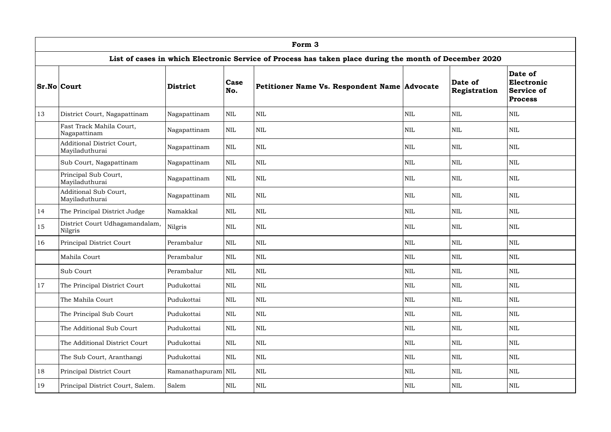|    | Form 3                                              |                    |              |                                                                                                        |              |                         |                                                              |  |  |  |  |  |
|----|-----------------------------------------------------|--------------------|--------------|--------------------------------------------------------------------------------------------------------|--------------|-------------------------|--------------------------------------------------------------|--|--|--|--|--|
|    |                                                     |                    |              | List of cases in which Electronic Service of Process has taken place during the month of December 2020 |              |                         |                                                              |  |  |  |  |  |
|    | <b>Sr.No Court</b>                                  | <b>District</b>    | Case<br>No.  | Petitioner Name Vs. Respondent Name Advocate                                                           |              | Date of<br>Registration | Date of<br>Electronic<br><b>Service of</b><br><b>Process</b> |  |  |  |  |  |
| 13 | District Court, Nagapattinam                        | Nagapattinam       | $\mbox{NIL}$ | $\mbox{NIL}$                                                                                           | <b>NIL</b>   | <b>NIL</b>              | NIL                                                          |  |  |  |  |  |
|    | Fast Track Mahila Court,<br>Nagapattinam            | Nagapattinam       | $\mbox{NIL}$ | <b>NIL</b>                                                                                             | <b>NIL</b>   | <b>NIL</b>              | <b>NIL</b>                                                   |  |  |  |  |  |
|    | <b>Additional District Court,</b><br>Mayiladuthurai | Nagapattinam       | $\mbox{NIL}$ | <b>NIL</b>                                                                                             | <b>NIL</b>   | <b>NIL</b>              | <b>NIL</b>                                                   |  |  |  |  |  |
|    | Sub Court, Nagapattinam                             | Nagapattinam       | $\mbox{NIL}$ | <b>NIL</b>                                                                                             | <b>NIL</b>   | <b>NIL</b>              | $\mbox{NIL}$                                                 |  |  |  |  |  |
|    | Principal Sub Court,<br>Mayiladuthurai              | Nagapattinam       | $\mbox{NIL}$ | <b>NIL</b>                                                                                             | <b>NIL</b>   | <b>NIL</b>              | <b>NIL</b>                                                   |  |  |  |  |  |
|    | Additional Sub Court,<br>Mayiladuthurai             | Nagapattinam       | $\mbox{NIL}$ | <b>NIL</b>                                                                                             | <b>NIL</b>   | <b>NIL</b>              | <b>NIL</b>                                                   |  |  |  |  |  |
| 14 | The Principal District Judge                        | Namakkal           | $\mbox{NIL}$ | <b>NIL</b>                                                                                             | <b>NIL</b>   | <b>NIL</b>              | <b>NIL</b>                                                   |  |  |  |  |  |
| 15 | District Court Udhagamandalam,<br>Nilgris           | Nilgris            | $\mbox{NIL}$ | <b>NIL</b>                                                                                             | <b>NIL</b>   | <b>NIL</b>              | $\mbox{NIL}$                                                 |  |  |  |  |  |
| 16 | Principal District Court                            | Perambalur         | $\mbox{NIL}$ | <b>NIL</b>                                                                                             | <b>NIL</b>   | <b>NIL</b>              | <b>NIL</b>                                                   |  |  |  |  |  |
|    | Mahila Court                                        | Perambalur         | $\mbox{NIL}$ | $\mbox{NIL}$                                                                                           | <b>NIL</b>   | <b>NIL</b>              | $\mbox{NIL}$                                                 |  |  |  |  |  |
|    | Sub Court                                           | Perambalur         | $\mbox{NIL}$ | $\mbox{NIL}$                                                                                           | <b>NIL</b>   | $\mbox{NIL}$            | $\mbox{NIL}$                                                 |  |  |  |  |  |
| 17 | The Principal District Court                        | Pudukottai         | $\mbox{NIL}$ | $\mbox{NIL}$                                                                                           | <b>NIL</b>   | <b>NIL</b>              | <b>NIL</b>                                                   |  |  |  |  |  |
|    | The Mahila Court                                    | Pudukottai         | $\mbox{NIL}$ | <b>NIL</b>                                                                                             | <b>NIL</b>   | <b>NIL</b>              | $\text{NIL}$                                                 |  |  |  |  |  |
|    | The Principal Sub Court                             | Pudukottai         | $\mbox{NIL}$ | NIL                                                                                                    | $\mbox{NIL}$ | <b>NIL</b>              | $\text{NIL}$                                                 |  |  |  |  |  |
|    | The Additional Sub Court                            | Pudukottai         | $\mbox{NIL}$ | $\mbox{NIL}$                                                                                           | <b>NIL</b>   | <b>NIL</b>              | $\mbox{NIL}$                                                 |  |  |  |  |  |
|    | The Additional District Court                       | Pudukottai         | <b>NIL</b>   | $\mbox{NIL}$                                                                                           | <b>NIL</b>   | <b>NIL</b>              | $\text{NIL}$                                                 |  |  |  |  |  |
|    | The Sub Court, Aranthangi                           | Pudukottai         | <b>NIL</b>   | $\mbox{NIL}$                                                                                           | <b>NIL</b>   | <b>NIL</b>              | <b>NIL</b>                                                   |  |  |  |  |  |
| 18 | Principal District Court                            | Ramanathapuram NIL |              | $\mbox{NIL}$                                                                                           | $\mbox{NIL}$ | <b>NIL</b>              | $\mbox{NIL}$                                                 |  |  |  |  |  |
| 19 | Principal District Court, Salem.                    | Salem              | <b>NIL</b>   | $\mbox{NIL}$                                                                                           | <b>NIL</b>   | <b>NIL</b>              | $\mbox{NIL}$                                                 |  |  |  |  |  |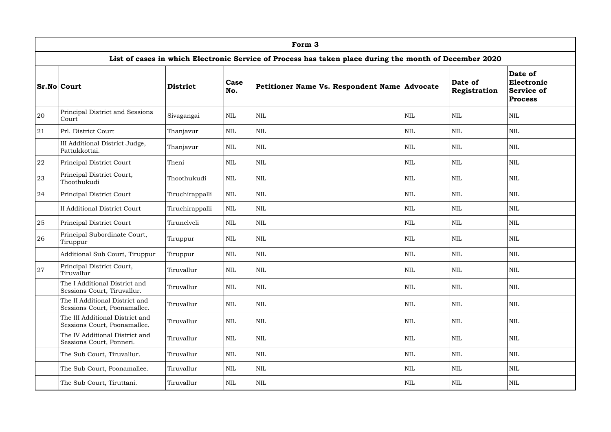|           | Form 3                                                          |                 |              |                                                                                                        |            |                         |                                                              |  |  |  |  |  |
|-----------|-----------------------------------------------------------------|-----------------|--------------|--------------------------------------------------------------------------------------------------------|------------|-------------------------|--------------------------------------------------------------|--|--|--|--|--|
|           |                                                                 |                 |              | List of cases in which Electronic Service of Process has taken place during the month of December 2020 |            |                         |                                                              |  |  |  |  |  |
|           | <b>Sr.No Court</b>                                              | <b>District</b> | Case<br>No.  | Petitioner Name Vs. Respondent Name Advocate                                                           |            | Date of<br>Registration | Date of<br>Electronic<br><b>Service of</b><br><b>Process</b> |  |  |  |  |  |
| 20        | Principal District and Sessions<br>Court                        | Sivagangai      | $\mbox{NIL}$ | <b>NIL</b>                                                                                             | <b>NIL</b> | <b>NIL</b>              | $\mbox{NIL}$                                                 |  |  |  |  |  |
| 21        | Prl. District Court                                             | Thanjavur       | <b>NIL</b>   | <b>NIL</b>                                                                                             | <b>NIL</b> | <b>NIL</b>              | <b>NIL</b>                                                   |  |  |  |  |  |
|           | III Additional District Judge,<br>Pattukkottai.                 | Thanjavur       | <b>NIL</b>   | <b>NIL</b>                                                                                             | <b>NIL</b> | <b>NIL</b>              | $\mbox{NIL}$                                                 |  |  |  |  |  |
| 22        | Principal District Court                                        | Theni           | <b>NIL</b>   | <b>NIL</b>                                                                                             | <b>NIL</b> | <b>NIL</b>              | <b>NIL</b>                                                   |  |  |  |  |  |
| 23        | Principal District Court,<br>Thoothukudi                        | Thoothukudi     | <b>NIL</b>   | <b>NIL</b>                                                                                             | <b>NIL</b> | <b>NIL</b>              | $\mbox{NIL}$                                                 |  |  |  |  |  |
| 24        | Principal District Court                                        | Tiruchirappalli | $\mbox{NIL}$ | <b>NIL</b>                                                                                             | <b>NIL</b> | <b>NIL</b>              | <b>NIL</b>                                                   |  |  |  |  |  |
|           | <b>II Additional District Court</b>                             | Tiruchirappalli | <b>NIL</b>   | <b>NIL</b>                                                                                             | <b>NIL</b> | <b>NIL</b>              | <b>NIL</b>                                                   |  |  |  |  |  |
| 25        | Principal District Court                                        | Tirunelveli     | $\mbox{NIL}$ | $\mbox{NIL}$                                                                                           | <b>NIL</b> | <b>NIL</b>              | $\mbox{NIL}$                                                 |  |  |  |  |  |
| 26        | Principal Subordinate Court,<br>Tiruppur                        | Tiruppur        | <b>NIL</b>   | $\mbox{NIL}$                                                                                           | <b>NIL</b> | <b>NIL</b>              | $\mbox{NIL}$                                                 |  |  |  |  |  |
|           | Additional Sub Court, Tiruppur                                  | Tiruppur        | $\mbox{NIL}$ | $\mbox{NIL}$                                                                                           | <b>NIL</b> | <b>NIL</b>              | $\mbox{NIL}$                                                 |  |  |  |  |  |
| <b>27</b> | Principal District Court,<br>Tiruvallur                         | Tiruvallur      | NIL          | <b>NIL</b>                                                                                             | <b>NIL</b> | <b>NIL</b>              | NIL                                                          |  |  |  |  |  |
|           | The I Additional District and<br>Sessions Court, Tiruvallur.    | Tiruvallur      | <b>NIL</b>   | <b>NIL</b>                                                                                             | <b>NIL</b> | <b>NIL</b>              | <b>NIL</b>                                                   |  |  |  |  |  |
|           | The II Additional District and<br>Sessions Court, Poonamallee.  | Tiruvallur      | <b>NIL</b>   | NIL                                                                                                    | <b>NIL</b> | <b>NIL</b>              | $\mbox{NIL}$                                                 |  |  |  |  |  |
|           | The III Additional District and<br>Sessions Court, Poonamallee. | Tiruvallur      | $\mbox{NIL}$ | NIL                                                                                                    | <b>NIL</b> | <b>NIL</b>              | $\mbox{NIL}$                                                 |  |  |  |  |  |
|           | The IV Additional District and<br>Sessions Court, Ponneri.      | Tiruvallur      | <b>NIL</b>   | $\mbox{NIL}$                                                                                           | <b>NIL</b> | <b>NIL</b>              | <b>NIL</b>                                                   |  |  |  |  |  |
|           | The Sub Court, Tiruvallur.                                      | Tiruvallur      | $\mbox{NIL}$ | <b>NIL</b>                                                                                             | <b>NIL</b> | <b>NIL</b>              | $\mbox{NIL}$                                                 |  |  |  |  |  |
|           | The Sub Court, Poonamallee.                                     | Tiruvallur      | <b>NIL</b>   | $\mbox{NIL}$                                                                                           | <b>NIL</b> | <b>NIL</b>              | <b>NIL</b>                                                   |  |  |  |  |  |
|           | The Sub Court, Tiruttani.                                       | Tiruvallur      | NIL          | $\mbox{NIL}$                                                                                           | <b>NIL</b> | <b>NIL</b>              | $\mbox{NIL}$                                                 |  |  |  |  |  |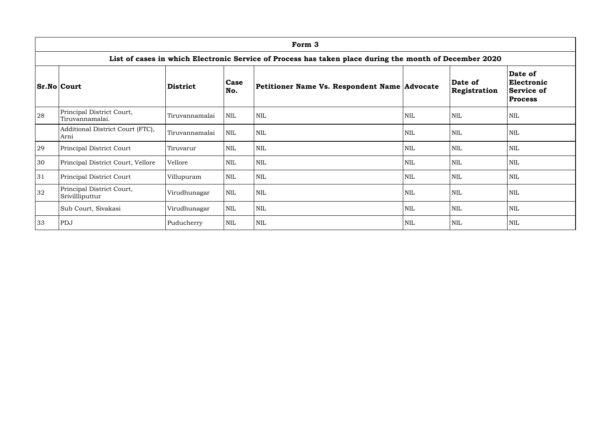|    | Form 3                                                                                                 |                 |             |                                              |            |                         |                                                              |  |  |  |  |  |
|----|--------------------------------------------------------------------------------------------------------|-----------------|-------------|----------------------------------------------|------------|-------------------------|--------------------------------------------------------------|--|--|--|--|--|
|    | List of cases in which Electronic Service of Process has taken place during the month of December 2020 |                 |             |                                              |            |                         |                                                              |  |  |  |  |  |
|    | <b>Sr.No Court</b>                                                                                     | <b>District</b> | Case<br>No. | Petitioner Name Vs. Respondent Name Advocate |            | Date of<br>Registration | Date of<br>Electronic<br><b>Service of</b><br><b>Process</b> |  |  |  |  |  |
| 28 | Principal District Court,<br>Tiruvannamalai.                                                           | Tiruvannamalai  | NIL         | <b>NIL</b>                                   | <b>NIL</b> | <b>NIL</b>              | <b>NIL</b>                                                   |  |  |  |  |  |
|    | Additional District Court (FTC),<br>Arni                                                               | Tiruvannamalai  | <b>NIL</b>  | <b>NIL</b>                                   | <b>NIL</b> | <b>NIL</b>              | <b>NIL</b>                                                   |  |  |  |  |  |
| 29 | Principal District Court                                                                               | Tiruvarur       | NIL         | <b>NIL</b>                                   | <b>NIL</b> | <b>NIL</b>              | <b>NIL</b>                                                   |  |  |  |  |  |
| 30 | Principal District Court, Vellore                                                                      | Vellore         | <b>NIL</b>  | <b>NIL</b>                                   | <b>NIL</b> | <b>NIL</b>              | <b>NIL</b>                                                   |  |  |  |  |  |
| 31 | Principal District Court                                                                               | Villupuram      | <b>NIL</b>  | <b>NIL</b>                                   | <b>NIL</b> | <b>NIL</b>              | <b>NIL</b>                                                   |  |  |  |  |  |
| 32 | Principal District Court,<br>Srivillliputtur                                                           | Virudhunagar    | NIL         | NIL                                          | <b>NIL</b> | <b>NIL</b>              | <b>NIL</b>                                                   |  |  |  |  |  |
|    | Sub Court, Sivakasi                                                                                    | Virudhunagar    | NIL         | <b>NIL</b>                                   | <b>NIL</b> | <b>NIL</b>              | <b>NIL</b>                                                   |  |  |  |  |  |
| 33 | PDJ                                                                                                    | Puducherry      | <b>NIL</b>  | <b>NIL</b>                                   | <b>NIL</b> | <b>NIL</b>              | <b>NIL</b>                                                   |  |  |  |  |  |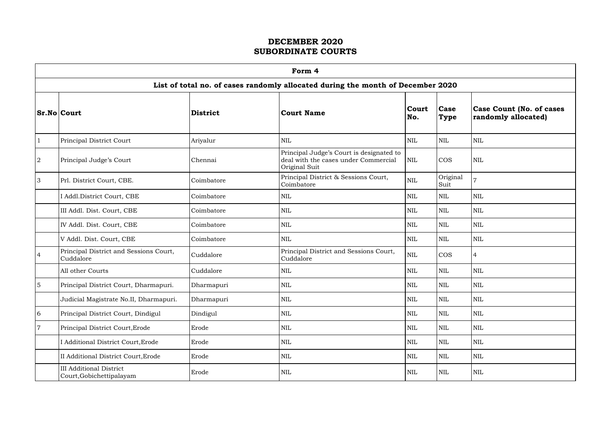$\Gamma$ 

|                | Form 4<br>List of total no. of cases randomly allocated during the month of December 2020 |                 |                                                                                                   |              |                            |                                                        |  |  |  |  |  |
|----------------|-------------------------------------------------------------------------------------------|-----------------|---------------------------------------------------------------------------------------------------|--------------|----------------------------|--------------------------------------------------------|--|--|--|--|--|
|                |                                                                                           |                 |                                                                                                   |              |                            |                                                        |  |  |  |  |  |
|                | <b>Sr.No Court</b>                                                                        | <b>District</b> | <b>Court Name</b>                                                                                 | Court<br>No. | <b>Case</b><br><b>Type</b> | <b>Case Count (No. of cases</b><br>randomly allocated) |  |  |  |  |  |
|                | Principal District Court                                                                  | Ariyalur        | <b>NIL</b>                                                                                        | <b>NIL</b>   | <b>NIL</b>                 | <b>NIL</b>                                             |  |  |  |  |  |
| $\overline{2}$ | Principal Judge's Court                                                                   | Chennai         | Principal Judge's Court is designated to<br>deal with the cases under Commercial<br>Original Suit | <b>NIL</b>   | <b>COS</b>                 | <b>NIL</b>                                             |  |  |  |  |  |
| $\overline{3}$ | Prl. District Court, CBE.                                                                 | Coimbatore      | Principal District & Sessions Court,<br>Coimbatore                                                | $\mbox{NIL}$ | Original<br>Suit           |                                                        |  |  |  |  |  |
|                | I Addl.District Court, CBE                                                                | Coimbatore      | <b>NIL</b>                                                                                        | <b>NIL</b>   | <b>NIL</b>                 | $\mbox{NIL}$                                           |  |  |  |  |  |
|                | III Addl. Dist. Court, CBE                                                                | Coimbatore      | <b>NIL</b>                                                                                        | <b>NIL</b>   | <b>NIL</b>                 | <b>NIL</b>                                             |  |  |  |  |  |
|                | IV Addl. Dist. Court, CBE                                                                 | Coimbatore      | <b>NIL</b>                                                                                        | $\mbox{NIL}$ | <b>NIL</b>                 | <b>NIL</b>                                             |  |  |  |  |  |
|                | V Addl. Dist. Court, CBE                                                                  | Coimbatore      | $\mbox{NIL}$                                                                                      | <b>NIL</b>   | <b>NIL</b>                 | $\mbox{NIL}$                                           |  |  |  |  |  |
| $\overline{4}$ | Principal District and Sessions Court,<br>Cuddalore                                       | Cuddalore       | Principal District and Sessions Court,<br>Cuddalore                                               | <b>NIL</b>   | <b>COS</b>                 | $\overline{4}$                                         |  |  |  |  |  |
|                | All other Courts                                                                          | Cuddalore       | $\mbox{NIL}$                                                                                      | <b>NIL</b>   | $\mbox{NIL}$               | $\mbox{NIL}$                                           |  |  |  |  |  |
| <sup>5</sup>   | Principal District Court, Dharmapuri.                                                     | Dharmapuri      | <b>NIL</b>                                                                                        | <b>NIL</b>   | <b>NIL</b>                 | <b>NIL</b>                                             |  |  |  |  |  |
|                | Judicial Magistrate No.II, Dharmapuri.                                                    | Dharmapuri      | NIL                                                                                               | NIL          | NIL                        | NIL                                                    |  |  |  |  |  |
| 6              | Principal District Court, Dindigul                                                        | Dindigul        | <b>NIL</b>                                                                                        | <b>NIL</b>   | <b>NIL</b>                 | <b>NIL</b>                                             |  |  |  |  |  |
| $\overline{7}$ | Principal District Court, Erode                                                           | Erode           | $\mbox{NIL}$                                                                                      | NIL          | NIL                        | $\mbox{NIL}$                                           |  |  |  |  |  |
|                | I Additional District Court, Erode                                                        | Erode           | $\mbox{NIL}$                                                                                      | <b>NIL</b>   | <b>NIL</b>                 | <b>NIL</b>                                             |  |  |  |  |  |
|                | II Additional District Court, Erode                                                       | Erode           | $\mbox{NIL}$                                                                                      | <b>NIL</b>   | <b>NIL</b>                 | <b>NIL</b>                                             |  |  |  |  |  |
|                | <b>III Additional District</b><br>Court, Gobichettipalayam                                | Erode           | <b>NIL</b>                                                                                        | NIL          | <b>NIL</b>                 | <b>NIL</b>                                             |  |  |  |  |  |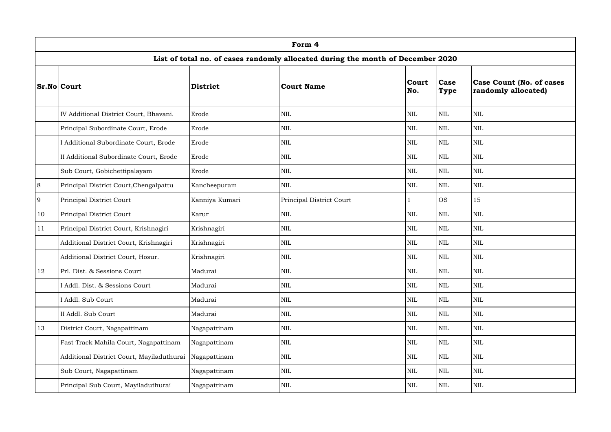|    | Form 4                                                                          |                 |                          |                     |                     |                                                        |  |  |  |  |  |
|----|---------------------------------------------------------------------------------|-----------------|--------------------------|---------------------|---------------------|--------------------------------------------------------|--|--|--|--|--|
|    | List of total no. of cases randomly allocated during the month of December 2020 |                 |                          |                     |                     |                                                        |  |  |  |  |  |
|    | $Sr.No $ Court                                                                  | <b>District</b> | Court Name               | <b>Court</b><br>No. | Case<br><b>Type</b> | <b>Case Count (No. of cases</b><br>randomly allocated) |  |  |  |  |  |
|    | IV Additional District Court, Bhavani.                                          | Erode           | <b>NIL</b>               | <b>NIL</b>          | <b>NIL</b>          | <b>NIL</b>                                             |  |  |  |  |  |
|    | Principal Subordinate Court, Erode                                              | Erode           | <b>NIL</b>               | $\mbox{NIL}$        | $\mbox{NIL}$        | <b>NIL</b>                                             |  |  |  |  |  |
|    | I Additional Subordinate Court, Erode                                           | Erode           | <b>NIL</b>               | $\mbox{NIL}$        | <b>NIL</b>          | <b>NIL</b>                                             |  |  |  |  |  |
|    | II Additional Subordinate Court, Erode                                          | Erode           | <b>NIL</b>               | $\mbox{NIL}$        | <b>NIL</b>          | $\mbox{NIL}$                                           |  |  |  |  |  |
|    | Sub Court, Gobichettipalayam                                                    | Erode           | <b>NIL</b>               | $\mbox{NIL}$        | $\mbox{NIL}$        | <b>NIL</b>                                             |  |  |  |  |  |
| 8  | Principal District Court, Chengalpattu                                          | Kancheepuram    | <b>NIL</b>               | <b>NIL</b>          | <b>NIL</b>          | <b>NIL</b>                                             |  |  |  |  |  |
| 9  | Principal District Court                                                        | Kanniya Kumari  | Principal District Court |                     | <b>OS</b>           | 15                                                     |  |  |  |  |  |
| 10 | Principal District Court                                                        | Karur           | <b>NIL</b>               | $\mbox{NIL}$        | <b>NIL</b>          | <b>NIL</b>                                             |  |  |  |  |  |
| 11 | Principal District Court, Krishnagiri                                           | Krishnagiri     | <b>NIL</b>               | <b>NIL</b>          | $\mbox{NIL}$        | $\mbox{NIL}$                                           |  |  |  |  |  |
|    | Additional District Court, Krishnagiri                                          | Krishnagiri     | <b>NIL</b>               | <b>NIL</b>          | <b>NIL</b>          | $\mbox{NIL}$                                           |  |  |  |  |  |
|    | Additional District Court, Hosur.                                               | Krishnagiri     | <b>NIL</b>               | <b>NIL</b>          | <b>NIL</b>          | $\mbox{NIL}$                                           |  |  |  |  |  |
| 12 | Prl. Dist. & Sessions Court                                                     | Madurai         | <b>NIL</b>               | <b>NIL</b>          | $\mbox{NIL}$        | $\mbox{NIL}$                                           |  |  |  |  |  |
|    | I Addl. Dist. & Sessions Court                                                  | Madurai         | <b>NIL</b>               | NIL                 | <b>NIL</b>          | $\mbox{NIL}$                                           |  |  |  |  |  |
|    | I Addl. Sub Court                                                               | Madurai         | <b>NIL</b>               | NIL                 | <b>NIL</b>          | NIL                                                    |  |  |  |  |  |
|    | II Addl. Sub Court                                                              | Madurai         | <b>NIL</b>               | <b>NIL</b>          | <b>NIL</b>          | <b>NIL</b>                                             |  |  |  |  |  |
| 13 | District Court, Nagapattinam                                                    | Nagapattinam    | <b>NIL</b>               | NIL                 | $\mbox{NIL}$        | $\mbox{NIL}$                                           |  |  |  |  |  |
|    | Fast Track Mahila Court, Nagapattinam                                           | Nagapattinam    | <b>NIL</b>               | NIL                 | <b>NIL</b>          | $\mbox{NIL}$                                           |  |  |  |  |  |
|    | Additional District Court, Mayiladuthurai                                       | Nagapattinam    | <b>NIL</b>               | NIL                 | <b>NIL</b>          | <b>NIL</b>                                             |  |  |  |  |  |
|    | Sub Court, Nagapattinam                                                         | Nagapattinam    | <b>NIL</b>               | NIL                 | <b>NIL</b>          | $\mbox{NIL}$                                           |  |  |  |  |  |
|    | Principal Sub Court, Mayiladuthurai                                             | Nagapattinam    | <b>NIL</b>               | NIL                 | <b>NIL</b>          | $\mbox{NIL}$                                           |  |  |  |  |  |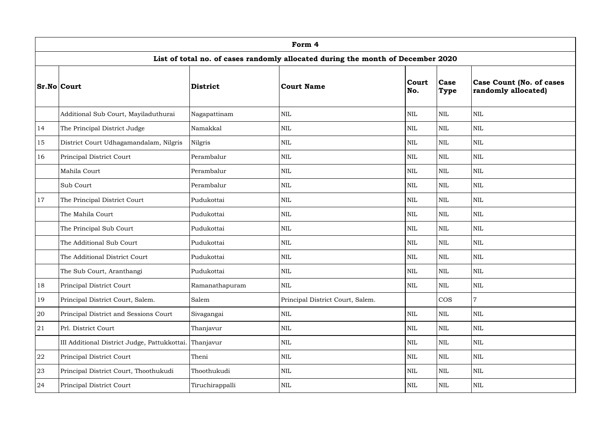|    | Form 4                                                                          |                 |                                  |                     |                            |                                                        |  |  |  |  |  |
|----|---------------------------------------------------------------------------------|-----------------|----------------------------------|---------------------|----------------------------|--------------------------------------------------------|--|--|--|--|--|
|    | List of total no. of cases randomly allocated during the month of December 2020 |                 |                                  |                     |                            |                                                        |  |  |  |  |  |
|    | <b>Sr.No Court</b>                                                              | <b>District</b> | Court Name                       | <b>Court</b><br>No. | <b>Case</b><br><b>Type</b> | <b>Case Count (No. of cases</b><br>randomly allocated) |  |  |  |  |  |
|    | Additional Sub Court, Mayiladuthurai                                            | Nagapattinam    | <b>NIL</b>                       | $\mbox{NIL}$        | <b>NIL</b>                 | $\mbox{NIL}$                                           |  |  |  |  |  |
| 14 | The Principal District Judge                                                    | Namakkal        | <b>NIL</b>                       | $\mbox{NIL}$        | <b>NIL</b>                 | $\mbox{NIL}$                                           |  |  |  |  |  |
| 15 | District Court Udhagamandalam, Nilgris                                          | Nilgris         | <b>NIL</b>                       | NIL                 | $\mbox{NIL}$               | $\mbox{NIL}$                                           |  |  |  |  |  |
| 16 | Principal District Court                                                        | Perambalur      | <b>NIL</b>                       | <b>NIL</b>          | <b>NIL</b>                 | $\mbox{NIL}$                                           |  |  |  |  |  |
|    | Mahila Court                                                                    | Perambalur      | <b>NIL</b>                       | $\mbox{NIL}$        | <b>NIL</b>                 | <b>NIL</b>                                             |  |  |  |  |  |
|    | Sub Court                                                                       | Perambalur      | <b>NIL</b>                       | <b>NIL</b>          | $\mbox{NIL}$               | $\mbox{NIL}$                                           |  |  |  |  |  |
| 17 | The Principal District Court                                                    | Pudukottai      | <b>NIL</b>                       | NIL                 | <b>NIL</b>                 | $\mbox{NIL}$                                           |  |  |  |  |  |
|    | The Mahila Court                                                                | Pudukottai      | <b>NIL</b>                       | $\mbox{NIL}$        | <b>NIL</b>                 | $\mbox{NIL}$                                           |  |  |  |  |  |
|    | The Principal Sub Court                                                         | Pudukottai      | <b>NIL</b>                       | <b>NIL</b>          | $\mbox{NIL}$               | $\mbox{NIL}$                                           |  |  |  |  |  |
|    | The Additional Sub Court                                                        | Pudukottai      | <b>NIL</b>                       | $\mbox{NIL}$        | <b>NIL</b>                 | $\mbox{NIL}$                                           |  |  |  |  |  |
|    | The Additional District Court                                                   | Pudukottai      | <b>NIL</b>                       | $\mbox{NIL}$        | <b>NIL</b>                 | $\mbox{NIL}$                                           |  |  |  |  |  |
|    | The Sub Court, Aranthangi                                                       | Pudukottai      | <b>NIL</b>                       | $\mbox{NIL}$        | $\mbox{NIL}$               | $\mbox{NIL}$                                           |  |  |  |  |  |
| 18 | Principal District Court                                                        | Ramanathapuram  | <b>NIL</b>                       | $\mbox{NIL}$        | <b>NIL</b>                 | $\mbox{NIL}$                                           |  |  |  |  |  |
| 19 | Principal District Court, Salem.                                                | Salem           | Principal District Court, Salem. |                     | $\cos$                     | $\overline{7}$                                         |  |  |  |  |  |
| 20 | Principal District and Sessions Court                                           | Sivagangai      | <b>NIL</b>                       | $\mbox{NIL}$        | <b>NIL</b>                 | $\mbox{NIL}$                                           |  |  |  |  |  |
| 21 | Prl. District Court                                                             | Thanjavur       | <b>NIL</b>                       | $\mbox{NIL}$        | <b>NIL</b>                 | <b>NIL</b>                                             |  |  |  |  |  |
|    | III Additional District Judge, Pattukkottai.                                    | Thanjavur       | <b>NIL</b>                       | NIL                 | $\mbox{NIL}$               | <b>NIL</b>                                             |  |  |  |  |  |
| 22 | Principal District Court                                                        | Theni           | <b>NIL</b>                       | NIL                 | <b>NIL</b>                 | <b>NIL</b>                                             |  |  |  |  |  |
| 23 | Principal District Court, Thoothukudi                                           | Thoothukudi     | <b>NIL</b>                       | $\mbox{NIL}$        | <b>NIL</b>                 | <b>NIL</b>                                             |  |  |  |  |  |
| 24 | Principal District Court                                                        | Tiruchirappalli | <b>NIL</b>                       | NIL                 | $\mbox{NIL}$               | $\mbox{NIL}$                                           |  |  |  |  |  |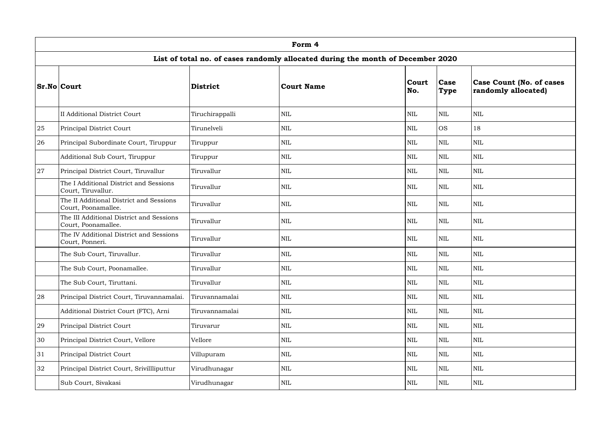|    | Form 4<br>List of total no. of cases randomly allocated during the month of December 2020 |                 |            |                     |                            |                                                        |  |  |  |  |  |
|----|-------------------------------------------------------------------------------------------|-----------------|------------|---------------------|----------------------------|--------------------------------------------------------|--|--|--|--|--|
|    |                                                                                           |                 |            |                     |                            |                                                        |  |  |  |  |  |
|    | <b>Sr.No Court</b>                                                                        | <b>District</b> | Court Name | <b>Court</b><br>No. | <b>Case</b><br><b>Type</b> | <b>Case Count (No. of cases</b><br>randomly allocated) |  |  |  |  |  |
|    | II Additional District Court                                                              | Tiruchirappalli | <b>NIL</b> | <b>NIL</b>          | <b>NIL</b>                 | $\mbox{NIL}$                                           |  |  |  |  |  |
| 25 | Principal District Court                                                                  | Tirunelveli     | <b>NIL</b> | $\mbox{NIL}$        | <b>OS</b>                  | 18                                                     |  |  |  |  |  |
| 26 | Principal Subordinate Court, Tiruppur                                                     | Tiruppur        | <b>NIL</b> | <b>NIL</b>          | <b>NIL</b>                 | <b>NIL</b>                                             |  |  |  |  |  |
|    | Additional Sub Court, Tiruppur                                                            | Tiruppur        | <b>NIL</b> | NIL                 | <b>NIL</b>                 | $\mbox{NIL}$                                           |  |  |  |  |  |
| 27 | Principal District Court, Tiruvallur                                                      | Tiruvallur      | <b>NIL</b> | $\mbox{NIL}$        | <b>NIL</b>                 | <b>NIL</b>                                             |  |  |  |  |  |
|    | The I Additional District and Sessions<br>Court, Tiruvallur.                              | Tiruvallur      | <b>NIL</b> | $\mbox{NIL}$        | <b>NIL</b>                 | $\mbox{NIL}$                                           |  |  |  |  |  |
|    | The II Additional District and Sessions<br>Court, Poonamallee.                            | Tiruvallur      | <b>NIL</b> | <b>NIL</b>          | <b>NIL</b>                 | <b>NIL</b>                                             |  |  |  |  |  |
|    | The III Additional District and Sessions<br>Court, Poonamallee.                           | Tiruvallur      | <b>NIL</b> | $\mbox{NIL}$        | <b>NIL</b>                 | <b>NIL</b>                                             |  |  |  |  |  |
|    | The IV Additional District and Sessions<br>Court, Ponneri.                                | Tiruvallur      | <b>NIL</b> | <b>NIL</b>          | <b>NIL</b>                 | $\mbox{NIL}$                                           |  |  |  |  |  |
|    | The Sub Court, Tiruvallur.                                                                | Tiruvallur      | <b>NIL</b> | <b>NIL</b>          | <b>NIL</b>                 | $\mbox{NIL}$                                           |  |  |  |  |  |
|    | The Sub Court, Poonamallee.                                                               | Tiruvallur      | <b>NIL</b> | $\mbox{NIL}$        | NIL                        | $\mbox{NIL}$                                           |  |  |  |  |  |
|    | The Sub Court, Tiruttani.                                                                 | Tiruvallur      | <b>NIL</b> | NIL                 | <b>NIL</b>                 | <b>NIL</b>                                             |  |  |  |  |  |
| 28 | Principal District Court, Tiruvannamalai.                                                 | Tiruvannamalai  | <b>NIL</b> | <b>NIL</b>          | <b>NIL</b>                 | <b>NIL</b>                                             |  |  |  |  |  |
|    | Additional District Court (FTC), Arni                                                     | Tiruvannamalai  | <b>NIL</b> | <b>NIL</b>          | <b>NIL</b>                 | <b>NIL</b>                                             |  |  |  |  |  |
| 29 | Principal District Court                                                                  | Tiruvarur       | <b>NIL</b> | $\mbox{NIL}$        | <b>NIL</b>                 | $\mbox{NIL}$                                           |  |  |  |  |  |
| 30 | Principal District Court, Vellore                                                         | Vellore         | <b>NIL</b> | <b>NIL</b>          | <b>NIL</b>                 | $\mbox{NIL}$                                           |  |  |  |  |  |
| 31 | Principal District Court                                                                  | Villupuram      | <b>NIL</b> | <b>NIL</b>          | <b>NIL</b>                 | $\mbox{NIL}$                                           |  |  |  |  |  |
| 32 | Principal District Court, Srivillliputtur                                                 | Virudhunagar    | <b>NIL</b> | $\mbox{NIL}$        | $\mbox{NIL}$               | <b>NIL</b>                                             |  |  |  |  |  |
|    | Sub Court, Sivakasi                                                                       | Virudhunagar    | <b>NIL</b> | NIL                 | $\mbox{NIL}$               | $\mbox{NIL}$                                           |  |  |  |  |  |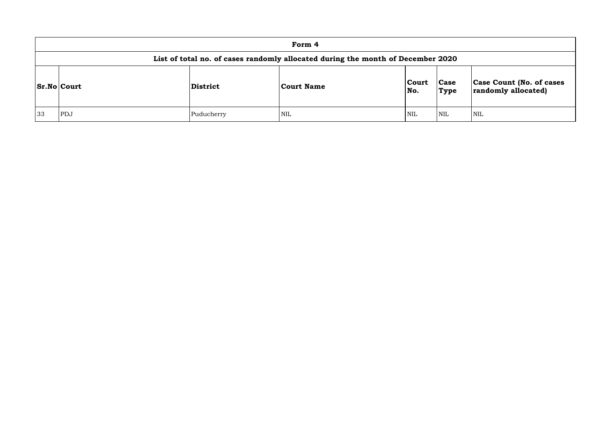|    |                                                                                 |                 | Form 4            |              |                      |                  |  |  |  |  |  |
|----|---------------------------------------------------------------------------------|-----------------|-------------------|--------------|----------------------|------------------|--|--|--|--|--|
|    | List of total no. of cases randomly allocated during the month of December 2020 |                 |                   |              |                      |                  |  |  |  |  |  |
|    | <b>Sr.No Court</b>                                                              | <b>District</b> | <b>Court Name</b> | Court<br>No. | <b>Case</b><br> Type | <b>Ca</b><br>rar |  |  |  |  |  |
| 33 | PDJ                                                                             | Puducherry      | NIL               | <b>NIL</b>   | <b>NIL</b>           | <b>NIL</b>       |  |  |  |  |  |

| Case Count (No. of cases<br>randomly allocated) |
|-------------------------------------------------|
|                                                 |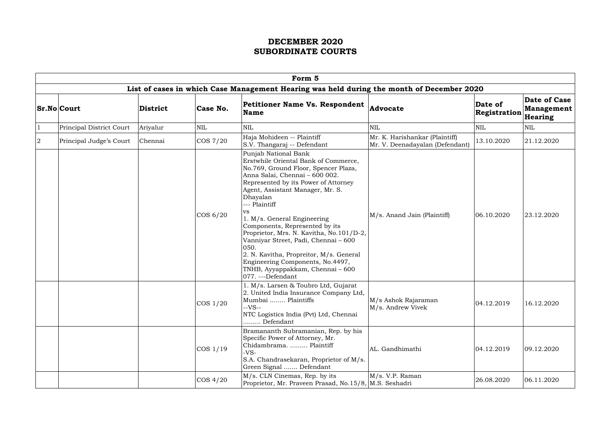|                | Form 5                          |          |             |                                                                                                                                                                                                                                                                                                                                                                                                                                                                                                                                                             |                                                                   |                         |                                                     |  |  |  |  |  |
|----------------|---------------------------------|----------|-------------|-------------------------------------------------------------------------------------------------------------------------------------------------------------------------------------------------------------------------------------------------------------------------------------------------------------------------------------------------------------------------------------------------------------------------------------------------------------------------------------------------------------------------------------------------------------|-------------------------------------------------------------------|-------------------------|-----------------------------------------------------|--|--|--|--|--|
|                |                                 |          |             | List of cases in which Case Management Hearing was held during the month of December 2020                                                                                                                                                                                                                                                                                                                                                                                                                                                                   |                                                                   |                         |                                                     |  |  |  |  |  |
|                | <b>Sr.No Court</b>              | District | Case No.    | <b>Petitioner Name Vs. Respondent</b><br><b>Name</b>                                                                                                                                                                                                                                                                                                                                                                                                                                                                                                        | Advocate                                                          | Date of<br>Registration | <b>Date of Case</b><br><b>Management</b><br>Hearing |  |  |  |  |  |
|                | <b>Principal District Court</b> | Ariyalur | <b>NIL</b>  | <b>NIL</b>                                                                                                                                                                                                                                                                                                                                                                                                                                                                                                                                                  | <b>NIL</b>                                                        | $\mbox{NIL}$            | $\mbox{NIL}$                                        |  |  |  |  |  |
| $\overline{2}$ | Principal Judge's Court         | Chennai  | COS 7/20    | Haja Mohideen -- Plaintiff<br>S.V. Thangaraj -- Defendant                                                                                                                                                                                                                                                                                                                                                                                                                                                                                                   | Mr. K. Harishankar (Plaintiff)<br>Mr. V. Deenadayalan (Defendant) | 13.10.2020              | 21.12.2020                                          |  |  |  |  |  |
|                |                                 |          | $\cos 6/20$ | Punjab National Bank<br>Erstwhile Oriental Bank of Commerce,<br>No.769, Ground Floor, Spencer Plaza,<br>Anna Salai, Chennai - 600 002.<br>Represented by its Power of Attorney<br>Agent, Assistant Manager, Mr. S.<br>Dhayalan<br>--- Plaintiff<br>VS.<br>1. M/s. General Engineering<br>Components, Represented by its<br>Proprietor, Mrs. N. Kavitha, No.101/D-2,<br>Vanniyar Street, Padi, Chennai - 600<br>050.<br>2. N. Kavitha, Propreitor, M/s. General<br>Engineering Components, No.4497,<br>TNHB, Ayyappakkam, Chennai – 600<br>077. ---Defendant | M/s. Anand Jain (Plaintiff)                                       | 06.10.2020              | 23.12.2020                                          |  |  |  |  |  |
|                |                                 |          | $\cos 1/20$ | 1. M/s. Larsen & Toubro Ltd, Gujarat<br>2. United India Insurance Company Ltd,<br>Mumbai  Plaintiffs<br>$-VS-$<br>NTC Logistics India (Pvt) Ltd, Chennai<br>Defendant                                                                                                                                                                                                                                                                                                                                                                                       | M/s Ashok Rajaraman<br>M/s. Andrew Vivek                          | 04.12.2019              | 16.12.2020                                          |  |  |  |  |  |
|                |                                 |          | $\cos 1/19$ | Bramananth Subramanian, Rep. by his<br>Specific Power of Attorney, Mr.<br>Chidambrama.  Plaintiff<br>$-VS-$<br>S.A. Chandrasekaran, Proprietor of M/s.<br>Green Signal  Defendant                                                                                                                                                                                                                                                                                                                                                                           | AL. Gandhimathi                                                   | 04.12.2019              | 09.12.2020                                          |  |  |  |  |  |
|                |                                 |          | $\cos 4/20$ | M/s. CLN Cinemas, Rep. by its<br>Proprietor, Mr. Praveen Prasad, No.15/8, M.S. Seshadri                                                                                                                                                                                                                                                                                                                                                                                                                                                                     | M/s. V.P. Raman                                                   | 26.08.2020              | 06.11.2020                                          |  |  |  |  |  |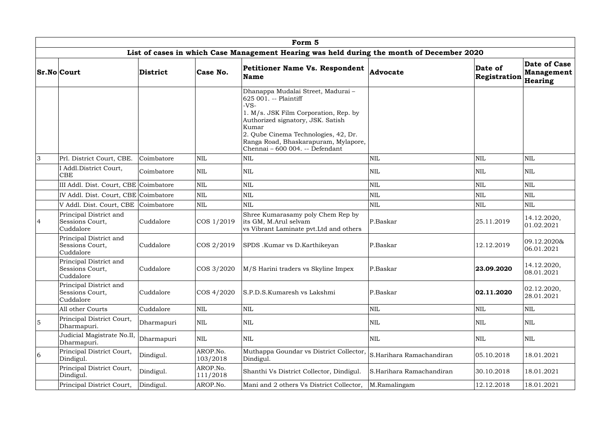|                | Form 5                                                 |            |                      |                                                                                                                                                                                                                                                                                 |                          |                         |                                       |  |  |  |  |
|----------------|--------------------------------------------------------|------------|----------------------|---------------------------------------------------------------------------------------------------------------------------------------------------------------------------------------------------------------------------------------------------------------------------------|--------------------------|-------------------------|---------------------------------------|--|--|--|--|
|                |                                                        |            |                      | List of cases in which Case Management Hearing was held during the month of December 2020                                                                                                                                                                                       |                          |                         |                                       |  |  |  |  |
|                | <b>Sr.No Court</b>                                     | District   | Case No.             | <b>Petitioner Name Vs. Respondent</b><br><b>Name</b>                                                                                                                                                                                                                            | Advocate                 | Date of<br>Registration | Date of Case<br>Management<br>Hearing |  |  |  |  |
|                |                                                        |            |                      | Dhanappa Mudalai Street, Madurai -<br>625 001. -- Plaintiff<br>$-VS-$<br>1. M/s. JSK Film Corporation, Rep. by<br>Authorized signatory, JSK. Satish<br>Kumar<br>2. Qube Cinema Technologies, 42, Dr.<br>Ranga Road, Bhaskarapuram, Mylapore,<br>Chennai - 600 004. -- Defendant |                          |                         |                                       |  |  |  |  |
| $\overline{3}$ | Prl. District Court, CBE.                              | Coimbatore | $\mbox{NIL}$         | <b>NIL</b>                                                                                                                                                                                                                                                                      | $\mbox{NIL}$             | <b>NIL</b>              | <b>NIL</b>                            |  |  |  |  |
|                | I Addl.District Court,<br><b>CBE</b>                   | Coimbatore | <b>NIL</b>           | <b>NIL</b>                                                                                                                                                                                                                                                                      | <b>NIL</b>               | <b>NIL</b>              | <b>NIL</b>                            |  |  |  |  |
|                | III Addl. Dist. Court, CBE Coimbatore                  |            | $\mbox{NIL}$         | <b>NIL</b>                                                                                                                                                                                                                                                                      | <b>NIL</b>               | <b>NIL</b>              | <b>NIL</b>                            |  |  |  |  |
|                | IV Addl. Dist. Court, CBE Coimbatore                   |            | $\mbox{NIL}$         | <b>NIL</b>                                                                                                                                                                                                                                                                      | NIL                      | <b>NIL</b>              | <b>NIL</b>                            |  |  |  |  |
|                | V Addl. Dist. Court, CBE Coimbatore                    |            | $\mbox{NIL}$         | <b>NIL</b>                                                                                                                                                                                                                                                                      | $\mbox{NIL}$             | <b>NIL</b>              | <b>NIL</b>                            |  |  |  |  |
| $\overline{4}$ | Principal District and<br>Sessions Court,<br>Cuddalore | Cuddalore  | COS 1/2019           | Shree Kumarasamy poly Chem Rep by<br>its GM, M.Arul selvam<br>vs Vibrant Laminate pvt. Ltd and others                                                                                                                                                                           | P.Baskar                 | 25.11.2019              | 14.12.2020,<br> 01.02.2021            |  |  |  |  |
|                | Principal District and<br>Sessions Court,<br>Cuddalore | Cuddalore  | COS 2/2019           | SPDS .Kumar vs D.Karthikeyan                                                                                                                                                                                                                                                    | P.Baskar                 | 12.12.2019              | 09.12.2020&<br>06.01.2021             |  |  |  |  |
|                | Principal District and<br>Sessions Court,<br>Cuddalore | Cuddalore  | COS 3/2020           | M/S Harini traders vs Skyline Impex                                                                                                                                                                                                                                             | P.Baskar                 | 23.09.2020              | 14.12.2020,<br>08.01.2021             |  |  |  |  |
|                | Principal District and<br>Sessions Court,<br>Cuddalore | Cuddalore  | COS 4/2020           | S.P.D.S.Kumaresh vs Lakshmi                                                                                                                                                                                                                                                     | P.Baskar                 | 02.11.2020              | 02.12.2020,<br>28.01.2021             |  |  |  |  |
|                | All other Courts                                       | Cuddalore  | <b>NIL</b>           | $\mbox{NIL}$                                                                                                                                                                                                                                                                    | $\mbox{NIL}$             | <b>NIL</b>              | <b>NIL</b>                            |  |  |  |  |
| 5              | Principal District Court,<br>Dharmapuri.               | Dharmapuri | NIL                  | <b>NIL</b>                                                                                                                                                                                                                                                                      | <b>NIL</b>               | <b>NIL</b>              | <b>NIL</b>                            |  |  |  |  |
|                | Judicial Magistrate No.II,<br>Dharmapuri.              | Dharmapuri | $\mbox{NIL}$         | NIL                                                                                                                                                                                                                                                                             | <b>NIL</b>               | <b>NIL</b>              | NIL                                   |  |  |  |  |
| 6              | Principal District Court,<br>Dindigul.                 | Dindigul.  | AROP.No.<br>103/2018 | Muthappa Goundar vs District Collector,<br>Dindigul.                                                                                                                                                                                                                            | S.Harihara Ramachandiran | 05.10.2018              | 18.01.2021                            |  |  |  |  |
|                | Principal District Court,<br>Dindigul.                 | Dindigul.  | AROP.No.<br>111/2018 | Shanthi Vs District Collector, Dindigul.                                                                                                                                                                                                                                        | S.Harihara Ramachandiran | 30.10.2018              | 18.01.2021                            |  |  |  |  |
|                | Principal District Court,                              | Dindigul.  | AROP.No.             | Mani and 2 others Vs District Collector,                                                                                                                                                                                                                                        | M.Ramalingam             | 12.12.2018              | 18.01.2021                            |  |  |  |  |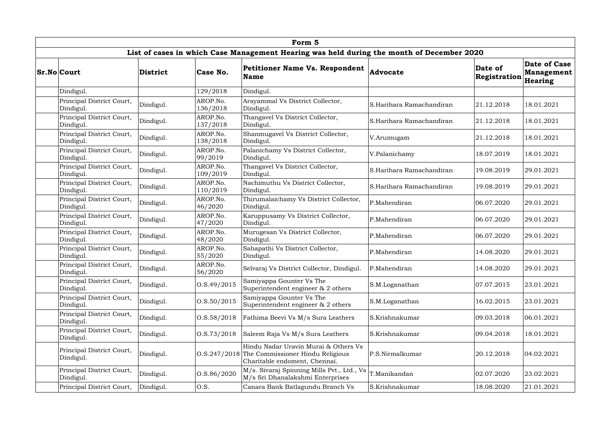|                                        |           |                      | Form 5                                                                                                    |                          |                         |                                                     |
|----------------------------------------|-----------|----------------------|-----------------------------------------------------------------------------------------------------------|--------------------------|-------------------------|-----------------------------------------------------|
|                                        |           |                      | List of cases in which Case Management Hearing was held during the month of December 2020                 |                          |                         |                                                     |
| <b>Sr.No Court</b>                     | District  | Case No.             | <b>Petitioner Name Vs. Respondent</b><br><b>Name</b>                                                      | <b>Advocate</b>          | Date of<br>Registration | <b>Date of Case</b><br><b>Management</b><br>Hearing |
| Dindigul.                              |           | 129/2018             | Dindigul.                                                                                                 |                          |                         |                                                     |
| Principal District Court,<br>Dindigul. | Dindigul. | AROP.No.<br>136/2018 | Arayammal Vs District Collector,<br>Dindigul.                                                             | S.Harihara Ramachandiran | 21.12.2018              | 18.01.2021                                          |
| Principal District Court,<br>Dindigul. | Dindigul. | AROP.No.<br>137/2018 | Thangavel Vs District Collector,<br>Dindigul.                                                             | S.Harihara Ramachandiran | 21.12.2018              | 18.01.2021                                          |
| Principal District Court,<br>Dindigul. | Dindigul. | AROP.No.<br>138/2018 | Shanmugavel Vs District Collector,<br>Dindigul.                                                           | V.Arumugam               | 21.12.2018              | 18.01.2021                                          |
| Principal District Court,<br>Dindigul. | Dindigul. | AROP.No.<br>99/2019  | Palanichamy Vs District Collector,<br>Dindigul.                                                           | V.Palanichamy            | 18.07.2019              | 18.01.2021                                          |
| Principal District Court,<br>Dindigul. | Dindigul. | AROP.No.<br>109/2019 | Thangavel Vs District Collector,<br>Dindigul.                                                             | S.Harihara Ramachandiran | 19.08.2019              | 29.01.2021                                          |
| Principal District Court,<br>Dindigul. | Dindigul. | AROP.No.<br>110/2019 | Nachimuthu Vs District Collector,<br>Dindigul.                                                            | S.Harihara Ramachandiran | 19.08.2019              | 29.01.2021                                          |
| Principal District Court,<br>Dindigul. | Dindigul. | AROP.No.<br>46/2020  | Thirumalaichamy Vs District Collector,<br>Dindigul.                                                       | P.Mahendiran             | 06.07.2020              | 29.01.2021                                          |
| Principal District Court,<br>Dindigul. | Dindigul. | AROP.No.<br>47/2020  | Karuppusamy Vs District Collector,<br>Dindigul.                                                           | P.Mahendiran             | 06.07.2020              | 29.01.2021                                          |
| Principal District Court,<br>Dindigul. | Dindigul. | AROP.No.<br>48/2020  | Murugesan Vs District Collector,<br>Dindigul.                                                             | P.Mahendiran             | 06.07.2020              | 29.01.2021                                          |
| Principal District Court,<br>Dindigul. | Dindigul. | AROP.No.<br>55/2020  | Sabapathi Vs District Collector,<br>Dindigul.                                                             | P.Mahendiran             | 14.08.2020              | 29.01.2021                                          |
| Principal District Court,<br>Dindigul. | Dindigul. | AROP.No.<br>56/2020  | Selvaraj Vs District Collector, Dindigul.                                                                 | P.Mahendiran             | 14.08.2020              | 29.01.2021                                          |
| Principal District Court,<br>Dindigul. | Dindigul. | 0. S.49/2015         | Samiyappa Gounter Vs The<br>Superintendent engineer $& 2$ others                                          | S.M.Loganathan           | 07.07.2015              | 23.01.2021                                          |
| Principal District Court,<br>Dindigul. | Dindigul. | 0.8.50/2015          | Samiyappa Gounter Vs The<br>Superintendent engineer $& 2$ others                                          | S.M.Loganathan           | 16.02.2015              | 23.01.2021                                          |
| Principal District Court,<br>Dindigul. | Dindigul. | 0. S. 58 / 2018      | Fathima Beevi Vs M/s Sura Leathers                                                                        | S.Krishnakumar           | 09.03.2018              | 06.01.2021                                          |
| Principal District Court,<br>Dindigul. | Dindigul. | 0. S. 73/2018        | Saleem Raja Vs M/s Sura Leathers                                                                          | S.Krishnakumar           | 09.04.2018              | 18.01.2021                                          |
| Principal District Court,<br>Dindigul. | Dindigul. | 0. S. 247 / 2018     | Hindu Nadar Uravin Murai & Others Vs<br>The Commissioner Hindu Religious<br>Charitable endoment, Chennai. | P.S.Nirmalkumar          | 20.12.2018              | 04.02.2021                                          |
| Principal District Court,<br>Dindigul. | Dindigul. | O.S.86/2020          | M/s. Sivaraj Spinning Mills Pvt., Ltd., Vs<br>M/s Sri Dhanalakshmi Enterprises                            | T.Manikandan             | 02.07.2020              | 23.02.2021                                          |
| Principal District Court,              | Dindigul. | O.S.                 | Canara Bank Batlagundu Branch Vs                                                                          | S.Krishnakumar           | 18.08.2020              | 21.01.2021                                          |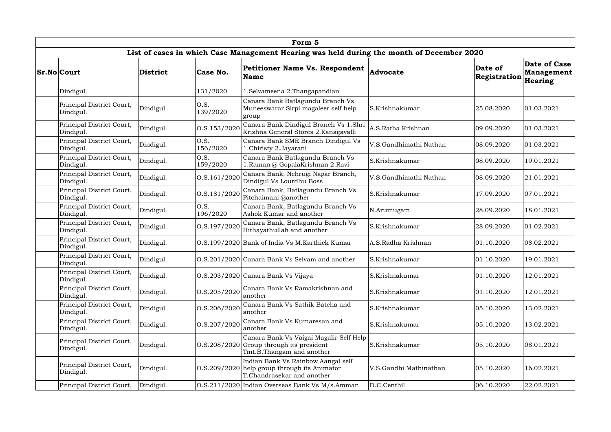|                                        |           |                  | Form 5                                                                                                             |                        |                         |                                              |
|----------------------------------------|-----------|------------------|--------------------------------------------------------------------------------------------------------------------|------------------------|-------------------------|----------------------------------------------|
|                                        |           |                  | List of cases in which Case Management Hearing was held during the month of December 2020                          |                        |                         |                                              |
| <b>Sr.No Court</b>                     | District  | Case No.         | <b>Petitioner Name Vs. Respondent</b><br><b>Name</b>                                                               | Advocate               | Date of<br>Registration | Date of Case<br><b>Management</b><br>Hearing |
| Dindigul.                              |           | 131/2020         | l.Selvameena 2.Thangapandian                                                                                       |                        |                         |                                              |
| Principal District Court,<br>Dindigul. | Dindigul. | O.S.<br>139/2020 | Canara Bank Batlagundu Branch Vs<br>Muneeswarar Sirpi magaleer self help<br>group                                  | S.Krishnakumar         | 25.08.2020              | 01.03.2021                                   |
| Principal District Court,<br>Dindigul. | Dindigul. | O.S 153/2020     | Canara Bank Dindigul Branch Vs 1.Shri<br>Krishna General Stores 2. Kanagavalli                                     | A.S.Ratha Krishnan     | 09.09.2020              | 01.03.2021                                   |
| Principal District Court,<br>Dindigul. | Dindigul. | O.S.<br>156/2020 | Canara Bank SME Branch Dindigul Vs<br>1.Chiristy 2.Jayarani                                                        | V.S.Gandhimathi Nathan | 08.09.2020              | 01.03.2021                                   |
| Principal District Court,<br>Dindigul. | Dindigul. | O.S.<br>159/2020 | Canara Bank Batlagundu Branch Vs<br>l.Raman @ GopalaKrishnan 2.Ravi                                                | S.Krishnakumar         | 08.09.2020              | 19.01.2021                                   |
| Principal District Court,<br>Dindigul. | Dindigul. | O.S.161/2020     | Canara Bank, Nehrugi Nagar Branch,<br>Dindigul Vs Lourdhu Boss                                                     | V.S.Gandhimathi Nathan | 08.09.2020              | 21.01.2021                                   |
| Principal District Court,<br>Dindigul. | Dindigul. | O.S.181/2020     | Canara Bank, Batlagundu Branch Vs<br>Pitchaimani @another                                                          | S.Krishnakumar         | 17.09.2020              | 07.01.2021                                   |
| Principal District Court,<br>Dindigul. | Dindigul. | O.S.<br>196/2020 | Canara Bank, Batlagundu Branch Vs<br>Ashok Kumar and another                                                       | N.Arumugam             | 28.09.2020              | 18.01.2021                                   |
| Principal District Court,<br>Dindigul. | Dindigul. | O.S.197/2020     | Canara Bank, Batlagundu Branch Vs<br>Hithayathullah and another                                                    | S.Krishnakumar         | 28.09.2020              | 01.02.2021                                   |
| Principal District Court,<br>Dindigul. | Dindigul. |                  | O.S.199/2020 Bank of India Vs M.Karthick Kumar                                                                     | A.S.Radha Krishnan     | 01.10.2020              | 08.02.2021                                   |
| Principal District Court,<br>Dindigul. | Dindigul. |                  | O.S.201/2020 Canara Bank Vs Selvam and another                                                                     | S.Krishnakumar         | 01.10.2020              | 19.01.2021                                   |
| Principal District Court,<br>Dindigul. | Dindigul. |                  | O.S.203/2020 Canara Bank Vs Vijaya                                                                                 | S.Krishnakumar         | 01.10.2020              | 12.01.2021                                   |
| Principal District Court,<br>Dindigul. | Dindigul. | O.S.205/2020     | Canara Bank Vs Ramakrishnan and<br>another                                                                         | S.Krishnakumar         | 01.10.2020              | 12.01.2021                                   |
| Principal District Court,<br>Dindigul. | Dindigul. | O.S.206/2020     | Canara Bank Vs Sathik Batcha and<br>another                                                                        | S.Krishnakumar         | 05.10.2020              | 13.02.2021                                   |
| Principal District Court,<br>Dindigul. | Dindigul. | O.S.207/2020     | Canara Bank Vs Kumaresan and<br>another                                                                            | S.Krishnakumar         | 05.10.2020              | 13.02.2021                                   |
| Principal District Court,<br>Dindigul. | Dindigul. |                  | Canara Bank Vs Vaigai Magalir Self Help<br>$0.8.208/2020$ Group through its president<br>Tmt.B.Thangam and another | S.Krishnakumar         | 05.10.2020              | 08.01.2021                                   |
| Principal District Court,<br>Dindigul. | Dindigul. |                  | Indian Bank Vs Rainbow Aangal self<br>$0.5.209/2020$ help group through its Animator<br>T.Chandrasekar and another | V.S.Gandhi Mathinathan | 05.10.2020              | 16.02.2021                                   |
| Principal District Court,              | Dindigul. |                  | O.S.211/2020 Indian Overseas Bank Vs M/s.Amman                                                                     | D.C.Centhil            | 06.10.2020              | 22.02.2021                                   |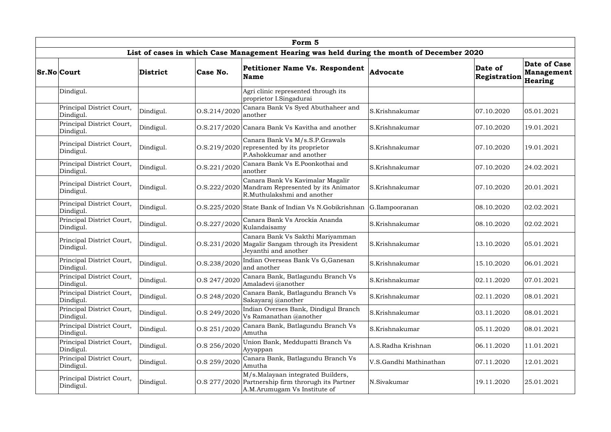|                                        |           |                  | Form 5                                                                                                                  |                        |                         |                                              |
|----------------------------------------|-----------|------------------|-------------------------------------------------------------------------------------------------------------------------|------------------------|-------------------------|----------------------------------------------|
|                                        |           |                  | List of cases in which Case Management Hearing was held during the month of December 2020                               |                        |                         |                                              |
| <b>Sr.No Court</b>                     | District  | Case No.         | <b>Petitioner Name Vs. Respondent</b><br><b>Name</b>                                                                    | <b>Advocate</b>        | Date of<br>Registration | Date of Case<br><b>Management</b><br>Hearing |
| Dindigul.                              |           |                  | Agri clinic represented through its<br>proprietor I.Singadurai                                                          |                        |                         |                                              |
| Principal District Court,<br>Dindigul. | Dindigul. | O.S.214/2020     | Canara Bank Vs Syed Abuthaheer and<br>another                                                                           | S.Krishnakumar         | 07.10.2020              | 05.01.2021                                   |
| Principal District Court,<br>Dindigul. | Dindigul. |                  | O.S.217/2020 Canara Bank Vs Kavitha and another                                                                         | S.Krishnakumar         | 07.10.2020              | 19.01.2021                                   |
| Principal District Court,<br>Dindigul. | Dindigul. | 0. S.219/2020    | Canara Bank Vs M/s.S.P.Grawals<br>represented by its proprietor<br>P.Ashokkumar and another                             | S.Krishnakumar         | 07.10.2020              | 19.01.2021                                   |
| Principal District Court,<br>Dindigul. | Dindigul. | O.S.221/2020     | Canara Bank Vs E.Poonkothai and<br>another                                                                              | S.Krishnakumar         | 07.10.2020              | 24.02.2021                                   |
| Principal District Court,<br>Dindigul. | Dindigul. | 0. S. 222 / 2020 | Canara Bank Vs Kavimalar Magalir<br>Mandram Represented by its Animator<br>R.Muthulakshmi and another                   | S.Krishnakumar         | 07.10.2020              | 20.01.2021                                   |
| Principal District Court,<br>Dindigul. | Dindigul. |                  | O.S.225/2020 State Bank of Indian Vs N.Gobikrishnan                                                                     | G.Ilampooranan         | 08.10.2020              | 02.02.2021                                   |
| Principal District Court,<br>Dindigul. | Dindigul. | O.S.227/2020     | Canara Bank Vs Arockia Ananda<br>Kulandaisamy                                                                           | S.Krishnakumar         | 08.10.2020              | 02.02.2021                                   |
| Principal District Court,<br>Dindigul. | Dindigul. |                  | Canara Bank Vs Sakthi Mariyamman<br>O.S.231/2020 Magalir Sangam through its President<br>Jeyanthi and another           | S.Krishnakumar         | 13.10.2020              | 05.01.2021                                   |
| Principal District Court,<br>Dindigul. | Dindigul. | 0. S. 238 / 2020 | Indian Overseas Bank Vs G, Ganesan<br>and another                                                                       | S.Krishnakumar         | 15.10.2020              | 06.01.2021                                   |
| Principal District Court,<br>Dindigul. | Dindigul. | O.S 247/2020     | Canara Bank, Batlagundu Branch Vs<br>Amaladevi @another                                                                 | S.Krishnakumar         | 02.11.2020              | 07.01.2021                                   |
| Principal District Court,<br>Dindigul. | Dindigul. | O.S 248/2020     | Canara Bank, Batlagundu Branch Vs<br>Sakayaraj @another                                                                 | S.Krishnakumar         | 02.11.2020              | 08.01.2021                                   |
| Principal District Court,<br>Dindigul. | Dindigul. | O.S 249/2020     | Indian Overses Bank, Dindigul Branch<br>Vs Ramanathan @another                                                          | S.Krishnakumar         | 03.11.2020              | 08.01.2021                                   |
| Principal District Court,<br>Dindigul. | Dindigul. | O.S 251/2020     | Canara Bank, Batlagundu Branch Vs<br>Amutha                                                                             | S.Krishnakumar         | 05.11.2020              | 08.01.2021                                   |
| Principal District Court,<br>Dindigul. | Dindigul. | O.S 256/2020     | Union Bank, Meddupatti Branch Vs<br>Ayyappan                                                                            | A.S.Radha Krishnan     | 06.11.2020              | 11.01.2021                                   |
| Principal District Court,<br>Dindigul. | Dindigul. | O.S 259/2020     | Canara Bank, Batlagundu Branch Vs<br>Amutha                                                                             | V.S.Gandhi Mathinathan | 07.11.2020              | 12.01.2021                                   |
| Principal District Court,<br>Dindigul. | Dindigul. |                  | M/s.Malayaan integrated Builders,<br>O.S 277/2020 Partnership firm throrugh its Partner<br>A.M.Arumugam Vs Institute of | N.Sivakumar            | 19.11.2020              | 25.01.2021                                   |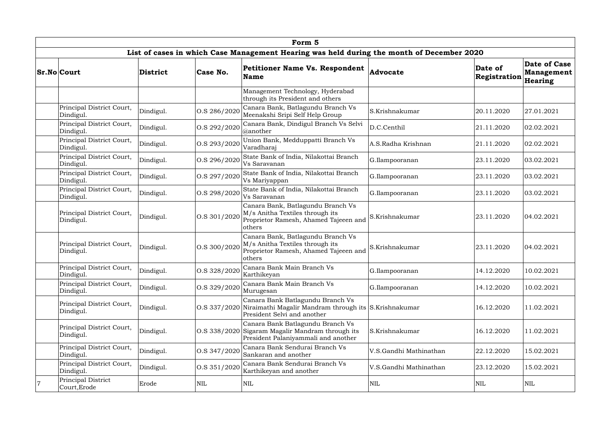|                |                                        |           |              | Form 5                                                                                                                                |                        |                         |                                              |
|----------------|----------------------------------------|-----------|--------------|---------------------------------------------------------------------------------------------------------------------------------------|------------------------|-------------------------|----------------------------------------------|
|                |                                        |           |              | List of cases in which Case Management Hearing was held during the month of December 2020                                             |                        |                         |                                              |
|                | <b>Sr.No Court</b>                     | District  | Case No.     | <b>Petitioner Name Vs. Respondent</b><br><b>Name</b>                                                                                  | Advocate               | Date of<br>Registration | Date of Case<br><b>Management</b><br>Hearing |
|                |                                        |           |              | Management Technology, Hyderabad<br>through its President and others                                                                  |                        |                         |                                              |
|                | Principal District Court,<br>Dindigul. | Dindigul. | O.S 286/2020 | Canara Bank, Batlagundu Branch Vs<br>Meenakshi Sripi Self Help Group                                                                  | S.Krishnakumar         | 20.11.2020              | 27.01.2021                                   |
|                | Principal District Court,<br>Dindigul. | Dindigul. | O.S 292/2020 | Canara Bank, Dindigul Branch Vs Selvi<br>@another                                                                                     | D.C.Centhil            | 21.11.2020              | 02.02.2021                                   |
|                | Principal District Court,<br>Dindigul. | Dindigul. | O.S 293/2020 | Union Bank, Medduppatti Branch Vs<br>Varadharaj                                                                                       | A.S.Radha Krishnan     | 21.11.2020              | 02.02.2021                                   |
|                | Principal District Court,<br>Dindigul. | Dindigul. | O.S 296/2020 | State Bank of India, Nilakottai Branch<br>Vs Saravanan                                                                                | G.Ilampooranan         | 23.11.2020              | 03.02.2021                                   |
|                | Principal District Court,<br>Dindigul. | Dindigul. | O.S 297/2020 | State Bank of India, Nilakottai Branch<br>Vs Mariyappan                                                                               | G.Ilampooranan         | 23.11.2020              | 03.02.2021                                   |
|                | Principal District Court,<br>Dindigul. | Dindigul. | O.S 298/2020 | State Bank of India, Nilakottai Branch<br>Vs Saravanan                                                                                | G.Ilampooranan         | 23.11.2020              | 03.02.2021                                   |
|                | Principal District Court,<br>Dindigul. | Dindigul. | O.S 301/2020 | Canara Bank, Batlagundu Branch Vs<br>M/s Anitha Textiles through its<br>Proprietor Ramesh, Ahamed Tajeeen and<br>others               | S.Krishnakumar         | 23.11.2020              | 04.02.2021                                   |
|                | Principal District Court,<br>Dindigul. | Dindigul. | O.S 300/2020 | Canara Bank, Batlagundu Branch Vs<br>M/s Anitha Textiles through its<br>Proprietor Ramesh, Ahamed Tajeeen and<br>others               | S.Krishnakumar         | 23.11.2020              | 04.02.2021                                   |
|                | Principal District Court,<br>Dindigul. | Dindigul. | O.S 328/2020 | Canara Bank Main Branch Vs<br>Karthikeyan                                                                                             | G.Ilampooranan         | 14.12.2020              | 10.02.2021                                   |
|                | Principal District Court,<br>Dindigul. | Dindigul. | O.S 329/2020 | Canara Bank Main Branch Vs<br>Murugesan                                                                                               | G.Ilampooranan         | 14.12.2020              | 10.02.2021                                   |
|                | Principal District Court,<br>Dindigul. | Dindigul. |              | Canara Bank Batlagundu Branch Vs<br>O.S 337/2020 Niraimathi Magalir Mandram through its S.Krishnakumar<br>President Selvi and another |                        | 16.12.2020              | 11.02.2021                                   |
|                | Principal District Court,<br>Dindigul. | Dindigul. |              | Canara Bank Batlagundu Branch Vs<br>O.S 338/2020 Sigaram Magalir Mandram through its<br>President Palaniyammali and another           | S.Krishnakumar         | 16.12.2020              | 11.02.2021                                   |
|                | Principal District Court,<br>Dindigul. | Dindigul. | O.S 347/2020 | Canara Bank Sendurai Branch Vs<br>Sankaran and another                                                                                | V.S.Gandhi Mathinathan | 22.12.2020              | 15.02.2021                                   |
|                | Principal District Court,<br>Dindigul. | Dindigul. | O.S 351/2020 | Canara Bank Sendurai Branch Vs<br>Karthikeyan and another                                                                             | V.S.Gandhi Mathinathan | 23.12.2020              | 15.02.2021                                   |
| $\overline{7}$ | Principal District<br>Court, Erode     | Erode     | $\mbox{NIL}$ | <b>NIL</b>                                                                                                                            | $\mbox{NIL}$           | <b>NIL</b>              | $\mbox{NIL}$                                 |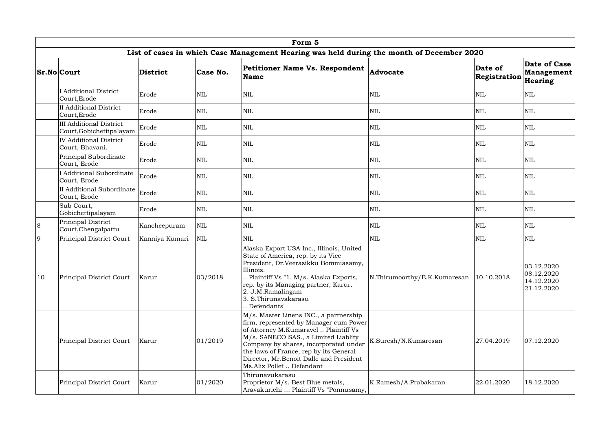|                | Form 5                                                     |                 |              |                                                                                                                                                                                                                                                                                                                              |                              |                         |                                                      |  |  |  |  |
|----------------|------------------------------------------------------------|-----------------|--------------|------------------------------------------------------------------------------------------------------------------------------------------------------------------------------------------------------------------------------------------------------------------------------------------------------------------------------|------------------------------|-------------------------|------------------------------------------------------|--|--|--|--|
|                |                                                            |                 |              | List of cases in which Case Management Hearing was held during the month of December 2020                                                                                                                                                                                                                                    |                              |                         |                                                      |  |  |  |  |
|                | <b>Sr.No Court</b>                                         | <b>District</b> | Case No.     | <b>Petitioner Name Vs. Respondent</b><br><b>Name</b>                                                                                                                                                                                                                                                                         | Advocate                     | Date of<br>Registration | Date of Case<br><b>Management</b><br>Hearing         |  |  |  |  |
|                | <b>I</b> Additional District<br>Court, Erode               | Erode           | $\mbox{NIL}$ | <b>NIL</b>                                                                                                                                                                                                                                                                                                                   | NIL                          | <b>NIL</b>              | <b>NIL</b>                                           |  |  |  |  |
|                | <b>II</b> Additional District<br>Court, Erode              | Erode           | <b>NIL</b>   | <b>NIL</b>                                                                                                                                                                                                                                                                                                                   | $\mbox{NIL}$                 | NIL                     | <b>NIL</b>                                           |  |  |  |  |
|                | <b>III Additional District</b><br>Court, Gobichettipalayam | Erode           | $\mbox{NIL}$ | $\mbox{NIL}$                                                                                                                                                                                                                                                                                                                 | $\mbox{NIL}$                 | <b>NIL</b>              | $\mbox{NIL}$                                         |  |  |  |  |
|                | <b>IV Additional District</b><br>Court, Bhavani.           | Erode           | <b>NIL</b>   | NIL                                                                                                                                                                                                                                                                                                                          | <b>NIL</b>                   | NIL                     | <b>NIL</b>                                           |  |  |  |  |
|                | Principal Subordinate<br>Court, Erode                      | Erode           | <b>NIL</b>   | $\mbox{NIL}$                                                                                                                                                                                                                                                                                                                 | $\mbox{NIL}$                 | NIL                     | <b>NIL</b>                                           |  |  |  |  |
|                | <b>I</b> Additional Subordinate<br>Court, Erode            | Erode           | $\mbox{NIL}$ | <b>NIL</b>                                                                                                                                                                                                                                                                                                                   | $\mbox{NIL}$                 | NIL                     | <b>NIL</b>                                           |  |  |  |  |
|                | II Additional Subordinate<br>Court, Erode                  | Erode           | <b>NIL</b>   | NIL                                                                                                                                                                                                                                                                                                                          | <b>NIL</b>                   | NIL                     | <b>NIL</b>                                           |  |  |  |  |
|                | Sub Court,<br>Gobichettipalayam                            | Erode           | <b>NIL</b>   | <b>NIL</b>                                                                                                                                                                                                                                                                                                                   | $\mbox{NIL}$                 | <b>NIL</b>              | <b>NIL</b>                                           |  |  |  |  |
| 8              | Principal District<br>Court, Chengalpattu                  | Kancheepuram    | NIL          | <b>NIL</b>                                                                                                                                                                                                                                                                                                                   | $\mbox{NIL}$                 | <b>NIL</b>              | <b>NIL</b>                                           |  |  |  |  |
| $\overline{9}$ | Principal District Court                                   | Kanniya Kumari  | <b>NIL</b>   | NIL                                                                                                                                                                                                                                                                                                                          | <b>NIL</b>                   | NIL                     | <b>NIL</b>                                           |  |  |  |  |
| 10             | Principal District Court                                   | Karur           | 03/2018      | Alaska Export USA Inc., Illinois, United<br>State of America, rep. by its Vice<br>President, Dr. Veerasikku Bommiasamy,<br>Illinois.<br>. Plaintiff Vs "1. M/s. Alaska Exports,<br>rep. by its Managing partner, Karur.<br>2. J.M.Ramalingam<br>3. S.Thirunavakarasu<br>Defendants"                                          | N.Thirumoorthy/E.K.Kumaresan | 10.10.2018              | 03.12.2020<br>08.12.2020<br>14.12.2020<br>21.12.2020 |  |  |  |  |
|                | Principal District Court                                   | Karur           | 01/2019      | M/s. Master Linens INC., a partnership<br>firm, represented by Manager cum Power<br>of Attorney M.Kumaravel  Plaintiff Vs<br>M/s. SANECO SAS., a Limited Liablity<br>Company by shares, incorporated under<br>the laws of France, rep by its General<br>Director, Mr.Benoit Dalle and President<br>Ms.Alix Pollet  Defendant | K.Suresh/N.Kumaresan         | 27.04.2019              | 07.12.2020                                           |  |  |  |  |
|                | Principal District Court                                   | Karur           | 01/2020      | Thirunavukarasu<br>Proprietor M/s. Best Blue metals,<br>Aravakurichi  Plaintiff Vs "Ponnusamy,                                                                                                                                                                                                                               | K.Ramesh/A.Prabakaran        | 22.01.2020              | 18.12.2020                                           |  |  |  |  |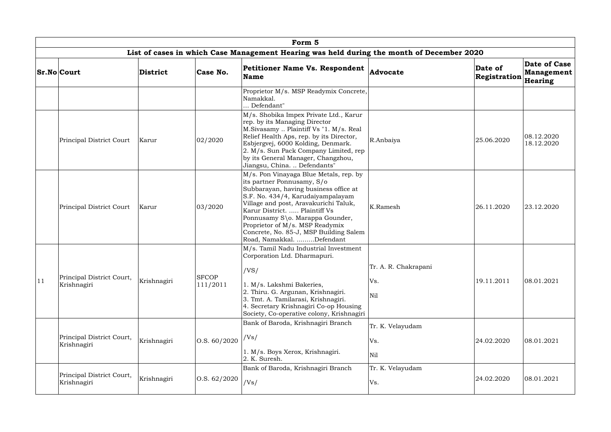|    | Form 5                                   |             |                          |                                                                                                                                                                                                                                                                                                                                                                           |                                    |                         |                                       |  |  |  |
|----|------------------------------------------|-------------|--------------------------|---------------------------------------------------------------------------------------------------------------------------------------------------------------------------------------------------------------------------------------------------------------------------------------------------------------------------------------------------------------------------|------------------------------------|-------------------------|---------------------------------------|--|--|--|
|    |                                          |             |                          | List of cases in which Case Management Hearing was held during the month of December 2020                                                                                                                                                                                                                                                                                 |                                    |                         |                                       |  |  |  |
|    | <b>Sr.No Court</b>                       | District    | Case No.                 | <b>Petitioner Name Vs. Respondent</b><br><b>Name</b>                                                                                                                                                                                                                                                                                                                      | <b>Advocate</b>                    | Date of<br>Registration | Date of Case<br>Management<br>Hearing |  |  |  |
|    |                                          |             |                          | Proprietor M/s. MSP Readymix Concrete,<br>Namakkal.<br>Defendant"                                                                                                                                                                                                                                                                                                         |                                    |                         |                                       |  |  |  |
|    | Principal District Court                 | Karur       | 02/2020                  | M/s. Shobika Impex Private Ltd., Karur<br>rep. by its Managing Director<br>M.Sivasamy  Plaintiff Vs "1. M/s. Real<br>Relief Health Aps, rep. by its Director,<br>Esbjergvej, 6000 Kolding, Denmark.<br>2. M/s. Sun Pack Company Limited, rep<br>by its General Manager, Changzhou,<br>Jiangsu, China.  Defendants"                                                        | R.Anbaiya                          | 25.06.2020              | 08.12.2020<br>18.12.2020              |  |  |  |
|    | Principal District Court                 | Karur       | 03/2020                  | M/s. Pon Vinayaga Blue Metals, rep. by<br>its partner Ponnusamy, S/o<br>Subbarayan, having business office at<br>S.F. No. 434/4, Karudaiyampalayam<br>Village and post, Aravakurichi Taluk,<br>Karur District.  Plaintiff Vs<br>Ponnusamy S\o. Marappa Gounder,<br>Proprietor of M/s. MSP Readymix<br>Concrete, No. 85-J, MSP Building Salem<br>Road, Namakkal. Defendant | K.Ramesh                           | 26.11.2020              | 23.12.2020                            |  |  |  |
| 11 | Principal District Court,<br>Krishnagiri | Krishnagiri | <b>SFCOP</b><br>111/2011 | M/s. Tamil Nadu Industrial Investment<br>Corporation Ltd. Dharmapuri.<br>/VS/<br>1. M/s. Lakshmi Bakeries,<br>2. Thiru. G. Argunan, Krishnagiri.<br>3. Tmt. A. Tamilarasi, Krishnagiri.<br>4. Secretary Krishnagiri Co-op Housing<br>Society, Co-operative colony, Krishnagiri                                                                                            | Tr. A. R. Chakrapani<br>Vs.<br>Nil | 19.11.2011              | 08.01.2021                            |  |  |  |
|    | Principal District Court,<br>Krishnagiri | Krishnagiri | $\vert$ O.S. 60/2020     | Bank of Baroda, Krishnagiri Branch<br>/Vs/<br>1. M/s. Boys Xerox, Krishnagiri.<br>2. K. Suresh.                                                                                                                                                                                                                                                                           | Tr. K. Velayudam<br>Vs.<br>Nil     | 24.02.2020              | 08.01.2021                            |  |  |  |
|    | Principal District Court,<br>Krishnagiri | Krishnagiri | $\vert$ O.S. 62/2020     | Bank of Baroda, Krishnagiri Branch<br>/Vs/                                                                                                                                                                                                                                                                                                                                | Tr. K. Velayudam<br>Vs.            | 24.02.2020              | 08.01.2021                            |  |  |  |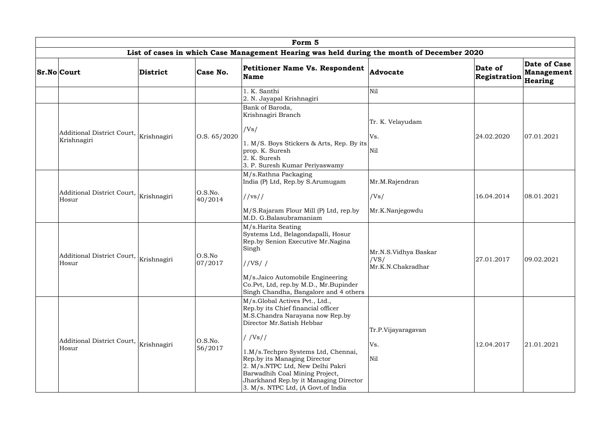|                                                       |                 |                    | Form 5                                                                                                                                                                                                                                                                                                                                                                     |                                                   |                         |                                       |
|-------------------------------------------------------|-----------------|--------------------|----------------------------------------------------------------------------------------------------------------------------------------------------------------------------------------------------------------------------------------------------------------------------------------------------------------------------------------------------------------------------|---------------------------------------------------|-------------------------|---------------------------------------|
|                                                       |                 |                    | List of cases in which Case Management Hearing was held during the month of December 2020                                                                                                                                                                                                                                                                                  |                                                   |                         |                                       |
| <b>Sr.No Court</b>                                    | <b>District</b> | Case No.           | <b>Petitioner Name Vs. Respondent</b><br>Name                                                                                                                                                                                                                                                                                                                              | Advocate                                          | Date of<br>Registration | Date of Case<br>Management<br>Hearing |
|                                                       |                 |                    | l. K. Santhi<br>2. N. Jayapal Krishnagiri                                                                                                                                                                                                                                                                                                                                  | Nil                                               |                         |                                       |
| Additional District Court, Krishnagiri<br>Krishnagiri |                 | O.S. 65/2020       | Bank of Baroda,<br>Krishnagiri Branch<br>/Vs/<br>1. M/S. Boys Stickers & Arts, Rep. By its<br>prop. K. Suresh<br>2. K. Suresh<br>3. P. Suresh Kumar Periyaswamy                                                                                                                                                                                                            | Tr. K. Velayudam<br>Vs.<br>Nil                    | 24.02.2020              | 07.01.2021                            |
| Additional District Court, Krishnagiri<br>Hosur       |                 | O.S.No.<br>40/2014 | M/s.Rathna Packaging<br>India (P) Ltd, Rep.by S.Arumugam<br>//vs//<br>M/S.Rajaram Flour Mill (P) Ltd, rep.by<br>M.D. G.Balasubramaniam                                                                                                                                                                                                                                     | Mr.M.Rajendran<br>/Vs/<br>Mr.K.Nanjegowdu         | 16.04.2014              | 08.01.2021                            |
| Additional District Court, Krishnagiri<br>Hosur       |                 | O.S.No<br>07/2017  | M/s.Harita Seating<br>Systems Ltd, Belagondapalli, Hosur<br>Rep.by Senion Executive Mr.Nagina<br>Singh<br>//VS/<br>M/s.Jaico Automobile Engineering<br>Co.Pvt, Ltd, rep.by M.D., Mr.Bupinder<br>Singh Chandha, Bangalore and 4 others                                                                                                                                      | Mr.N.S.Vidhya Baskar<br>/VS/<br>Mr.K.N.Chakradhar | 27.01.2017              | 09.02.2021                            |
| Additional District Court, Krishnagiri<br>Hosur       |                 | O.S.No.<br>56/2017 | M/s.Global Actives Pvt., Ltd.,<br>Rep.by its Chief financial officer<br>M.S.Chandra Narayana now Rep.by<br>Director Mr.Satish Hebbar<br>//Vs//<br>1.M/s.Techpro Systems Ltd, Chennai,<br>Rep.by its Managing Director<br>2. M/s.NTPC Ltd, New Delhi Pakri<br>Barwadhih Coal Mining Project,<br>Jharkhand Rep.by it Managing Director<br>3. M/s. NTPC Ltd, (A Govt.of India | Tr.P.Vijayaragavan<br>Vs.<br>Nil                  | 12.04.2017              | 21.01.2021                            |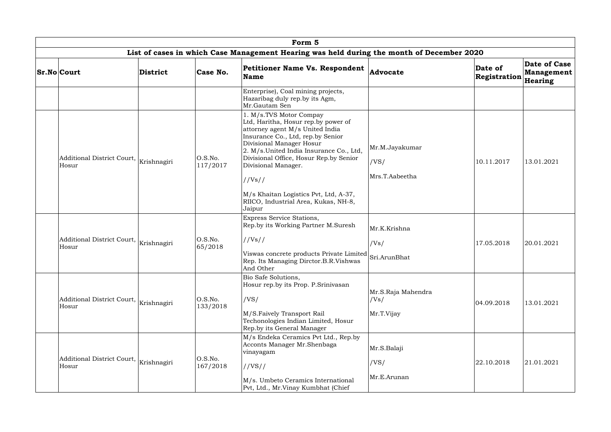|  |                                                 |          |                     | Form 5                                                                                                                                                                                                                                                                         |                            |                         |                                       |
|--|-------------------------------------------------|----------|---------------------|--------------------------------------------------------------------------------------------------------------------------------------------------------------------------------------------------------------------------------------------------------------------------------|----------------------------|-------------------------|---------------------------------------|
|  |                                                 |          |                     | List of cases in which Case Management Hearing was held during the month of December 2020                                                                                                                                                                                      |                            |                         |                                       |
|  | <b>Sr.No Court</b>                              | District | Case No.            | <b>Petitioner Name Vs. Respondent</b><br><b>Name</b>                                                                                                                                                                                                                           | Advocate                   | Date of<br>Registration | Date of Case<br>Management<br>Hearing |
|  |                                                 |          |                     | Enterprise), Coal mining projects,<br>Hazaribag duly rep.by its Agm,<br>Mr.Gautam Sen                                                                                                                                                                                          |                            |                         |                                       |
|  | Additional District Court, Krishnagiri<br>Hosur |          | O.S.No.<br>117/2017 | 1. M/s.TVS Motor Compay<br>Ltd, Haritha, Hosur rep.by power of<br>attorney agent M/s United India<br>Insurance Co., Ltd, rep.by Senior<br>Divisional Manager Hosur<br>2. M/s.United India Insurance Co., Ltd,<br>Divisional Office, Hosur Rep.by Senior<br>Divisional Manager. | Mr.M.Jayakumar<br>/VS/     | 10.11.2017              | 13.01.2021                            |
|  |                                                 |          |                     | //Vs//                                                                                                                                                                                                                                                                         | Mrs.T.Aabeetha             |                         |                                       |
|  |                                                 |          |                     | M/s Khaitan Logistics Pvt, Ltd, A-37,<br>RIICO, Industrial Area, Kukas, NH-8,<br>Jaipur                                                                                                                                                                                        |                            |                         |                                       |
|  |                                                 | 65/2018  |                     | Express Service Stations,<br>Rep.by its Working Partner M.Suresh                                                                                                                                                                                                               | Mr.K.Krishna               |                         |                                       |
|  | Additional District Court, Krishnagiri<br>Hosur |          | O.S.No.             | //Vs//                                                                                                                                                                                                                                                                         | /Vs/                       | 17.05.2018              | 20.01.2021                            |
|  |                                                 |          |                     | Viswas concrete products Private Limited Sri.ArunBhat<br>Rep. Its Managing Dirctor.B.R.Vishwas<br>And Other                                                                                                                                                                    |                            |                         |                                       |
|  |                                                 |          |                     | Bio Safe Solutions,<br>Hosur rep.by its Prop. P.Srinivasan                                                                                                                                                                                                                     |                            |                         |                                       |
|  | Additional District Court, Krishnagiri<br>Hosur |          | O.S.No.<br>133/2018 | /VS/                                                                                                                                                                                                                                                                           | Mr.S.Raja Mahendra<br>/Vs/ | 04.09.2018              | 13.01.2021                            |
|  |                                                 |          |                     | M/S.Faively Transport Rail<br>Techonologies Indian Limited, Hosur<br>Rep.by its General Manager                                                                                                                                                                                | Mr.T.Vijay                 |                         |                                       |
|  | Additional District Court, Krishnagiri<br>Hosur |          |                     | M/s Endeka Ceramics Pvt Ltd., Rep.by<br>Acconts Manager Mr.Shenbaga<br>vinayagam                                                                                                                                                                                               | Mr.S.Balaji                |                         |                                       |
|  |                                                 |          | O.S.No.<br>167/2018 | //VS//                                                                                                                                                                                                                                                                         | /VS/                       | 22.10.2018              | 21.01.2021                            |
|  |                                                 |          |                     | M/s. Umbeto Ceramics International<br>Pvt, Ltd., Mr.Vinay Kumbhat (Chief                                                                                                                                                                                                       | Mr.E.Arunan                |                         |                                       |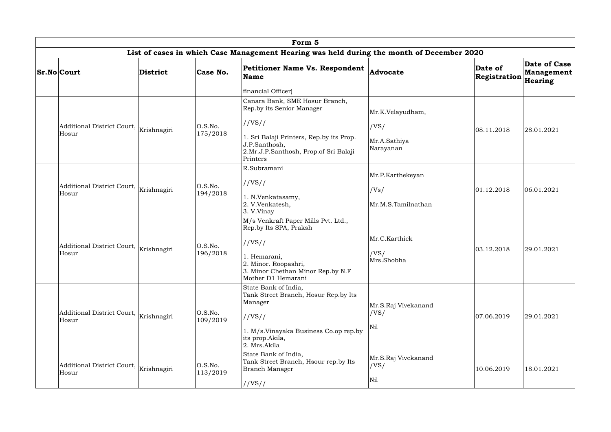|  |                                                 |                                        |                                                                           | Form 5                                                                                                        |                             |                         |                                                     |
|--|-------------------------------------------------|----------------------------------------|---------------------------------------------------------------------------|---------------------------------------------------------------------------------------------------------------|-----------------------------|-------------------------|-----------------------------------------------------|
|  |                                                 |                                        |                                                                           | List of cases in which Case Management Hearing was held during the month of December 2020                     |                             |                         |                                                     |
|  | <b>Sr.No Court</b>                              | District                               | Case No.                                                                  | <b>Petitioner Name Vs. Respondent</b><br>Name                                                                 | <b>Advocate</b>             | Date of<br>Registration | <b>Date of Case</b><br><b>Management</b><br>Hearing |
|  |                                                 |                                        |                                                                           | financial Officer)                                                                                            |                             |                         |                                                     |
|  |                                                 |                                        |                                                                           | Canara Bank, SME Hosur Branch,<br>Rep.by its Senior Manager                                                   | Mr.K.Velayudham,            |                         |                                                     |
|  | Additional District Court, Krishnagiri<br>Hosur |                                        | O.S.No.                                                                   | //VS//                                                                                                        | /VS/                        | 08.11.2018              | 28.01.2021                                          |
|  |                                                 |                                        | 175/2018                                                                  | . Sri Balaji Printers, Rep.by its Prop.<br>J.P.Santhosh,<br>2.Mr.J.P.Santhosh, Prop.of Sri Balaji<br>Printers | Mr.A.Sathiya<br>Narayanan   |                         |                                                     |
|  |                                                 |                                        |                                                                           | R.Subramani                                                                                                   | Mr.P.Karthekeyan            |                         |                                                     |
|  |                                                 | Additional District Court, Krishnagiri | O.S.No.                                                                   | //VS//                                                                                                        |                             |                         |                                                     |
|  | Hosur                                           |                                        | 194/2018                                                                  | 1. N.Venkatasamy,                                                                                             | /Vs/                        | 01.12.2018              | 06.01.2021                                          |
|  |                                                 |                                        | 2. V.Venkatesh,<br>3. V.Vinay                                             | Mr.M.S.Tamilnathan                                                                                            |                             |                         |                                                     |
|  |                                                 |                                        |                                                                           | M/s Venkraft Paper Mills Pvt. Ltd.,<br>Rep.by Its SPA, Praksh                                                 |                             |                         |                                                     |
|  | Additional District Court, Krishnagiri          |                                        | O.S.No.                                                                   | //VS//                                                                                                        | Mr.C.Karthick               | 03.12.2018              | 29.01.2021                                          |
|  | Hosur                                           |                                        | 196/2018                                                                  | l. Hemarani,<br>2. Minor. Roopashri,                                                                          | /VS/<br>Mrs.Shobha          |                         |                                                     |
|  |                                                 |                                        |                                                                           | 3. Minor Chethan Minor Rep.by N.F<br>Mother D1 Hemarani                                                       |                             |                         |                                                     |
|  |                                                 |                                        |                                                                           | State Bank of India,<br>Tank Street Branch, Hosur Rep.by Its                                                  |                             |                         |                                                     |
|  |                                                 |                                        |                                                                           | Manager                                                                                                       | Mr.S.Raj Vivekanand         |                         |                                                     |
|  | Additional District Court,<br>Hosur             | Krishnagiri                            | O.S.No.<br>109/2019                                                       | //VS//                                                                                                        | /VS/                        | 07.06.2019              | 29.01.2021                                          |
|  |                                                 |                                        | 1. M/s.Vinayaka Business Co.op rep.by<br>its prop. Akila,<br>2. Mrs.Akila | Nil                                                                                                           |                             |                         |                                                     |
|  | Additional District Court, Krishnagiri<br>Hosur |                                        | O.S.No.<br>113/2019                                                       | State Bank of India,<br>Tank Street Branch, Hsour rep.by Its<br><b>Branch Manager</b>                         | Mr.S.Raj Vivekanand<br>/VS/ | 10.06.2019              | 18.01.2021                                          |
|  |                                                 |                                        |                                                                           | //VS//                                                                                                        | Nil                         |                         |                                                     |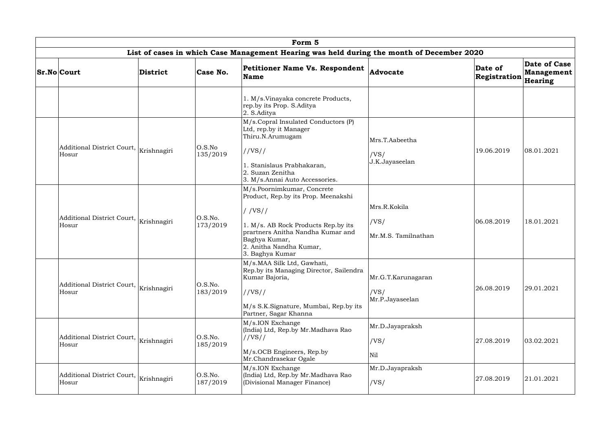|                                                 |             |                     | Form 5                                                                                                                                                                                                                 |                                               |                         |                                       |
|-------------------------------------------------|-------------|---------------------|------------------------------------------------------------------------------------------------------------------------------------------------------------------------------------------------------------------------|-----------------------------------------------|-------------------------|---------------------------------------|
|                                                 |             |                     | List of cases in which Case Management Hearing was held during the month of December 2020                                                                                                                              |                                               |                         |                                       |
| <b>Sr.No Court</b>                              | District    | Case No.            | <b>Petitioner Name Vs. Respondent</b><br>Name                                                                                                                                                                          | Advocate                                      | Date of<br>Registration | Date of Case<br>Management<br>Hearing |
|                                                 |             |                     | 1. M/s.Vinayaka concrete Products,<br>rep.by its Prop. S.Aditya<br>2. S.Aditya                                                                                                                                         |                                               |                         |                                       |
| Additional District Court,<br>Hosur             | Krishnagiri | O.S.No<br>135/2019  | M/s.Copral Insulated Conductors (P)<br>Ltd, rep.by it Manager<br>Thiru.N.Arumugam<br>//VS//<br>1. Stanislaus Prabhakaran,<br>2. Suzan Zenitha<br>3. M/s.Annai Auto Accessories.                                        | Mrs.T.Aabeetha<br>/VS/<br>J.K.Jayaseelan      | 19.06.2019              | 08.01.2021                            |
| Additional District Court,<br>Hosur             | Krishnagiri | O.S.No.<br>173/2019 | M/s.Poornimkumar, Concrete<br>Product, Rep.by its Prop. Meenakshi<br>//VS//<br>1. M/s. AB Rock Products Rep.by its<br>prartners Anitha Nandha Kumar and<br>Baghya Kumar,<br>2. Anitha Nandha Kumar,<br>3. Baghya Kumar | Mrs.R.Kokila<br>/VS/<br>Mr.M.S. Tamilnathan   | 06.08.2019              | 18.01.2021                            |
| Additional District Court, Krishnagiri<br>Hosur |             | O.S.No.<br>183/2019 | M/s.MAA Silk Ltd, Gawhati,<br>Rep.by its Managing Director, Sailendra<br>Kumar Bajoria,<br>//VS//<br>M/s S.K.Signature, Mumbai, Rep.by its<br>Partner, Sagar Khanna                                                    | Mr.G.T.Karunagaran<br>/VS/<br>Mr.P.Jayaseelan | 26.08.2019              | 29.01.2021                            |
| Additional District Court, Krishnagiri<br>Hosur |             | O.S.No.<br>185/2019 | M/s.ION Exchange<br>(India) Ltd, Rep.by Mr.Madhava Rao<br>//VS//<br>M/s.OCB Engineers, Rep.by<br>Mr.Chandrasekar Ogale                                                                                                 | Mr.D.Jayapraksh<br>/VS/<br>Nil                | 27.08.2019              | 03.02.2021                            |
| Additional District Court,<br>Hosur             | Krishnagiri | O.S.No.<br>187/2019 | M/s.ION Exchange<br>(India) Ltd, Rep.by Mr.Madhava Rao<br>(Divisional Manager Finance)                                                                                                                                 | Mr.D.Jayapraksh<br>/VS/                       | 27.08.2019              | 21.01.2021                            |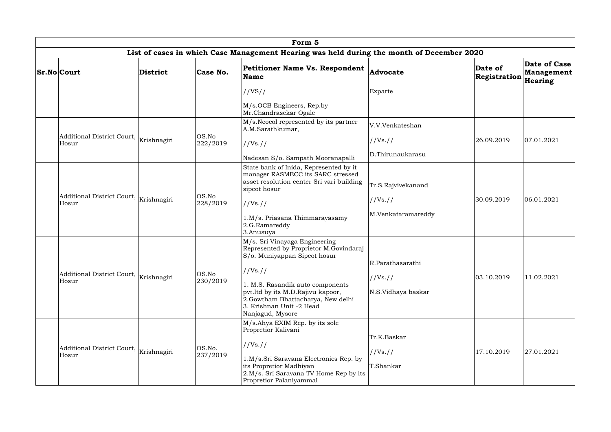|                                                      |                 |                    | Form 5                                                                                                                                                                                                                                                                            |                                                      |                         |                                       |
|------------------------------------------------------|-----------------|--------------------|-----------------------------------------------------------------------------------------------------------------------------------------------------------------------------------------------------------------------------------------------------------------------------------|------------------------------------------------------|-------------------------|---------------------------------------|
|                                                      |                 |                    | List of cases in which Case Management Hearing was held during the month of December 2020                                                                                                                                                                                         |                                                      |                         |                                       |
| <b>Sr.No</b> Court                                   | <b>District</b> | Case No.           | <b>Petitioner Name Vs. Respondent</b><br><b>Name</b>                                                                                                                                                                                                                              | Advocate                                             | Date of<br>Registration | Date of Case<br>Management<br>Hearing |
|                                                      |                 |                    | //VS//<br>M/s.OCB Engineers, Rep.by<br>Mr.Chandrasekar Ogale                                                                                                                                                                                                                      | Exparte                                              |                         |                                       |
| Additional District Court, Krishnagiri<br>Hosur      |                 | OS.No<br>222/2019  | M/s. Neocol represented by its partner<br>A.M.Sarathkumar,<br>//Vs. //<br>Nadesan S/o. Sampath Mooranapalli                                                                                                                                                                       | V.V.Venkateshan<br>//Vs. //<br>D.Thirunaukarasu      | 26.09.2019              | 07.01.2021                            |
| Additional District Court,<br>Hosur                  | Krishnagiri     | OS.No<br>228/2019  | State bank of Inida, Represented by it<br>manager RASMECC its SARC stressed<br>asset resolution center Sri vari building<br>sipcot hosur<br>//Vs. //<br>1.M/s. Priasana Thimmarayasamy<br>2.G.Ramareddy<br>3.Anusuya                                                              | Tr.S.Rajvivekanand<br>//Vs. //<br>M.Venkataramareddy | 30.09.2019              | 06.01.2021                            |
| Additional District Court, Krishnagiri<br>Hosur      |                 | OS.No<br>230/2019  | M/s. Sri Vinayaga Engineering<br>Represented by Proprietor M.Govindaraj<br>S/o. Muniyappan Sipcot hosur<br>//Vs. //<br>1. M.S. Rasandik auto components<br>pvt.ltd by its M.D.Rajivu kapoor,<br>2.Gowtham Bhattacharya, New delhi<br>3. Krishnan Unit -2 Head<br>Nanjagud, Mysore | R.Parathasarathi<br>//Vs. //<br>N.S.Vidhaya baskar   | 03.10.2019              | 11.02.2021                            |
| Additional District Court,  <br>Krishnagiri<br>Hosur |                 | OS.No.<br>237/2019 | M/s.Ahya EXIM Rep. by its sole<br>Propretior Kalivani<br>//Vs. //<br>1.M/s.Sri Saravana Electronics Rep. by<br>its Propretior Madhiyan<br>2.M/s. Sri Saravana TV Home Rep by its<br>Propretior Palaniyammal                                                                       | Tr.K.Baskar<br>//Vs. //<br>T.Shankar                 | 17.10.2019              | 27.01.2021                            |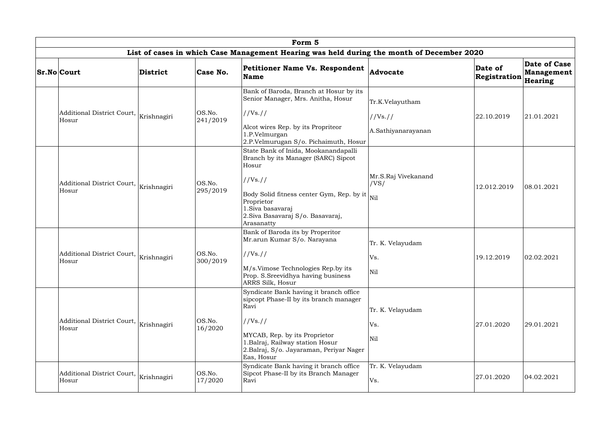|                                                 |                 |                    | Form 5                                                                                                                                                                                                                              |                                                   |                         |                                       |
|-------------------------------------------------|-----------------|--------------------|-------------------------------------------------------------------------------------------------------------------------------------------------------------------------------------------------------------------------------------|---------------------------------------------------|-------------------------|---------------------------------------|
|                                                 |                 |                    | List of cases in which Case Management Hearing was held during the month of December 2020                                                                                                                                           |                                                   |                         |                                       |
| <b>Sr.No Court</b>                              | <b>District</b> | Case No.           | <b>Petitioner Name Vs. Respondent</b><br><b>Name</b>                                                                                                                                                                                | Advocate                                          | Date of<br>Registration | Date of Case<br>Management<br>Hearing |
| Additional District Court,<br>Hosur             | Krishnagiri     | OS.No.<br>241/2019 | Bank of Baroda, Branch at Hosur by its<br>Senior Manager, Mrs. Anitha, Hosur<br>//Vs. //<br>Alcot wires Rep. by its Propriteor<br>1.P.Velmurgan<br>2.P.Velmurugan S/o. Pichaimuth, Hosur                                            | Tr.K.Velayutham<br>//Vs. //<br>A.Sathiyanarayanan | 22.10.2019              | 21.01.2021                            |
| Additional District Court,<br>Hosur             | Krishnagiri     | OS.No.<br>295/2019 | State Bank of Inida, Mookanandapalli<br>Branch by its Manager (SARC) Sipcot<br>Hosur<br>//Vs. //<br>Body Solid fitness center Gym, Rep. by it<br>Proprietor<br>1. Siva basavaraj<br>2. Siva Basavaraj S/o. Basavaraj,<br>Arasanatty | Mr.S.Raj Vivekanand<br>/VS/<br>Nil                | 12.012.2019             | 08.01.2021                            |
| Additional District Court,<br>Hosur             | Krishnagiri     | OS.No.<br>300/2019 | Bank of Baroda its by Properitor<br>Mr.arun Kumar S/o. Narayana<br>//Vs. //<br>M/s.Vimose Technologies Rep.by its<br>Prop. S. Sreevidhya having business<br>ARRS Silk, Hosur                                                        | Tr. K. Velayudam<br>Vs.<br>Nil                    | 19.12.2019              | 02.02.2021                            |
| Additional District Court, Krishnagiri<br>Hosur |                 | OS.No.<br>16/2020  | Syndicate Bank having it branch office<br>sipcopt Phase-II by its branch manager<br>Ravi<br>//Vs. //<br>MYCAB, Rep. by its Proprietor<br>1.Balraj, Railway station Hosur<br>2.Balraj, S/o. Jayaraman, Periyar Nager<br>Eas, Hosur   | Tr. K. Velayudam<br>Vs.<br>Nil                    | 27.01.2020              | 29.01.2021                            |
| Additional District Court, Krishnagiri<br>Hosur |                 | OS.No.<br>17/2020  | Syndicate Bank having it branch office<br>Sipcot Phase-II by its Branch Manager<br>Ravi                                                                                                                                             | Tr. K. Velayudam<br>Vs.                           | 27.01.2020              | 04.02.2021                            |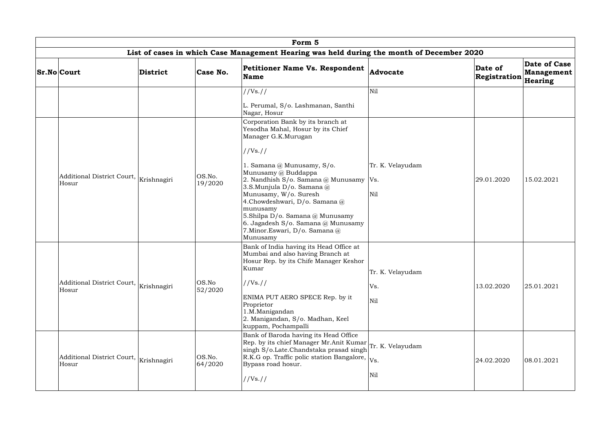| Form 5                                                        |                 |                   |                                                                                                                                                                                                                                                                                                                                                              |                                |                         |                                       |  |  |  |  |
|---------------------------------------------------------------|-----------------|-------------------|--------------------------------------------------------------------------------------------------------------------------------------------------------------------------------------------------------------------------------------------------------------------------------------------------------------------------------------------------------------|--------------------------------|-------------------------|---------------------------------------|--|--|--|--|
|                                                               |                 |                   | List of cases in which Case Management Hearing was held during the month of December 2020                                                                                                                                                                                                                                                                    |                                |                         |                                       |  |  |  |  |
| <b>Sr.No Court</b>                                            | <b>District</b> | Case No.          | <b>Petitioner Name Vs. Respondent</b><br><b>Name</b>                                                                                                                                                                                                                                                                                                         | <b>Advocate</b>                | Date of<br>Registration | Date of Case<br>Management<br>Hearing |  |  |  |  |
|                                                               |                 |                   | //Vs. //<br>L. Perumal, S/o. Lashmanan, Santhi<br>Nagar, Hosur<br>Corporation Bank by its branch at<br>Yesodha Mahal, Hosur by its Chief                                                                                                                                                                                                                     | Nil                            |                         |                                       |  |  |  |  |
| Additional District Court,  <br>Krishnagiri<br>Hosur          |                 | OS.No.<br>19/2020 | Manager G.K.Murugan<br>//Vs. //<br>1. Samana @ Munusamy, S/o.<br>Munusamy @ Buddappa<br>2. Nandhish S/o. Samana @ Munusamy   Vs.<br>3.S.Munjula D/o. Samana @<br>Munusamy, W/o. Suresh<br>4. Chowdeshwari, D/o. Samana @<br>munusamy<br>5.Shilpa D/o. Samana @ Munusamy<br>6. Jagadesh S/o. Samana @ Munusamy<br>7. Minor. Eswari, D/o. Samana @<br>Munusamy | Tr. K. Velayudam<br>Nil        | 29.01.2020              | 15.02.2021                            |  |  |  |  |
| Additional District Court, $\big _{\rm Krishnagiri}$<br>Hosur |                 | OS.No<br>52/2020  | Bank of India having its Head Office at<br>Mumbai and also having Branch at<br>Hosur Rep. by its Chife Manager Keshor<br>Kumar<br>//Vs. //<br>ENIMA PUT AERO SPECE Rep. by it<br>Proprietor<br>1.M.Manigandan<br>2. Manigandan, S/o. Madhan, Keel<br>kuppam, Pochampalli                                                                                     | Tr. K. Velayudam<br>Vs.<br>Nil | 13.02.2020              | 25.01.2021                            |  |  |  |  |
| Additional District Court, Krishnagiri<br>Hosur               |                 | OS.No.<br>64/2020 | Bank of Baroda having its Head Office<br>Rep. by its chief Manager Mr.Anit Kumar Tr. K. Velayudam<br>singh S/o.Late.Chandstaka prasad singh<br>R.K.G op. Traffic polic station Bangalore, $ V_{\rm S} $ .<br>Bypass road hosur.<br>//Vs. //                                                                                                                  | Nil                            | 24.02.2020              | 08.01.2021                            |  |  |  |  |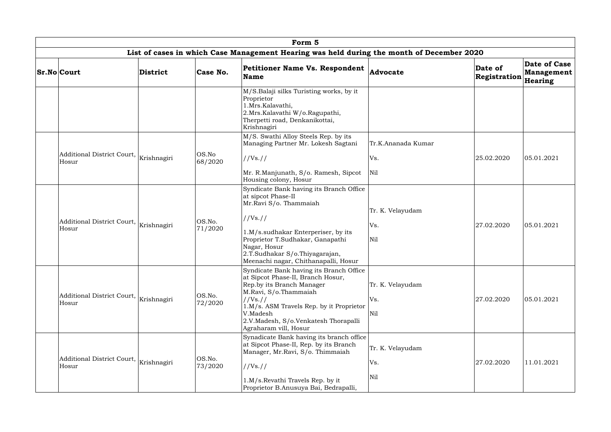|                                                 |             |                   | Form 5                                                                                                                                                                                                                                                                   |                                |                         |                                       |
|-------------------------------------------------|-------------|-------------------|--------------------------------------------------------------------------------------------------------------------------------------------------------------------------------------------------------------------------------------------------------------------------|--------------------------------|-------------------------|---------------------------------------|
|                                                 |             |                   | List of cases in which Case Management Hearing was held during the month of December 2020                                                                                                                                                                                |                                |                         |                                       |
| <b>Sr.No Court</b>                              | District    | Case No.          | <b>Petitioner Name Vs. Respondent</b><br><b>Name</b>                                                                                                                                                                                                                     | Advocate                       | Date of<br>Registration | Date of Case<br>Management<br>Hearing |
|                                                 |             |                   | M/S.Balaji silks Turisting works, by it<br>Proprietor<br>1.Mrs.Kalavathi,<br>2.Mrs.Kalavathi W/o.Ragupathi,<br>Therpetti road, Denkanikottai,<br>Krishnagiri                                                                                                             |                                |                         |                                       |
|                                                 |             |                   | M/S. Swathi Alloy Steels Rep. by its<br>Managing Partner Mr. Lokesh Sagtani                                                                                                                                                                                              | Tr.K.Ananada Kumar             |                         |                                       |
| Additional District Court, Krishnagiri<br>Hosur |             | OS.No<br>68/2020  | //Vs. //                                                                                                                                                                                                                                                                 | Vs.                            | 25.02.2020              | 05.01.2021                            |
|                                                 |             |                   | Mr. R.Manjunath, S/o. Ramesh, Sipcot<br>Housing colony, Hosur                                                                                                                                                                                                            | Nil                            |                         |                                       |
| Additional District Court, Krishnagiri<br>Hosur |             | OS.No.<br>71/2020 | Syndicate Bank having its Branch Office<br>at sipcot Phase-II<br>Mr.Ravi S/o. Thammaiah<br>//Vs. //<br>1.M/s.sudhakar Enterperiser, by its<br>Proprietor T.Sudhakar, Ganapathi<br>Nagar, Hosur<br>2.T.Sudhakar S/o.Thiyagarajan,<br>Meenachi nagar, Chithanapalli, Hosur | Tr. K. Velayudam<br>Vs.<br>Nil | 27.02.2020              | 05.01.2021                            |
| Additional District Court, Krishnagiri<br>Hosur |             | OS.No.<br>72/2020 | Syndicate Bank having its Branch Office<br>at Sipcot Phase-II, Branch Hosur,<br>Rep.by its Branch Manager<br>M.Ravi, S/o.Thammaiah<br>//Vs. //<br>1.M/s. ASM Travels Rep. by it Proprietor<br>V.Madesh<br>2.V.Madesh, S/o.Venkatesh Thorapalli<br>Agraharam vill, Hosur  | Tr. K. Velayudam<br>Vs.<br>Nil | 27.02.2020              | 05.01.2021                            |
| Additional District Court,<br>Hosur             | Krishnagiri | OS.No.<br>73/2020 | Synadicate Bank having its branch office<br>at Sipcot Phase-II, Rep. by its Branch<br>Manager, Mr.Ravi, S/o. Thimmaiah<br>//Vs. //<br>1.M/s.Revathi Travels Rep. by it<br>Proprietor B.Anusuya Bai, Bedrapalli,                                                          | Tr. K. Velayudam<br>Vs.<br>Nil | 27.02.2020              | 11.01.2021                            |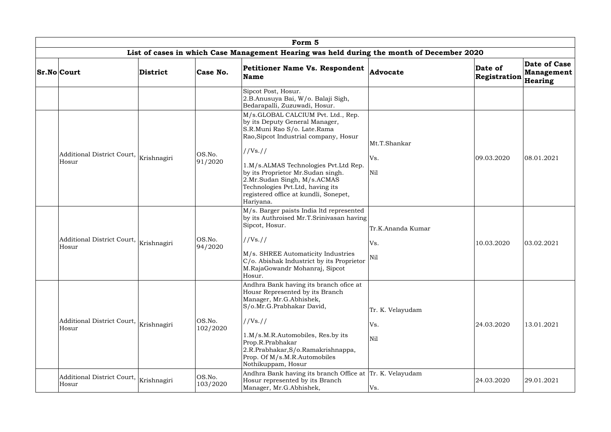|                                                 |          |                    | Form 5                                                                                                                                                                                                                                                                                                                                                          |                                 |                         |                                       |
|-------------------------------------------------|----------|--------------------|-----------------------------------------------------------------------------------------------------------------------------------------------------------------------------------------------------------------------------------------------------------------------------------------------------------------------------------------------------------------|---------------------------------|-------------------------|---------------------------------------|
|                                                 |          |                    | List of cases in which Case Management Hearing was held during the month of December 2020                                                                                                                                                                                                                                                                       |                                 |                         |                                       |
| <b>Sr.No Court</b>                              | District | Case No.           | <b>Petitioner Name Vs. Respondent</b><br><b>Name</b>                                                                                                                                                                                                                                                                                                            | Advocate                        | Date of<br>Registration | Date of Case<br>Management<br>Hearing |
|                                                 |          |                    | Sipcot Post, Hosur.<br>2.B.Anusuya Bai, W/o. Balaji Sigh,<br>Bedarapalli, Zuzuwadi, Hosur.                                                                                                                                                                                                                                                                      |                                 |                         |                                       |
| Additional District Court, Krishnagiri<br>Hosur |          | OS.No.<br>91/2020  | M/s.GLOBAL CALCIUM Pvt. Ltd., Rep.<br>by its Deputy General Manager,<br>S.R.Muni Rao S/o. Late.Rama<br>Rao, Sipcot Industrial company, Hosur<br>//Vs. //<br>1.M/s.ALMAS Technologies Pvt.Ltd Rep.<br>by its Proprietor Mr.Sudan singh.<br>2.Mr.Sudan Singh, M/s.ACMAS<br>Technologies Pvt.Ltd, having its<br>registered office at kundli, Sonepet,<br>Hariyana. | Mt.T.Shankar<br>Vs.<br>Nil      | 09.03.2020              | 08.01.2021                            |
| Additional District Court, Krishnagiri<br>Hosur |          | OS.No.<br>94/2020  | M/s. Barger paists India ltd represented<br>by its Authroised Mr.T.Srinivasan having<br>Sipcot, Hosur.<br>//Vs. //<br>M/s. SHREE Automaticity Industries<br>C/o. Abishak Industrict by its Proprietor<br>M.RajaGowandr Mohanraj, Sipcot<br>Hosur.                                                                                                               | Tr.K.Ananda Kumar<br>Vs.<br>Nil | 10.03.2020              | 03.02.2021                            |
| Additional District Court, Krishnagiri<br>Hosur |          | OS.No.<br>102/2020 | Andhra Bank having its branch ofice at<br>Housr Represented by its Branch<br>Manager, Mr.G.Abhishek,<br>S/o.Mr.G.Prabhakar David,<br>//Vs. //<br>1.M/s.M.R.Automobiles, Res.by its<br>Prop.R.Prabhakar<br>2.R.Prabhakar, S/o.Ramakrishnappa,<br>Prop. Of M/s.M.R.Automobiles<br>Nothikuppam, Hosur                                                              | Tr. K. Velayudam<br>Vs.<br>Nil  | 24.03.2020              | 13.01.2021                            |
| Additional District Court, Krishnagiri<br>Hosur |          | OS.No.<br>103/2020 | Andhra Bank having its branch Office at  Tr. K. Velayudam<br>Hosur represented by its Branch<br>Manager, Mr.G.Abhishek,                                                                                                                                                                                                                                         | Vs.                             | 24.03.2020              | 29.01.2021                            |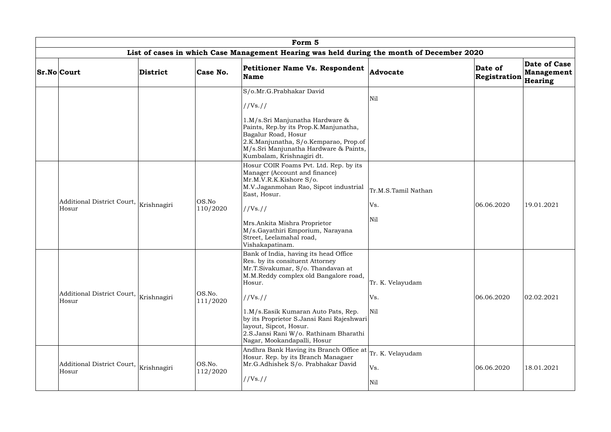| Form 5                                          |                 |                    |                                                                                                                                                                                                                                                                                                                                                                    |                                   |                         |                                              |  |  |  |  |
|-------------------------------------------------|-----------------|--------------------|--------------------------------------------------------------------------------------------------------------------------------------------------------------------------------------------------------------------------------------------------------------------------------------------------------------------------------------------------------------------|-----------------------------------|-------------------------|----------------------------------------------|--|--|--|--|
|                                                 |                 |                    | List of cases in which Case Management Hearing was held during the month of December 2020                                                                                                                                                                                                                                                                          |                                   |                         |                                              |  |  |  |  |
| <b>Sr.No Court</b>                              | <b>District</b> | Case No.           | <b>Petitioner Name Vs. Respondent</b><br>Name                                                                                                                                                                                                                                                                                                                      | <b>Advocate</b>                   | Date of<br>Registration | <b>Date of Case</b><br>Management<br>Hearing |  |  |  |  |
|                                                 |                 |                    | S/o.Mr.G.Prabhakar David<br>//Vs. //<br>1.M/s.Sri Manjunatha Hardware &<br>Paints, Rep.by its Prop.K.Manjunatha,<br>Bagalur Road, Hosur<br>2.K.Manjunatha, S/o.Kemparao, Prop.of<br>M/s.Sri Manjunatha Hardware & Paints,<br>Kumbalam, Krishnagiri dt.                                                                                                             | Nil                               |                         |                                              |  |  |  |  |
| Additional District Court, Krishnagiri<br>Hosur |                 | OS.No<br>110/2020  | Hosur COIR Foams Pvt. Ltd. Rep. by its<br>Manager (Account and finance)<br>Mr.M.V.R.K.Kishore S/o.<br>M.V.Jaganmohan Rao, Sipcot industrial<br>East, Hosur.<br>//Vs. //<br>Mrs.Ankita Mishra Proprietor<br>M/s.Gayathiri Emporium, Narayana<br>Street, Leelamahal road,<br>Vishakapatinam.                                                                         | Tr.M.S.Tamil Nathan<br>Vs.<br>Nil | 06.06.2020              | 19.01.2021                                   |  |  |  |  |
| Additional District Court,  <br>Hosur           | Krishnagiri     | OS.No.<br>111/2020 | Bank of India, having its head Office<br>Res. by its consituent Attorney<br>Mr.T.Sivakumar, S/o. Thandavan at<br>M.M.Reddy complex old Bangalore road,<br>Hosur.<br>//Vs. //<br>1.M/s.Easik Kumaran Auto Pats, Rep.<br>by its Proprietor S.Jansi Rani Rajeshwari<br>layout, Sipcot, Hosur.<br>2.S.Jansi Rani W/o. Rathinam Bharathi<br>Nagar, Mookandapalli, Hosur | Tr. K. Velayudam<br>Vs.<br>Nil    | 06.06.2020              | 02.02.2021                                   |  |  |  |  |
| Additional District Court, Krishnagiri<br>Hosur |                 | OS.No.<br>112/2020 | Andhra Bank Having its Branch Office at <br>Hosur. Rep. by its Branch Managaer<br>Mr.G.Adhishek S/o. Prabhakar David<br>//Vs. //                                                                                                                                                                                                                                   | Tr. K. Velayudam<br>Vs.<br>Nil    | 06.06.2020              | 18.01.2021                                   |  |  |  |  |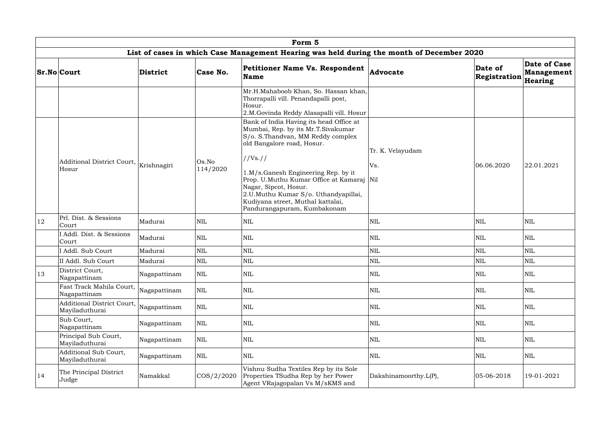|              |                                                 |              |                   | Form 5                                                                                                                                                                                                                                                                                                                                                                                |                         |                         |                                       |
|--------------|-------------------------------------------------|--------------|-------------------|---------------------------------------------------------------------------------------------------------------------------------------------------------------------------------------------------------------------------------------------------------------------------------------------------------------------------------------------------------------------------------------|-------------------------|-------------------------|---------------------------------------|
|              |                                                 |              |                   | List of cases in which Case Management Hearing was held during the month of December 2020                                                                                                                                                                                                                                                                                             |                         |                         |                                       |
|              | <b>Sr.No Court</b>                              | District     | Case No.          | <b>Petitioner Name Vs. Respondent</b><br><b>Name</b>                                                                                                                                                                                                                                                                                                                                  | Advocate                | Date of<br>Registration | Date of Case<br>Management<br>Hearing |
|              |                                                 |              |                   | Mr.H.Mahaboob Khan, So. Hassan khan,<br>Thorrapalli vill. Penandapalli post,<br>Hosur.<br>2.M.Govinda Reddy Alasapalli vill. Hosur                                                                                                                                                                                                                                                    |                         |                         |                                       |
|              | Additional District Court, Krishnagiri<br>Hosur |              | Os.No<br>114/2020 | Bank of India Having its head Office at<br>Mumbai, Rep. by its Mr.T.Sivakumar<br>S/o. S.Thandvan, MM Reddy complex<br>old Bangalore road, Hosur.<br>//Vs. //<br>1.M/s.Ganesh Engineering Rep. by it<br>Prop. U.Muthu Kumar Office at Kamaraj Nil<br>Nagar, Sipcot, Hosur.<br>2.U.Muthu Kumar S/o. Uthandyapillai,<br>Kudiyana street, Muthal kattalai,<br>Pandurangapuram, Kumbakonam | Tr. K. Velayudam<br>Vs. | 06.06.2020              | 22.01.2021                            |
| $ 12\rangle$ | Prl. Dist. & Sessions<br>Court                  | Madurai      | NIL               | <b>NIL</b>                                                                                                                                                                                                                                                                                                                                                                            | <b>NIL</b>              | <b>NIL</b>              | <b>NIL</b>                            |
|              | I Addl. Dist. & Sessions<br>Court               | Madurai      | <b>NIL</b>        | NIL                                                                                                                                                                                                                                                                                                                                                                                   | $\mbox{NIL}$            | <b>NIL</b>              | <b>NIL</b>                            |
|              | I Addl. Sub Court                               | Madurai      | <b>NIL</b>        | <b>NIL</b>                                                                                                                                                                                                                                                                                                                                                                            | $\mbox{NIL}$            | <b>NIL</b>              | <b>NIL</b>                            |
|              | II Addl. Sub Court                              | Madurai      | <b>NIL</b>        | <b>NIL</b>                                                                                                                                                                                                                                                                                                                                                                            | <b>NIL</b>              | <b>NIL</b>              | <b>NIL</b>                            |
| 13           | District Court,<br>Nagapattinam                 | Nagapattinam | NIL               | NIL                                                                                                                                                                                                                                                                                                                                                                                   | $\mbox{NIL}$            | <b>NIL</b>              | $\mbox{NIL}$                          |
|              | Fast Track Mahila Court,<br>Nagapattinam        | Nagapattinam | $\mbox{NIL}$      | NIL                                                                                                                                                                                                                                                                                                                                                                                   | $\mbox{NIL}$            | <b>NIL</b>              | <b>NIL</b>                            |
|              | Additional District Court,<br>Mayiladuthurai    | Nagapattinam | $\mbox{NIL}$      | $\mbox{NIL}$                                                                                                                                                                                                                                                                                                                                                                          | $\mbox{NIL}$            | <b>NIL</b>              | <b>NIL</b>                            |
|              | Sub Court,<br>Nagapattinam                      | Nagapattinam | $\mbox{NIL}$      | $\mbox{NIL}$                                                                                                                                                                                                                                                                                                                                                                          | $\mbox{NIL}$            | <b>NIL</b>              | <b>NIL</b>                            |
|              | Principal Sub Court,<br>Mayiladuthurai          | Nagapattinam | $\mbox{NIL}$      | NIL                                                                                                                                                                                                                                                                                                                                                                                   | $\mbox{NIL}$            | <b>NIL</b>              | <b>NIL</b>                            |
|              | Additional Sub Court,<br>Mayiladuthurai         | Nagapattinam | $\mbox{NIL}$      | <b>NIL</b>                                                                                                                                                                                                                                                                                                                                                                            | $\mbox{NIL}$            | <b>NIL</b>              | <b>NIL</b>                            |
| 14           | The Principal District<br>Judge                 | Namakkal     | $\cos/2/2020$     | Vishnu Sudha Textiles Rep by its Sole<br>Properties TSudha Rep by her Power<br>Agent VRajagopalan Vs M/sKMS and                                                                                                                                                                                                                                                                       | Dakshinamoorthy.L(P),   | $ 05 - 06 - 2018$       | 19-01-2021                            |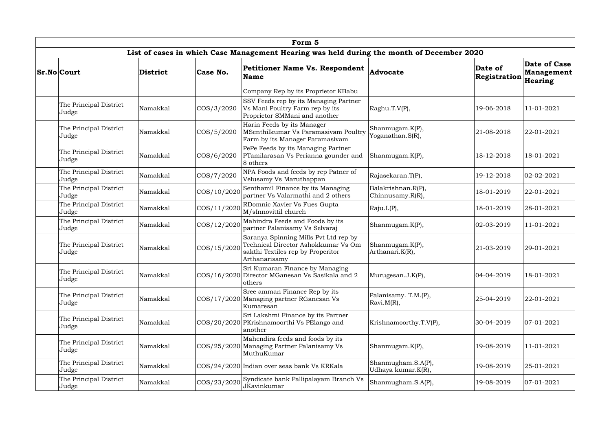| Form 5                          |          |               |                                                                                                                                    |                                          |                         |                                              |  |  |  |  |
|---------------------------------|----------|---------------|------------------------------------------------------------------------------------------------------------------------------------|------------------------------------------|-------------------------|----------------------------------------------|--|--|--|--|
|                                 |          |               | List of cases in which Case Management Hearing was held during the month of December 2020                                          |                                          |                         |                                              |  |  |  |  |
| <b>Sr.No Court</b>              | District | Case No.      | <b>Petitioner Name Vs. Respondent</b><br><b>Name</b>                                                                               | <b>Advocate</b>                          | Date of<br>Registration | Date of Case<br><b>Management</b><br>Hearing |  |  |  |  |
|                                 |          |               | Company Rep by its Proprietor KBabu                                                                                                |                                          |                         |                                              |  |  |  |  |
| The Principal District<br>Judge | Namakkal | COS/3/2020    | SSV Feeds rep by its Managing Partner<br>Vs Mani Poultry Farm rep by its<br>Proprietor SMMani and another                          | Raghu.T.V(P),                            | 19-06-2018              | 11-01-2021                                   |  |  |  |  |
| The Principal District<br>Judge | Namakkal | $\cos/5/2020$ | Harin Feeds by its Manager<br>MSenthilkumar Vs Paramasivam Poultry<br>Farm by its Manager Paramasivam                              | Shanmugam.K(P),<br>Yoganathan.S(R),      | 21-08-2018              | 22-01-2021                                   |  |  |  |  |
| The Principal District<br>Judge | Namakkal | COS/6/2020    | PePe Feeds by its Managing Partner<br>PTamilarasan Vs Perianna gounder and<br>8 others                                             | Shanmugam.K(P),                          | 18-12-2018              | 18-01-2021                                   |  |  |  |  |
| The Principal District<br>Judge | Namakkal | COS/7/2020    | NPA Foods and feeds by rep Patner of<br>Velusamy Vs Maruthappan                                                                    | Rajasekaran.T(P),                        | 19-12-2018              | 02-02-2021                                   |  |  |  |  |
| The Principal District<br>Judge | Namakkal | COS/10/2020   | Senthamil Finance by its Managing<br>partner Vs Valarmathi and 2 others                                                            | Balakrishnan.R(P),<br>Chinnusamy.R(R),   | 18-01-2019              | 22-01-2021                                   |  |  |  |  |
| The Principal District<br>Judge | Namakkal | COS/11/2020   | RDomnic Xavier Vs Fues Gupta<br>M/sInnovittil church                                                                               | Raju.L(P),                               | 18-01-2019              | 28-01-2021                                   |  |  |  |  |
| The Principal District<br>Judge | Namakkal | COS/12/2020   | Mahindra Feeds and Foods by its<br>partner Palanisamy Vs Selvaraj                                                                  | Shanmugam.K(P),                          | $ 02 - 03 - 2019 $      | 11-01-2021                                   |  |  |  |  |
| The Principal District<br>Judge | Namakkal | COS/15/2020   | Saranya Spinning Mills Pvt Ltd rep by<br>Technical Director Ashokkumar Vs Om<br>sakthi Textiles rep by Properitor<br>Arthanarisamy | Shanmugam.K(P),<br>Arthanari.K(R),       | 21-03-2019              | 29-01-2021                                   |  |  |  |  |
| The Principal District<br>Judge | Namakkal |               | Sri Kumaran Finance by Managing<br>COS/16/2020 Director MGanesan Vs Sasikala and 2<br>others                                       | Murugesan.J.K(P),                        | 04-04-2019              | 18-01-2021                                   |  |  |  |  |
| The Principal District<br>Judge | Namakkal |               | Sree amman Finance Rep by its<br>COS/17/2020 Managing partner RGanesan Vs<br>Kumaresan                                             | Palanisamy. T.M.(P),<br>Ravi.M(R),       | 25-04-2019              | 22-01-2021                                   |  |  |  |  |
| The Principal District<br>Judge | Namakkal | COS/20/2020   | Sri Lakshmi Finance by its Partner<br>PKrishnamoorthi Vs PElango and<br>another                                                    | Krishnamoorthy.T.V(P),                   | 30-04-2019              | 07-01-2021                                   |  |  |  |  |
| The Principal District<br>Judge | Namakkal |               | Mahendira feeds and foods by its<br>COS/25/2020 Managing Partner Palanisamy Vs<br>MuthuKumar                                       | Shanmugam.K(P),                          | 19-08-2019              | 11-01-2021                                   |  |  |  |  |
| The Principal District<br>Judge | Namakkal |               | COS/24/2020 Indian over seas bank Vs KRKala                                                                                        | Shanmugham.S.A(P),<br>Udhaya kumar.K(R), | 19-08-2019              | 25-01-2021                                   |  |  |  |  |
| The Principal District<br>Judge | Namakkal | COS/23/2020   | Syndicate bank Pallipalayam Branch Vs<br>JKavinkumar                                                                               | Shanmugham.S.A(P),                       | 19-08-2019              | 07-01-2021                                   |  |  |  |  |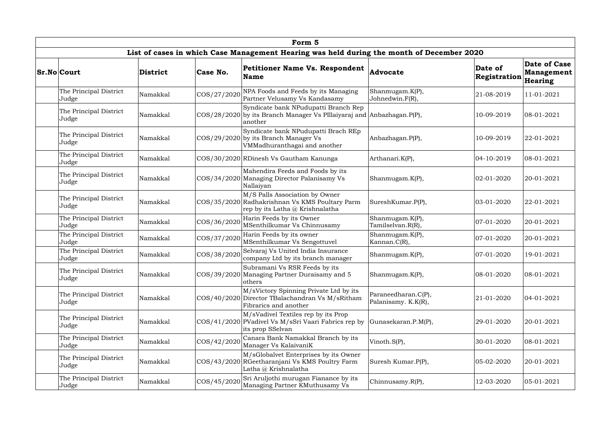| Form 5                          |          |             |                                                                                                                           |                                            |                         |                                                     |  |  |  |
|---------------------------------|----------|-------------|---------------------------------------------------------------------------------------------------------------------------|--------------------------------------------|-------------------------|-----------------------------------------------------|--|--|--|
|                                 |          |             | List of cases in which Case Management Hearing was held during the month of December 2020                                 |                                            |                         |                                                     |  |  |  |
| <b>Sr.No</b> Court              | District | Case No.    | <b>Petitioner Name Vs. Respondent</b><br><b>Name</b>                                                                      | Advocate                                   | Date of<br>Registration | Date of Case<br><b>Management</b><br><b>Hearing</b> |  |  |  |
| The Principal District<br>Judge | Namakkal | COS/27/2020 | NPA Foods and Feeds by its Managing<br>Partner Velusamy Vs Kandasamy                                                      | Shanmugam.K(P),<br>Johnedwin.F(R),         | 21-08-2019              | 11-01-2021                                          |  |  |  |
| The Principal District<br>Judge | Namakkal |             | Syndicate bank NPudupatti Branch Rep<br>COS/28/2020 by its Branch Manager Vs PIllaiyaraj and Anbazhagan. P(P),<br>another |                                            | 10-09-2019              | 08-01-2021                                          |  |  |  |
| The Principal District<br>Judge | Namakkal |             | Syndicate bank NPudupatti Brach REp<br>$\cos(29/2020)$ by its Branch Manager Vs<br>VMMadhuranthagai and another           | Anbazhagan.P(P),                           | 10-09-2019              | 22-01-2021                                          |  |  |  |
| The Principal District<br>Judge | Namakkal |             | COS/30/2020 RDinesh Vs Gautham Kanunga                                                                                    | Arthanari.K(P),                            | 04-10-2019              | 08-01-2021                                          |  |  |  |
| The Principal District<br>Judge | Namakkal |             | Mahendira Feeds and Foods by its<br>COS/34/2020 Managing Director Palanisamy Vs<br>Nallaiyan                              | Shanmugam.K(P),                            | 02-01-2020              | 20-01-2021                                          |  |  |  |
| The Principal District<br>Judge | Namakkal |             | M/S Palls Association by Owner<br>COS/35/2020 Radhakrishnan Vs KMS Poultary Parm<br>rep by its Latha @ Krishnalatha       | SureshKumar.P(P),                          | 03-01-2020              | 22-01-2021                                          |  |  |  |
| The Principal District<br>Judge | Namakkal | COS/36/2020 | Harin Feeds by its Owner<br>MSenthilkumar Vs Chinnusamy                                                                   | Shanmugam.K(P),<br>Tamilselvan.R(R),       | 07-01-2020              | 20-01-2021                                          |  |  |  |
| The Principal District<br>Judge | Namakkal | COS/37/2020 | Harin Feeds by its owner<br>MSenthilkumar Vs Sengottuvel                                                                  | Shanmugam.K(P),<br>Kannan.C(R),            | 07-01-2020              | 20-01-2021                                          |  |  |  |
| The Principal District<br>Judge | Namakkal | COS/38/2020 | Selvaraj Vs United India Insurance<br>company Ltd by its branch manager                                                   | Shanmugam.K(P),                            | 07-01-2020              | 19-01-2021                                          |  |  |  |
| The Principal District<br>Judge | Namakkal |             | Subramani Vs RSR Feeds by its<br>COS/39/2020 Managing Partner Duraisamy and 5<br>others                                   | Shanmugam.K(P),                            | 08-01-2020              | 08-01-2021                                          |  |  |  |
| The Principal District<br>Judge | Namakkal |             | M/sVictory Spinning Private Ltd by its<br>COS/40/2020 Director TBalachandran Vs M/sRitham<br>Fibrarics and another        | Paraneedharan.C(P),<br>Palanisamy. K.K(R), | 21-01-2020              | 04-01-2021                                          |  |  |  |
| The Principal District<br>Judge | Namakkal |             | M/sVadivel Textiles rep by its Prop<br>COS/41/2020 PVadivel Vs M/sSri Vaari Fabrics rep by<br>its prop SSelvan            | Gunasekaran.P.M(P),                        | 29-01-2020              | 20-01-2021                                          |  |  |  |
| The Principal District<br>Judge | Namakkal | COS/42/2020 | Canara Bank Namakkal Branch by its<br>Manager Vs KalaivaniK                                                               | Vinoth.S(P),                               | 30-01-2020              | 08-01-2021                                          |  |  |  |
| The Principal District<br>Judge | Namakkal |             | M/sGlobalvet Enterprises by its Owner<br>COS/43/2020 RGeetharanjani Vs KMS Poultry Farm<br>Latha @ Krishnalatha           | Suresh Kumar.P(P),                         | 05-02-2020              | 20-01-2021                                          |  |  |  |
| The Principal District<br>Judge | Namakkal | COS/45/2020 | Sri Aruljothi murugan Fianance by its<br>Managing Partner KMuthusamy Vs                                                   | Chinnusamy.R(P),                           | 12-03-2020              | 05-01-2021                                          |  |  |  |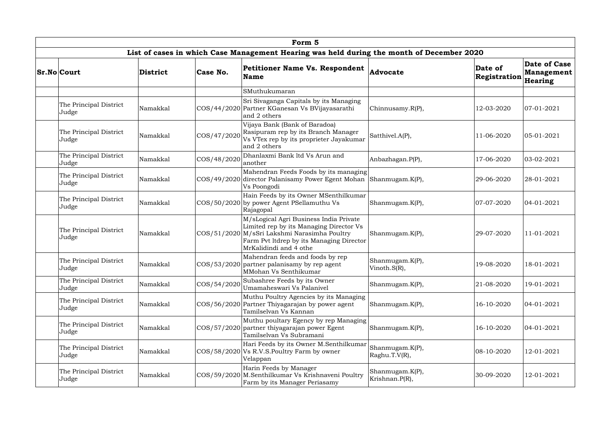|                                 |          |             | Form 5                                                                                                                                                                                                  |                                     |                         |                                              |
|---------------------------------|----------|-------------|---------------------------------------------------------------------------------------------------------------------------------------------------------------------------------------------------------|-------------------------------------|-------------------------|----------------------------------------------|
|                                 |          |             | List of cases in which Case Management Hearing was held during the month of December 2020                                                                                                               |                                     |                         |                                              |
| <b>Sr.No</b> Court              | District | Case No.    | <b>Petitioner Name Vs. Respondent</b><br><b>Name</b>                                                                                                                                                    | Advocate                            | Date of<br>Registration | Date of Case<br><b>Management</b><br>Hearing |
|                                 |          |             | SMuthukumaran                                                                                                                                                                                           |                                     |                         |                                              |
| The Principal District<br>Judge | Namakkal |             | Sri Sivaganga Capitals by its Managing<br>COS/44/2020 Partner KGanesan Vs BVijayasarathi<br>and 2 others                                                                                                | Chinnusamy.R(P),                    | 12-03-2020              | 07-01-2021                                   |
| The Principal District<br>Judge | Namakkal | COS/47/2020 | Vijaya Bank (Bank of Baradoa)<br>Rasipuram rep by its Branch Manager<br>Vs VTex rep by its proprieter Jayakumar<br>and 2 others                                                                         | Satthivel.A(P),                     | 11-06-2020              | 05-01-2021                                   |
| The Principal District<br>Judge | Namakkal | COS/48/2020 | Dhanlaxmi Bank ltd Vs Arun and<br>another                                                                                                                                                               | Anbazhagan.P(P),                    | 17-06-2020              | 03-02-2021                                   |
| The Principal District<br>Judge | Namakkal |             | Mahendran Feeds Foods by its managing<br>COS/49/2020 director Palanisamy Power Egent Mohan<br>Vs Poongodi                                                                                               | Shanmugam.K(P),                     | 29-06-2020              | 28-01-2021                                   |
| The Principal District<br>Judge | Namakkal |             | Hain Feeds by its Owner MSenthilkumar<br>COS/50/2020 by power Agent PSellamuthu Vs<br>Rajagopal                                                                                                         | Shanmugam.K(P),                     | 07-07-2020              | 04-01-2021                                   |
| The Principal District<br>Judge | Namakkal |             | M/sLogical Agri Business India Private<br>Limited rep by its Managing Director Vs<br>COS/51/2020 M/sSri Lakshmi Narasimha Poultry<br>Farm Pvt ltdrep by its Managing Director<br>MrKalidindi and 4 othe | Shanmugam.K(P),                     | 29-07-2020              | 11-01-2021                                   |
| The Principal District<br>Judge | Namakkal |             | Mahendran feeds and foods by rep<br>$ COS/53/2020 $ partner palanisamy by rep agent<br>MMohan Vs Senthikumar                                                                                            | Shanmugam.K(P),<br>Vinoth. $S(R)$ , | 19-08-2020              | 18-01-2021                                   |
| The Principal District<br>Judge | Namakkal | COS/54/2020 | Subashree Feeds by its Owner<br>Umamaheswari Vs Palanivel                                                                                                                                               | Shanmugam.K(P),                     | 21-08-2020              | 19-01-2021                                   |
| The Principal District<br>Judge | Namakkal | COS/56/2020 | Muthu Poultry Agencies by its Managing<br>Partner Thiyagarajan by power agent<br>Tamilselvan Vs Kannan                                                                                                  | Shanmugam.K(P),                     | 16-10-2020              | 04-01-2021                                   |
| The Principal District<br>Judge | Namakkal |             | Muthu poultary Egency by rep Managing<br>COS/57/2020 partner thiyagarajan power Egent<br>Tamilselvan Vs Subramani                                                                                       | Shanmugam.K(P),                     | 16-10-2020              | 04-01-2021                                   |
| The Principal District<br>Judge | Namakkal |             | Hari Feeds by its Owner M.Senthilkumar<br>$\left $ COS/58/2020 Vs R.V.S. Poultry Farm by owner<br>Velappan                                                                                              | Shanmugam.K(P),<br>Raghu.T.V(R),    | 08-10-2020              | 12-01-2021                                   |
| The Principal District<br>Judge | Namakkal |             | Harin Feeds by Manager<br>COS/59/2020 M.Senthilkumar Vs Krishnaveni Poultry<br>Farm by its Manager Periasamy                                                                                            | Shanmugam.K(P),<br>Krishnan.P(R),   | 30-09-2020              | 12-01-2021                                   |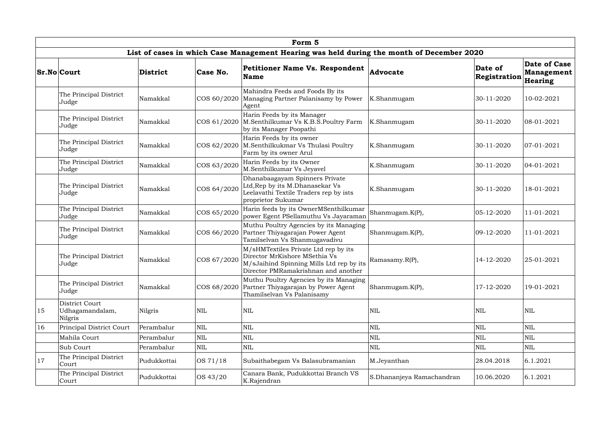|    |                                              |                 |              | Form 5                                                                                                                                                   |                           |                         |                                              |
|----|----------------------------------------------|-----------------|--------------|----------------------------------------------------------------------------------------------------------------------------------------------------------|---------------------------|-------------------------|----------------------------------------------|
|    |                                              |                 |              | List of cases in which Case Management Hearing was held during the month of December 2020                                                                |                           |                         |                                              |
|    | <b>Sr.No Court</b>                           | <b>District</b> | Case No.     | <b>Petitioner Name Vs. Respondent</b><br><b>Name</b>                                                                                                     | Advocate                  | Date of<br>Registration | Date of Case<br><b>Management</b><br>Hearing |
|    | The Principal District<br>Judge              | Namakkal        | COS 60/2020  | Mahindra Feeds and Foods By its<br>Managing Partner Palanisamy by Power<br>Agent                                                                         | K.Shanmugam               | 30-11-2020              | 10-02-2021                                   |
|    | The Principal District<br>Judge              | Namakkal        | COS 61/2020  | Harin Feeds by its Manager<br>M.Senthilkumar Vs K.B.S.Poultry Farm<br>by its Manager Poopathi                                                            | K.Shanmugam               | 30-11-2020              | 08-01-2021                                   |
|    | The Principal District<br>Judge              | Namakkal        | COS 62/2020  | Harin Feeds by its owner<br>M.Senthilkukmar Vs Thulasi Poultry<br>Farm by its owner Arul                                                                 | K.Shanmugam               | 30-11-2020              | 07-01-2021                                   |
|    | The Principal District<br>Judge              | Namakkal        | COS 63/2020  | Harin Feeds by its Owner<br>M.Senthilkumar Vs Jeyavel                                                                                                    | K.Shanmugam               | 30-11-2020              | 04-01-2021                                   |
|    | The Principal District<br>Judge              | Namakkal        | COS 64/2020  | Dhanabaagayam Spinners Private<br>Ltd, Rep by its M.Dhanasekar Vs<br>Leelavathi Textile Traders rep by ists<br>proprietor Sukumar                        | K.Shanmugam               | 30-11-2020              | 18-01-2021                                   |
|    | The Principal District<br>Judge              | Namakkal        | COS 65/2020  | Harin feeds by its OwnerMSenthilkumar<br>power Egent PSellamuthu Vs Jayaraman                                                                            | Shanmugam.K(P),           | 05-12-2020              | 11-01-2021                                   |
|    | The Principal District<br>Judge              | Namakkal        | COS 66/2020  | Muthu Poultry Agencies by its Managing<br>Partner Thiyagarajan Power Agent<br>Tamilselvan Vs Shanmugavadivu                                              | Shanmugam.K(P),           | 09-12-2020              | 11-01-2021                                   |
|    | The Principal District<br>Judge              | Namakkal        | COS 67/2020  | M/sHMTextiles Private Ltd rep by its<br>Director MrKishore MSethia Vs<br>M/sJaihind Spinning Mills Ltd rep by its<br>Director PMRamakrishnan and another | Ramasamy.R(P),            | 14-12-2020              | 25-01-2021                                   |
|    | The Principal District<br>Judge              | Namakkal        | COS 68/2020  | Muthu Poultry Agencies by its Managing<br>Partner Thiyagarajan by Power Agent<br>Thamilselvan Vs Palanisamy                                              | Shanmugam.K(P),           | 17-12-2020              | 19-01-2021                                   |
| 15 | District Court<br>Udhagamandalam,<br>Nilgris | Nilgris         | $\text{NIL}$ | $\mbox{NIL}$                                                                                                                                             | $\mbox{NIL}$              | <b>NIL</b>              | $\mbox{NIL}$                                 |
| 16 | Principal District Court                     | Perambalur      | $\mbox{NIL}$ | $\mbox{NIL}$                                                                                                                                             | NIL                       | <b>NIL</b>              | $\mbox{NIL}$                                 |
|    | Mahila Court                                 | Perambalur      | $\mbox{NIL}$ | $\mbox{NIL}$                                                                                                                                             | $\mbox{NIL}$              | <b>NIL</b>              | <b>NIL</b>                                   |
|    | Sub Court                                    | Perambalur      | $\mbox{NIL}$ | $\mbox{NIL}$                                                                                                                                             | $\mbox{NIL}$              | <b>NIL</b>              | <b>NIL</b>                                   |
| 17 | The Principal District<br>Court              | Pudukkottai     | OS 71/18     | Subaithabegam Vs Balasubramanian                                                                                                                         | M.Jeyanthan               | 28.04.2018              | 6.1.2021                                     |
|    | The Principal District<br>Court              | Pudukkottai     | OS 43/20     | Canara Bank, Pudukkottai Branch VS<br>K.Rajendran                                                                                                        | S.Dhananjeya Ramachandran | 10.06.2020              | 6.1.2021                                     |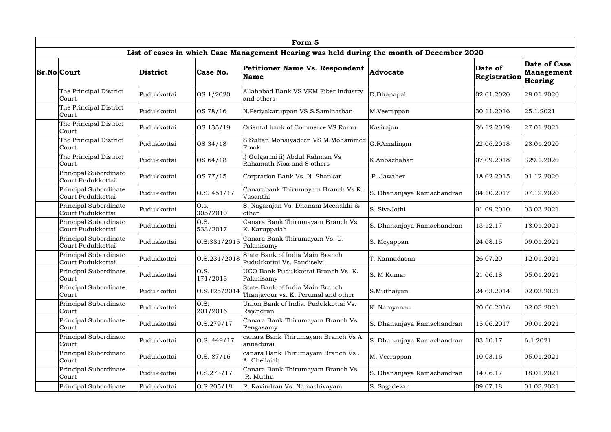|                                            |             |                  | Form 5                                                                                    |                            |                         |                                                     |
|--------------------------------------------|-------------|------------------|-------------------------------------------------------------------------------------------|----------------------------|-------------------------|-----------------------------------------------------|
|                                            |             |                  | List of cases in which Case Management Hearing was held during the month of December 2020 |                            |                         |                                                     |
| <b>Sr.No</b> Court                         | District    | Case No.         | <b>Petitioner Name Vs. Respondent</b><br><b>Name</b>                                      | Advocate                   | Date of<br>Registration | <b>Date of Case</b><br><b>Management</b><br>Hearing |
| The Principal District<br>Court            | Pudukkottai | OS 1/2020        | Allahabad Bank VS VKM Fiber Industry<br>and others                                        | D.Dhanapal                 | 02.01.2020              | 28.01.2020                                          |
| The Principal District<br>Court            | Pudukkottai | OS 78/16         | N.Periyakaruppan VS S.Saminathan                                                          | M.Veerappan                | 30.11.2016              | 25.1.2021                                           |
| The Principal District<br>Court            | Pudukkottai | OS 135/19        | Oriental bank of Commerce VS Ramu                                                         | Kasirajan                  | 26.12.2019              | 27.01.2021                                          |
| The Principal District<br>Court            | Pudukkottai | OS 34/18         | S.Sultan Mohaiyadeen VS M.Mohammed<br>Frook                                               | G.RAmalingm                | 22.06.2018              | 28.01.2020                                          |
| The Principal District<br>Court            | Pudukkottai | OS 64/18         | i) Gulgarini ii) Abdul Rahman Vs<br>Rahamath Nisa and 8 others                            | K.Anbazhahan               | 07.09.2018              | 329.1.2020                                          |
| Principal Subordinate<br>Court Pudukkottai | Pudukkottai | OS 77/15         | Corpration Bank Vs. N. Shankar                                                            | .P. Jawaher                | 18.02.2015              | 01.12.2020                                          |
| Principal Subordinate<br>Court Pudukkottai | Pudukkottai | O.S. 451/17      | Canarabank Thirumayam Branch Vs R.<br>Vasanthi                                            | S. Dhananjaya Ramachandran | 04.10.2017              | 07.12.2020                                          |
| Principal Subordinate<br>Court Pudukkottai | Pudukkottai | O.s.<br>305/2010 | S. Nagarajan Vs. Dhanam Meenakhi &<br>other                                               | S. SivaJothi               | 01.09.2010              | 03.03.2021                                          |
| Principal Subordinate<br>Court Pudukkottai | Pudukkottai | O.S.<br>533/2017 | Canara Bank Thirumayam Branch Vs.<br>K. Karuppaiah                                        | S. Dhananjaya Ramachandran | 13.12.17                | 18.01.2021                                          |
| Principal Subordinate<br>Court Pudukkottai | Pudukkottai | O.S.381/2015     | Canara Bank Thirumayam Vs. U.<br>Palanisamy                                               | S. Meyappan                | 24.08.15                | 09.01.2021                                          |
| Principal Subordinate<br>Court Pudukkottai | Pudukkottai | O.S.231/2018     | State Bank of India Main Branch<br>Pudukkottai Vs. Pandiselvi                             | T. Kannadasan              | 26.07.20                | 12.01.2021                                          |
| Principal Subordinate<br>Court             | Pudukkottai | O.S.<br>171/2018 | UCO Bank Pudukkottai Branch Vs. K.<br>Palanisamy                                          | S. M Kumar                 | 21.06.18                | 05.01.2021                                          |
| Principal Subordinate<br>Court             | Pudukkottai | O.S.125/2014     | State Bank of India Main Branch<br>Thanjavour vs. K. Perumal and other                    | S.Muthaiyan                | 24.03.2014              | 02.03.2021                                          |
| Principal Subordinate<br>Court             | Pudukkottai | O.S.<br>201/2016 | Union Bank of India. Pudukkottai Vs.<br>Rajendran                                         | K. Narayanan               | 20.06.2016              | 02.03.2021                                          |
| Principal Subordinate<br>Court             | Pudukkottai | 0. S. 279 / 17   | Canara Bank Thirumayam Branch Vs.<br>Rengasamy                                            | S. Dhananjaya Ramachandran | 15.06.2017              | 09.01.2021                                          |
| Principal Subordinate<br>Court             | Pudukkottai | 0. S. 449/17     | canara Bank Thirumayam Branch Vs A.<br>annadurai                                          | S. Dhananjaya Ramachandran | 03.10.17                | 6.1.2021                                            |
| Principal Subordinate<br>Court             | Pudukkottai | 0. S. 87/16      | canara Bank Thirumayam Branch Vs.<br>A. Chellaiah                                         | M. Veerappan               | 10.03.16                | 05.01.2021                                          |
| Principal Subordinate<br>Court             | Pudukkottai | 0. S. 273 / 17   | Canara Bank Thirumayam Branch Vs<br>R. Muthu                                              | S. Dhananjaya Ramachandran | 14.06.17                | 18.01.2021                                          |
| Principal Subordinate                      | Pudukkottai | 0. S. 205 / 18   | R. Ravindran Vs. Namachivayam                                                             | S. Sagadevan               | 09.07.18                | 01.03.2021                                          |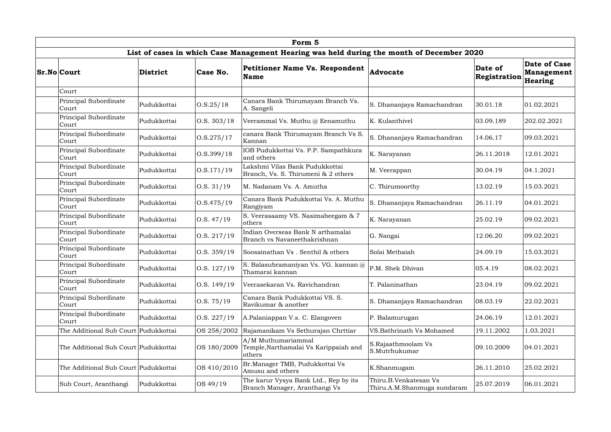| Form 5                               |             |                |                                                                                           |                                                      |                         |                                              |  |  |  |  |
|--------------------------------------|-------------|----------------|-------------------------------------------------------------------------------------------|------------------------------------------------------|-------------------------|----------------------------------------------|--|--|--|--|
|                                      |             |                | List of cases in which Case Management Hearing was held during the month of December 2020 |                                                      |                         |                                              |  |  |  |  |
| <b>Sr.No Court</b>                   | District    | Case No.       | <b>Petitioner Name Vs. Respondent</b><br><b>Name</b>                                      | Advocate                                             | Date of<br>Registration | Date of Case<br><b>Management</b><br>Hearing |  |  |  |  |
| Court                                |             |                |                                                                                           |                                                      |                         |                                              |  |  |  |  |
| Principal Subordinate<br>Court       | Pudukkottai | 0. S. 25 / 18  | Canara Bank Thirumayam Branch Vs.<br>A. Sangeli                                           | S. Dhananjaya Ramachandran                           | 30.01.18                | 01.02.2021                                   |  |  |  |  |
| Principal Subordinate<br>Court       | Pudukkottai | 0. S. 303/18   | Veerammal Vs. Muthu @ Eenamuthu                                                           | K. Kulanthivel                                       | 03.09.189               | 202.02.2021                                  |  |  |  |  |
| Principal Subordinate<br>Court       | Pudukkottai | 0. S. 275 / 17 | canara Bank Thirumayam Branch Vs S.<br>Kannan                                             | S. Dhananjaya Ramachandran                           | 14.06.17                | 09.03.2021                                   |  |  |  |  |
| Principal Subordinate<br>Court       | Pudukkottai | 0. S. 399 / 18 | IOB Pudukkottai Vs. P.P. Sampathkura<br>and others                                        | K. Narayanan                                         | 26.11.2018              | 12.01.2021                                   |  |  |  |  |
| Principal Subordinate<br>Court       | Pudukkottai | 0. S. 171/19   | Lakshmi Vilas Bank Pudukkottai<br>Branch, Vs. S. Thirumeni & 2 others                     | M. Veerappan                                         | 30.04.19                | 04.1.2021                                    |  |  |  |  |
| Principal Subordinate<br>Court       | Pudukkottai | 0. S. 31/19    | M. Nadanam Vs. A. Amutha                                                                  | C. Thirumoorthy                                      | 13.02.19                | 15.03.2021                                   |  |  |  |  |
| Principal Subordinate<br>Court       | Pudukkottai | O.S.475/19     | Canara Bank Pudukkottai Vs. A. Muthu<br>Rangiyam                                          | S. Dhananjaya Ramachandran                           | 26.11.19                | 04.01.2021                                   |  |  |  |  |
| Principal Subordinate<br>Court       | Pudukkottai | 0.S. 47/19     | S. Veerasaamy VS. Nasimabeegam & 7<br>others                                              | K. Narayanan                                         | 25.02.19                | 09.02.2021                                   |  |  |  |  |
| Principal Subordinate<br>Court       | Pudukkottai | O.S. 217/19    | Indian Overseas Bank N arthamalai<br>Branch vs Navaneethakrishnan                         | G. Nangai                                            | 12.06.20                | 09.02.2021                                   |  |  |  |  |
| Principal Subordinate<br>Court       | Pudukkottai | 0. S. 359/19   | Soosainathan Vs. Senthil & others                                                         | Solai Methaiah                                       | 24.09.19                | 15.03.2021                                   |  |  |  |  |
| Principal Subordinate<br>Court       | Pudukkottai | 0. S. 127/19   | S. Balasubramaniyan Vs. VG. kannan @<br>Thamarai kannan                                   | P.M. Shek Dhivan                                     | 05.4.19                 | 08.02.2021                                   |  |  |  |  |
| Principal Subordinate<br>Court       | Pudukkottai | 0.S. 149/19    | Veerasekaran Vs. Ravichandran                                                             | T. Palaninathan                                      | 23.04.19                | 09.02.2021                                   |  |  |  |  |
| Principal Subordinate<br>Court       | Pudukkottai | 0. S. 75/19    | Canara Bank Pudukkottai VS. S.<br>Ravikumar & another                                     | S. Dhananjaya Ramachandran                           | 08.03.19                | 22.02.2021                                   |  |  |  |  |
| Principal Subordinate<br>Court       | Pudukkottai | 0.8.227/19     | A.Palaniappan V.s. C. Elangoven                                                           | P. Balamurugan                                       | 24.06.19                | 12.01.2021                                   |  |  |  |  |
| The Additional Sub Court Pudukkottai |             | OS 258/2002    | Rajamanikam Vs Sethurajan Chrttiar                                                        | VS.Bathrinath Vs Mohamed                             | 19.11.2002              | 1.03.2021                                    |  |  |  |  |
| The Additional Sub Court Pudukkottai |             | OS 180/2009    | A/M Muthumariammal<br>Temple, Narthamalai Vs Karippaiah and<br>others                     | S.Rajaathmoolam Vs<br>S.Mutrhukumar                  | 09.10.2009              | 04.01.2021                                   |  |  |  |  |
| The Additional Sub Court Pudukkottai |             | OS 410/2010    | Br. Manager TMB, Pudukkottai Vs<br>Amusu and others                                       | K.Shanmugam                                          | 26.11.2010              | 25.02.2021                                   |  |  |  |  |
| Sub Court, Aranthangi                | Pudukkottai | OS 49/19       | The karur Vysya Bank Ltd., Rep by its<br>Branch Manager, Aranthangi Vs                    | Thiru.B.Venkatesan Vs<br>Thiru.A.M.Shanmuga sundaram | 25.07.2019              | 06.01.2021                                   |  |  |  |  |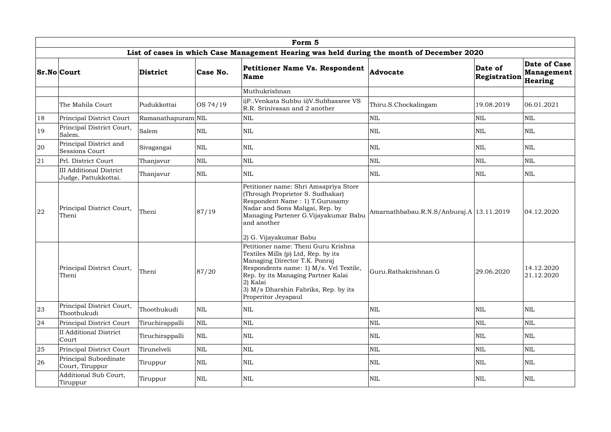|    | Form 5                                                 |                    |              |                                                                                                                                                                                                                                                                        |                                            |                         |                                       |  |  |  |  |
|----|--------------------------------------------------------|--------------------|--------------|------------------------------------------------------------------------------------------------------------------------------------------------------------------------------------------------------------------------------------------------------------------------|--------------------------------------------|-------------------------|---------------------------------------|--|--|--|--|
|    |                                                        |                    |              | List of cases in which Case Management Hearing was held during the month of December 2020                                                                                                                                                                              |                                            |                         |                                       |  |  |  |  |
|    | <b>Sr.No Court</b>                                     | <b>District</b>    | Case No.     | Petitioner Name Vs. Respondent<br><b>Name</b>                                                                                                                                                                                                                          | Advocate                                   | Date of<br>Registration | Date of Case<br>Management<br>Hearing |  |  |  |  |
|    |                                                        |                    |              | Muthukrishnan                                                                                                                                                                                                                                                          |                                            |                         |                                       |  |  |  |  |
|    | The Mahila Court                                       | Pudukkottai        | OS 74/19     | i)P. Venkata Subbu ii)V. Subhassree VS<br>R.R. Srinivasan and 2 another                                                                                                                                                                                                | Thiru.S.Chockalingam                       | 19.08.2019              | 06.01.2021                            |  |  |  |  |
| 18 | Principal District Court                               | Ramanathapuram NIL |              | <b>NIL</b>                                                                                                                                                                                                                                                             | <b>NIL</b>                                 | <b>NIL</b>              | <b>NIL</b>                            |  |  |  |  |
| 19 | Principal District Court,<br>Salem.                    | Salem              | $\mbox{NIL}$ | <b>NIL</b>                                                                                                                                                                                                                                                             | <b>NIL</b>                                 | <b>NIL</b>              | <b>NIL</b>                            |  |  |  |  |
| 20 | Principal District and<br>Sessions Court               | Sivagangai         | $\mbox{NIL}$ | $\mbox{NIL}$                                                                                                                                                                                                                                                           | <b>NIL</b>                                 | <b>NIL</b>              | <b>NIL</b>                            |  |  |  |  |
| 21 | Prl. District Court                                    | Thanjavur          | $\mbox{NIL}$ | NIL                                                                                                                                                                                                                                                                    | $\mbox{NIL}$                               | <b>NIL</b>              | <b>NIL</b>                            |  |  |  |  |
|    | <b>III Additional District</b><br>Judge, Pattukkottai. | Thanjavur          | $\mbox{NIL}$ | <b>NIL</b>                                                                                                                                                                                                                                                             | $\mbox{NIL}$                               | <b>NIL</b>              | <b>NIL</b>                            |  |  |  |  |
| 22 | Principal District Court,<br>Theni                     | Theni              | 87/19        | Petitioner name: Shri Amsapriya Store<br>(Through Proprietor S. Sudhakar)<br>Respondent Name: 1) T.Gurusamy<br>Nadar and Sons Maligai, Rep. by<br>Managing Partener G.Vijayakumar Babu<br>and another<br>2) G. Vijayakumar Babu                                        | Amarnathbabau.R.N.S/Anburaj.A   13.11.2019 |                         | 04.12.2020                            |  |  |  |  |
|    | Principal District Court,<br>Theni                     | Theni              | 87/20        | Petitioner name: Theni Guru Krishna<br>Textiles Mills (p) Ltd, Rep. by its<br>Managing Director T.K. Ponraj<br>Respondents name: 1) M/s. Vel Textile,<br>Rep. by its Managing Partner Kalai<br>2) Kalai<br>3) M/s Dharshin Fabriks, Rep. by its<br>Properitor Jeyapaul | Guru.Rathakrishnan.G                       | 29.06.2020              | 14.12.2020<br>21.12.2020              |  |  |  |  |
| 23 | Principal District Court,<br>Thoothukudi               | Thoothukudi        | $\mbox{NIL}$ | NIL                                                                                                                                                                                                                                                                    | $\mbox{NIL}$                               | <b>NIL</b>              | <b>NIL</b>                            |  |  |  |  |
| 24 | Principal District Court                               | Tiruchirappalli    | $\mbox{NIL}$ | NIL                                                                                                                                                                                                                                                                    | $\mbox{NIL}$                               | <b>NIL</b>              | <b>NIL</b>                            |  |  |  |  |
|    | <b>II</b> Additional District<br>Court                 | Tiruchirappalli    | $\mbox{NIL}$ | <b>NIL</b>                                                                                                                                                                                                                                                             | $\mbox{NIL}$                               | <b>NIL</b>              | NIL                                   |  |  |  |  |
| 25 | Principal District Court                               | Tirunelveli        | $\mbox{NIL}$ | $\mbox{NIL}$                                                                                                                                                                                                                                                           | $\mbox{NIL}$                               | <b>NIL</b>              | <b>NIL</b>                            |  |  |  |  |
| 26 | Principal Subordinate<br>Court, Tiruppur               | Tiruppur           | $\mbox{NIL}$ | <b>NIL</b>                                                                                                                                                                                                                                                             | $\mbox{NIL}$                               | <b>NIL</b>              | <b>NIL</b>                            |  |  |  |  |
|    | Additional Sub Court,<br>Tiruppur                      | Tiruppur           | $\mbox{NIL}$ | NIL                                                                                                                                                                                                                                                                    | $\mbox{NIL}$                               | <b>NIL</b>              | NIL                                   |  |  |  |  |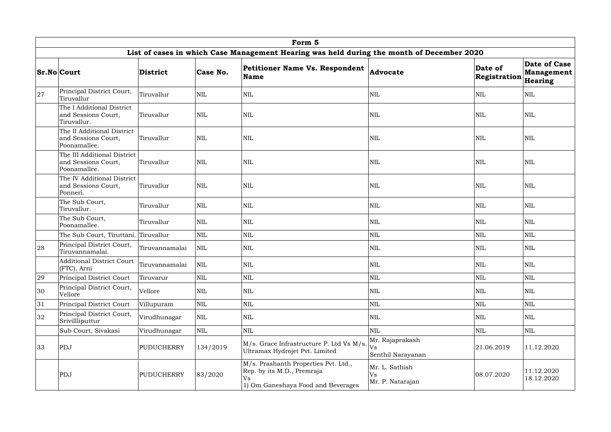|    |                                                                    |                   |              | Form 5                                                                                                         |                                            |                         |                                                            |
|----|--------------------------------------------------------------------|-------------------|--------------|----------------------------------------------------------------------------------------------------------------|--------------------------------------------|-------------------------|------------------------------------------------------------|
|    |                                                                    |                   |              | List of cases in which Case Management Hearing was held during the month of December 2020                      |                                            |                         |                                                            |
|    | <b>Sr.No Court</b>                                                 | <b>District</b>   | Case No.     | <b>Petitioner Name Vs. Respondent</b><br><b>Name</b>                                                           | Advocate                                   | Date of<br>Registration | <b>Date of Case</b><br><b>Management</b><br><b>Hearing</b> |
| 27 | Principal District Court,<br>Tiruvallur                            | Tiruvallur        | <b>NIL</b>   | <b>NIL</b>                                                                                                     | $\mbox{NIL}$                               | <b>NIL</b>              | <b>NIL</b>                                                 |
|    | The I Additional District<br>and Sessions Court,<br>Tiruvallur.    | Tiruvallur        | <b>NIL</b>   | <b>NIL</b>                                                                                                     | <b>NIL</b>                                 | NIL                     | <b>NIL</b>                                                 |
|    | The II Additional District<br>and Sessions Court,<br>Poonamallee.  | Tiruvallur        | <b>NIL</b>   | <b>NIL</b>                                                                                                     | <b>NIL</b>                                 | <b>NIL</b>              | <b>NIL</b>                                                 |
|    | The III Additional District<br>and Sessions Court,<br>Poonamallee. | Tiruvallur        | <b>NIL</b>   | $\text{NIL}$                                                                                                   | $\mbox{NIL}$                               | <b>NIL</b>              | <b>NIL</b>                                                 |
|    | The IV Additional District<br>and Sessions Court,<br>Ponneri.      | Tiruvallur        | <b>NIL</b>   | <b>NIL</b>                                                                                                     | <b>NIL</b>                                 | <b>NIL</b>              | <b>NIL</b>                                                 |
|    | The Sub Court,<br>Tiruvallur.                                      | Tiruvallur        | <b>NIL</b>   | <b>NIL</b>                                                                                                     | $\mbox{NIL}$                               | <b>NIL</b>              | <b>NIL</b>                                                 |
|    | The Sub Court,<br>Tiruvallur<br>Poonamallee.                       |                   | $\mbox{NIL}$ | <b>NIL</b>                                                                                                     | $\mbox{NIL}$                               | <b>NIL</b>              | <b>NIL</b>                                                 |
|    | The Sub Court, Tiruttani. Tiruvallur                               |                   | $\mbox{NIL}$ | $\text{NIL}$                                                                                                   | $\mbox{NIL}$                               | <b>NIL</b>              | <b>NIL</b>                                                 |
| 28 | Principal District Court,<br>Tiruvannamalai.                       | Tiruvannamalai    | <b>NIL</b>   | <b>NIL</b>                                                                                                     | $\mbox{NIL}$                               | <b>NIL</b>              | <b>NIL</b>                                                 |
|    | <b>Additional District Court</b><br>  (FTC), Arni                  | Tiruvannamalai    | NIL          | <b>NIL</b>                                                                                                     | <b>NIL</b>                                 | <b>NIL</b>              | <b>NIL</b>                                                 |
| 29 | Principal District Court                                           | Tiruvarur         | $\mbox{NIL}$ | NIL                                                                                                            | $\mbox{NIL}$                               | <b>NIL</b>              | <b>NIL</b>                                                 |
| 30 | Principal District Court,<br>Vellore                               | Vellore           | <b>NIL</b>   | $\mbox{NIL}$                                                                                                   | $\mbox{NIL}$                               | NIL                     | NIL                                                        |
| 31 | Principal District Court                                           | Villupuram        | NIL          | $\mbox{NIL}$                                                                                                   | $\mbox{NIL}$                               | NIL                     | $\mbox{NIL}$                                               |
| 32 | Principal District Court,<br>Srivillliputtur                       | Virudhunagar      | $\mbox{NIL}$ | $\mbox{NIL}$                                                                                                   | $\mbox{NIL}$                               | NIL                     | <b>NIL</b>                                                 |
|    | Sub Court, Sivakasi                                                | Virudhunagar      | NIL          | NIL                                                                                                            | $\mbox{NIL}$                               | NIL                     | <b>NIL</b>                                                 |
| 33 | PDJ                                                                | <b>PUDUCHERRY</b> | 134/2019     | M/s. Grace Infrastructure P. Ltd Vs M/s.<br>Ultramax Hydrojet Pvt. Limited                                     | Mr. Rajaprakash<br>Vs<br>Senthil Narayanan | 21.06.2019              | 11.12.2020                                                 |
|    | PDJ                                                                | <b>PUDUCHERRY</b> | 83/2020      | M/s. Prashanth Properties Pvt. Ltd.,<br>Rep. by its M.D., Premraja<br>Vs<br>1) Om Ganeshaya Food and Beverages | Mr. L. Sathish<br>Vs<br>Mr. P. Natarajan   | 08.07.2020              | 11.12.2020<br>18.12.2020                                   |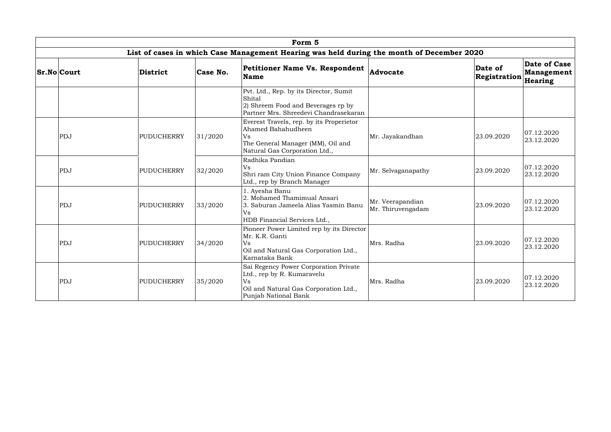|                    |                   |          | Form 5                                                                                                                                            |                                       |                         |                                                     |
|--------------------|-------------------|----------|---------------------------------------------------------------------------------------------------------------------------------------------------|---------------------------------------|-------------------------|-----------------------------------------------------|
|                    |                   |          | List of cases in which Case Management Hearing was held during the month of December 2020                                                         |                                       |                         |                                                     |
| <b>Sr.No Court</b> | <b>District</b>   | Case No. | <b>Petitioner Name Vs. Respondent</b><br><b>Name</b>                                                                                              | Advocate                              | Date of<br>Registration | <b>Date of Case</b><br><b>Management</b><br>Hearing |
|                    |                   |          | Pvt. Ltd., Rep. by its Director, Sumit<br>Shital<br>2) Shreem Food and Beverages rp by<br>Partner Mrs. Shreedevi Chandrasekaran                   |                                       |                         |                                                     |
| PDJ                | <b>PUDUCHERRY</b> | 31/2020  | Everest Travels, rep. by its Properietor<br>Ahamed Bahahudheen<br>Vs<br>The General Manager (MM), Oil and<br>Natural Gas Corporation Ltd.,        | Mr. Jayakandhan                       | 23.09.2020              | 07.12.2020<br>23.12.2020                            |
| PDJ                | <b>PUDUCHERRY</b> | 32/2020  | Radhika Pandian<br><b>Vs</b><br>Shri ram City Union Finance Company<br>Ltd., rep by Branch Manager                                                | Mr. Selvaganapathy                    | 23.09.2020              | 07.12.2020<br>23.12.2020                            |
| PDJ                | PUDUCHERRY        | 33/2020  | 1. Ayesha Banu<br>2. Mohamed Thamimual Ansari<br>3. Saburan Jameela Alias Yasmin Banu<br><b>Vs</b><br>HDB Financial Services Ltd.,                | Mr. Veerapandian<br>Mr. Thiruvengadam | 23.09.2020              | 07.12.2020<br>23.12.2020                            |
| PDJ                | PUDUCHERRY        | 34/2020  | Pioneer Power Limited rep by its Director<br>Mr. K.R. Ganti<br>Vs<br>Oil and Natural Gas Corporation Ltd.,<br>Karnataka Bank                      | Mrs. Radha                            | 23.09.2020              | 07.12.2020<br>23.12.2020                            |
| PDJ                | <b>PUDUCHERRY</b> | 35/2020  | Sai Regency Power Corporation Private<br>Ltd., rep by R. Kumaravelu<br><b>Vs</b><br>Oil and Natural Gas Corporation Ltd.,<br>Punjab National Bank | Mrs. Radha                            | 23.09.2020              | 07.12.2020<br>23.12.2020                            |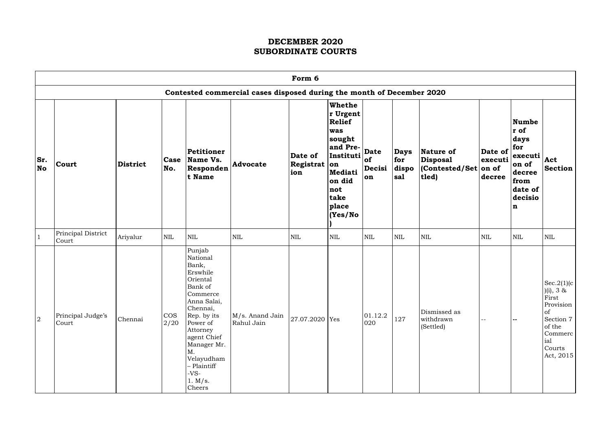|                  | Form 6                      |                 |                |                                                                                                                                                                                                                                                 |                                                                       |                                |                                                                                                                                              |                                   |                                    |                                                                   |                                      |                                                                                                       |                                                                                                                     |
|------------------|-----------------------------|-----------------|----------------|-------------------------------------------------------------------------------------------------------------------------------------------------------------------------------------------------------------------------------------------------|-----------------------------------------------------------------------|--------------------------------|----------------------------------------------------------------------------------------------------------------------------------------------|-----------------------------------|------------------------------------|-------------------------------------------------------------------|--------------------------------------|-------------------------------------------------------------------------------------------------------|---------------------------------------------------------------------------------------------------------------------|
|                  |                             |                 |                |                                                                                                                                                                                                                                                 | Contested commercial cases disposed during the month of December 2020 |                                |                                                                                                                                              |                                   |                                    |                                                                   |                                      |                                                                                                       |                                                                                                                     |
| Sr.<br><b>No</b> | <b>Court</b>                | <b>District</b> | Case<br>No.    | Petitioner<br>Name Vs.<br>Responden<br>t Name                                                                                                                                                                                                   | <b>Advocate</b>                                                       | Date of<br>Registrat on<br>ion | <b>Whethe</b><br>r Urgent<br><b>Relief</b><br>was<br>sought<br>and Pre-<br>Instituti<br>Mediati<br>on did<br>not<br>take<br>place<br>(Yes/No | <b>Date</b><br>of<br>Decisi<br>on | <b>Days</b><br>for<br>dispo<br>sal | Nature of<br><b>Disposal</b><br>$ $ (Contested/Set on of<br>tled) | Date of $ $ for<br>executi<br>decree | Numbe<br>$ r\>$ of<br>days<br>executi<br>on of<br>decree<br>from<br>date of<br>decisio<br>$\mathbf n$ | Act<br><b>Section</b>                                                                                               |
|                  | Principal District<br>Court | Ariyalur        | <b>NIL</b>     | NIL                                                                                                                                                                                                                                             | <b>NIL</b>                                                            | $\mbox{NIL}$                   | <b>NIL</b>                                                                                                                                   | <b>NIL</b>                        | <b>NIL</b>                         | $\mbox{NIL}$                                                      | <b>NIL</b>                           | <b>NIL</b>                                                                                            | <b>NIL</b>                                                                                                          |
| $\overline{2}$   | Principal Judge's<br>Court  | Chennai         | $\cos$<br>2/20 | Punjab<br>National<br>Bank,<br>Erswhile<br>Oriental<br>Bank of<br>Commerce<br>Anna Salai,<br>Chennai,<br>Rep. by its<br>Power of<br>Attorney<br>agent Chief<br>Manager Mr.<br>M.<br>Velayudham<br>- Plaintiff<br>$-VS-$<br>1. $M/s$ .<br>Cheers | M/s. Anand Jain<br>Rahul Jain                                         | 27.07.2020 Yes                 |                                                                                                                                              | 01.12.2<br>020                    | 127                                | Dismissed as<br>withdrawn<br>(Settled)                            | --                                   | $-$                                                                                                   | Sec.2(1)(c)<br>(i), 3 &<br>First<br>Provision<br>of<br>Section 7<br>of the<br>Commerc<br>ial<br>Courts<br>Act, 2015 |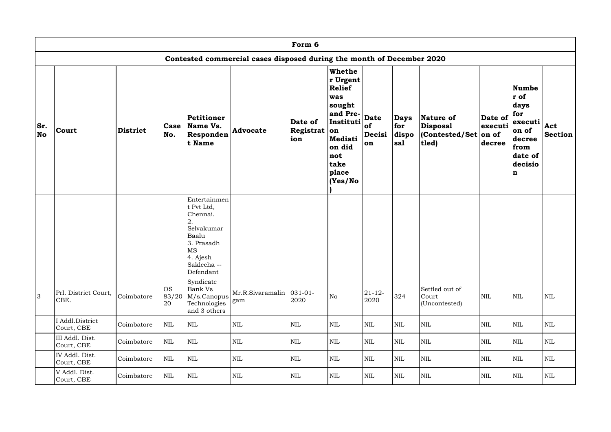|                  |                               |                 |                          |                                                                                                                                        |                                                                       | Form 6                             |                                                                                                                                 |                                   |                                    |                                                                   |                              |                                                                                                         |                |
|------------------|-------------------------------|-----------------|--------------------------|----------------------------------------------------------------------------------------------------------------------------------------|-----------------------------------------------------------------------|------------------------------------|---------------------------------------------------------------------------------------------------------------------------------|-----------------------------------|------------------------------------|-------------------------------------------------------------------|------------------------------|---------------------------------------------------------------------------------------------------------|----------------|
|                  |                               |                 |                          |                                                                                                                                        | Contested commercial cases disposed during the month of December 2020 |                                    |                                                                                                                                 |                                   |                                    |                                                                   |                              |                                                                                                         |                |
| Sr.<br><b>No</b> | Court                         | <b>District</b> | <b>Case</b><br>No.       | Petitioner<br>Name Vs.<br>Responden<br>t Name                                                                                          | <b>Advocate</b>                                                       | Date of<br>Registrat $ $ on<br>ion | Whethe<br>r Urgent<br>Relief<br>was<br>sought<br>and Pre-<br>Instituti<br>Mediati<br>on did<br>not<br>take<br>place<br> (Yes/No | <b>Date</b><br>of<br>Decisi<br>on | <b>Days</b><br>for<br>dispo<br>sal | Nature of<br><b>Disposal</b><br>$ $ (Contested/Set on of<br>tled) | Date of<br>executi<br>decree | Numbe<br>r of<br>days<br>for<br>executi<br>on of<br>decree<br>from<br>date of<br>decisio<br>$\mathbf n$ | Act<br>Section |
|                  |                               |                 |                          | Entertainmen<br>t Pvt Ltd,<br>Chennai.<br>2.<br>Selvakumar<br>Baalu<br>3. Prasadh<br>$\rm{MS}$<br>4. Ajesh<br>Saklecha --<br>Defendant |                                                                       |                                    |                                                                                                                                 |                                   |                                    |                                                                   |                              |                                                                                                         |                |
| 3                | Prl. District Court,<br>CBE.  | Coimbatore      | <b>OS</b><br>83/20<br>20 | Syndicate<br><b>Bank Vs</b><br>M/s.Canopus<br>Technologies<br>and 3 others                                                             | Mr.R.Sivaramalin<br>gam                                               | $031 - 01 -$<br>2020               | No                                                                                                                              | $21 - 12 -$<br>2020               | 324                                | Settled out of<br>Court<br>(Uncontested)                          | $\mbox{NIL}$                 | NIL                                                                                                     | <b>NIL</b>     |
|                  | I Addl.District<br>Court, CBE | Coimbatore      | NIL                      | <b>NIL</b>                                                                                                                             | $\mbox{NIL}$                                                          | $\mbox{NIL}$                       | <b>NIL</b>                                                                                                                      | $\mbox{NIL}$                      | <b>NIL</b>                         | $\mbox{NIL}$                                                      | $\mbox{NIL}$                 | $\mbox{NIL}$                                                                                            | <b>NIL</b>     |
|                  | III Addl. Dist.<br>Court, CBE | Coimbatore      | <b>NIL</b>               | <b>NIL</b>                                                                                                                             | $\mbox{NIL}$                                                          | $\mbox{NIL}$                       | NIL                                                                                                                             | <b>NIL</b>                        | NIL                                | $\mbox{NIL}$                                                      | <b>NIL</b>                   | <b>NIL</b>                                                                                              | <b>NIL</b>     |
|                  | IV Addl. Dist.<br>Court, CBE  | Coimbatore      | NIL                      | <b>NIL</b>                                                                                                                             | $\mbox{NIL}$                                                          | $\mbox{NIL}$                       | <b>NIL</b>                                                                                                                      | $\mbox{NIL}$                      | <b>NIL</b>                         | $\mbox{NIL}$                                                      | $\mbox{NIL}$                 | <b>NIL</b>                                                                                              | NIL            |
|                  | V Addl. Dist.<br>Court, CBE   | Coimbatore      | NIL                      | NIL                                                                                                                                    | $\mbox{NIL}$                                                          | $\mbox{NIL}$                       | NIL                                                                                                                             | $\mbox{NIL}$                      | <b>NIL</b>                         | $\mbox{NIL}$                                                      | <b>NIL</b>                   | <b>NIL</b>                                                                                              | NIL            |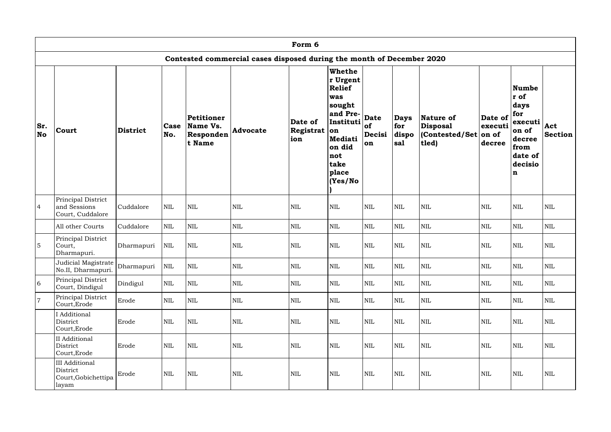|                |                                                                   |                 |              |                                               |                                                                       | Form 6                             |                                                                                                                                  |                                          |                                    |                                                   |                                           |                                                                                                                |                       |
|----------------|-------------------------------------------------------------------|-----------------|--------------|-----------------------------------------------|-----------------------------------------------------------------------|------------------------------------|----------------------------------------------------------------------------------------------------------------------------------|------------------------------------------|------------------------------------|---------------------------------------------------|-------------------------------------------|----------------------------------------------------------------------------------------------------------------|-----------------------|
|                |                                                                   |                 |              |                                               | Contested commercial cases disposed during the month of December 2020 |                                    |                                                                                                                                  |                                          |                                    |                                                   |                                           |                                                                                                                |                       |
| Sr.<br>No      | Court                                                             | <b>District</b> | Case<br>No.  | Petitioner<br>Name Vs.<br>Responden<br>t Name | <b>Advocate</b>                                                       | Date of<br>Registrat $ $ on<br>ion | Whethe<br>r Urgent<br>Relief<br>was<br> sought<br>and Pre-<br>Instituti<br>Mediati<br>on did<br>not<br>take<br>place<br>(Yes/No) | <b>Date</b><br><b>of</b><br>Decisi<br>on | <b>Days</b><br>for<br>dispo<br>sal | Nature of<br>Disposal<br>(Contested/Set)<br>tled) | Date of<br>executi<br>$ on\ of$<br>decree | <b>Numbe</b><br>r of<br>days<br>for<br>executi<br>on of<br>decree<br>from<br>date of<br>decisio<br>$\mathbf n$ | Act<br><b>Section</b> |
| $\overline{4}$ | Principal District<br>and Sessions<br>Court, Cuddalore            | Cuddalore       | $\mbox{NIL}$ | $\mbox{NIL}$                                  | $\mbox{NIL}$                                                          | $\mbox{NIL}$                       | <b>NIL</b>                                                                                                                       | <b>NIL</b>                               | <b>NIL</b>                         | <b>NIL</b>                                        | <b>NIL</b>                                | $\mbox{NIL}$                                                                                                   | $\mbox{NIL}$          |
|                | All other Courts                                                  | Cuddalore       | $\mbox{NIL}$ | NIL                                           | $\mbox{NIL}$                                                          | $\mbox{NIL}$                       | <b>NIL</b>                                                                                                                       | $\mbox{NIL}$                             | <b>NIL</b>                         | $\mbox{NIL}$                                      | <b>NIL</b>                                | <b>NIL</b>                                                                                                     | $\mbox{NIL}$          |
| $\overline{5}$ | Principal District<br>Court,<br>Dharmapuri.                       | Dharmapuri      | <b>NIL</b>   | NIL                                           | $\mbox{NIL}$                                                          | $\mbox{NIL}$                       | <b>NIL</b>                                                                                                                       | $\mbox{NIL}$                             | <b>NIL</b>                         | <b>NIL</b>                                        | <b>NIL</b>                                | <b>NIL</b>                                                                                                     | $\mbox{NIL}$          |
|                | Judicial Magistrate Dharmapuri<br>No.II, Dharmapuri.              |                 | NIL          | $\mbox{NIL}$                                  | $\mbox{NIL}$                                                          | $\mbox{NIL}$                       | $\mbox{NIL}$                                                                                                                     | $\mbox{NIL}$                             | $\mbox{NIL}$                       | $\mbox{NIL}$                                      | $\mbox{NIL}$                              | $\mbox{NIL}$                                                                                                   | $\mbox{NIL}$          |
| 6              | Principal District<br>Court, Dindigul                             | Dindigul        | <b>NIL</b>   | <b>NIL</b>                                    | $\mbox{NIL}$                                                          | NIL                                | NIL                                                                                                                              | NIL                                      | <b>NIL</b>                         | $\mbox{NIL}$                                      | <b>NIL</b>                                | NIL                                                                                                            | NIL                   |
| $\overline{7}$ | Principal District<br>Court, Erode                                | Erode           | $\mbox{NIL}$ | NIL                                           | $\mbox{NIL}$                                                          | $\mbox{NIL}$                       | NIL                                                                                                                              | $\mbox{NIL}$                             | <b>NIL</b>                         | $\mbox{NIL}$                                      | <b>NIL</b>                                | NIL                                                                                                            | NIL                   |
|                | I Additional<br>District<br>Court, Erode                          | Erode           | $\mbox{NIL}$ | NIL                                           | $\mbox{NIL}$                                                          | $\mbox{NIL}$                       | NIL                                                                                                                              | $\mbox{NIL}$                             | <b>NIL</b>                         | $\mbox{NIL}$                                      | $\mbox{NIL}$                              | NIL                                                                                                            | NIL                   |
|                | II Additional<br>District<br>Court, Erode                         | Erode           | $\mbox{NIL}$ | NIL                                           | $\mbox{NIL}$                                                          | $\mbox{NIL}$                       | NIL                                                                                                                              | $\mbox{NIL}$                             | <b>NIL</b>                         | $\mbox{NIL}$                                      | <b>NIL</b>                                | NIL                                                                                                            | NIL                   |
|                | <b>III</b> Additional<br>District<br>Court, Gobichettipa<br>layam | Erode           | $\mbox{NIL}$ | NIL                                           | $\mbox{NIL}$                                                          | $\mbox{NIL}$                       | NIL                                                                                                                              | $\mbox{NIL}$                             | $\mbox{NIL}$                       | $\mbox{NIL}$                                      | $\mbox{NIL}$                              | $\mbox{NIL}$                                                                                                   | NIL                   |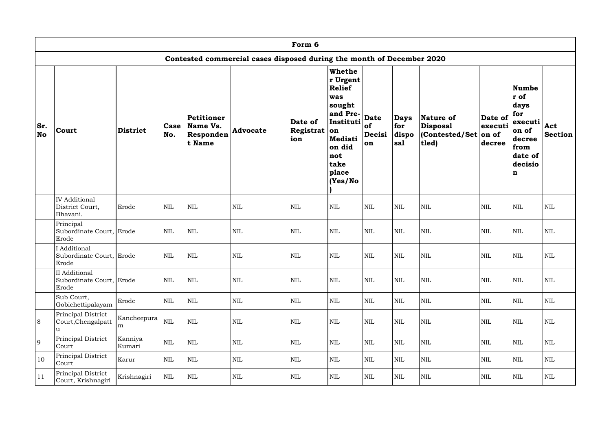|                  |                                                        |                   |              |                                               |                                                                       | Form 6                         |                                                                                                                                         |                                   |                                    |                                                   |                                       |                                                                                                                |                       |
|------------------|--------------------------------------------------------|-------------------|--------------|-----------------------------------------------|-----------------------------------------------------------------------|--------------------------------|-----------------------------------------------------------------------------------------------------------------------------------------|-----------------------------------|------------------------------------|---------------------------------------------------|---------------------------------------|----------------------------------------------------------------------------------------------------------------|-----------------------|
|                  |                                                        |                   |              |                                               | Contested commercial cases disposed during the month of December 2020 |                                |                                                                                                                                         |                                   |                                    |                                                   |                                       |                                                                                                                |                       |
| Sr.<br><b>No</b> | <b>Court</b>                                           | <b>District</b>   | Case<br>No.  | Petitioner<br>Name Vs.<br>Responden<br>t Name | <b>Advocate</b>                                                       | Date of<br>Registrat on<br>ion | <b>Whethe</b><br>r Urgent<br>Relief<br>was<br> sought<br>and Pre-<br>Instituti<br>Mediati<br>on did<br>not<br>take<br>place<br>(Yes/No) | <b>Date</b><br>of<br>Decisi<br>on | <b>Days</b><br>for<br>dispo<br>sal | Nature of<br>Disposal<br>(Contested/Set)<br>tled) | Date of<br>executi<br>on of<br>decree | <b>Numbe</b><br>r of<br>days<br>for<br>executi<br>on of<br>decree<br>from<br>date of<br>decisio<br>$\mathbf n$ | Act<br><b>Section</b> |
|                  | <b>IV</b> Additional<br>District Court,<br>Bhavani.    | Erode             | $\mbox{NIL}$ | $\mbox{NIL}$                                  | $\mbox{NIL}$                                                          | NIL                            | NIL                                                                                                                                     | <b>NIL</b>                        | <b>NIL</b>                         | <b>NIL</b>                                        | <b>NIL</b>                            | $\mbox{NIL}$                                                                                                   | $\mbox{NIL}$          |
|                  | Principal<br>Subordinate Court, Erode<br>Erode         |                   | <b>NIL</b>   | <b>NIL</b>                                    | <b>NIL</b>                                                            | $\mbox{NIL}$                   | NIL                                                                                                                                     | <b>NIL</b>                        | <b>NIL</b>                         | <b>NIL</b>                                        | <b>NIL</b>                            | <b>NIL</b>                                                                                                     | <b>NIL</b>            |
|                  | <b>Additional</b><br>Subordinate Court, Erode<br>Erode |                   | <b>NIL</b>   | <b>NIL</b>                                    | <b>NIL</b>                                                            | <b>NIL</b>                     | <b>NIL</b>                                                                                                                              | $\text{NIL}$                      | <b>NIL</b>                         | <b>NIL</b>                                        | <b>NIL</b>                            | <b>NIL</b>                                                                                                     | <b>NIL</b>            |
|                  | II Additional<br>Subordinate Court, Erode<br>Erode     |                   | $\mbox{NIL}$ | $\mbox{NIL}$                                  | $\mbox{NIL}$                                                          | $\mbox{NIL}$                   | NIL                                                                                                                                     | $\mbox{NIL}$                      | <b>NIL</b>                         | $\mbox{NIL}$                                      | <b>NIL</b>                            | NIL                                                                                                            | NIL                   |
|                  | Sub Court,<br>Gobichettipalayam                        | Erode             | $\mbox{NIL}$ | $\mbox{NIL}$                                  | $\mbox{NIL}$                                                          | $\mbox{NIL}$                   | NIL                                                                                                                                     | $\mbox{NIL}$                      | <b>NIL</b>                         | $\mbox{NIL}$                                      | <b>NIL</b>                            | $\mbox{NIL}$                                                                                                   | NIL                   |
| 8                | Principal District<br>Court, Chengalpatt<br>u          | Kancheepura<br>m  | $\mbox{NIL}$ | $\mbox{NIL}$                                  | $\mbox{NIL}$                                                          | $\mbox{NIL}$                   | NIL                                                                                                                                     | $\mbox{NIL}$                      | <b>NIL</b>                         | $\mbox{NIL}$                                      | <b>NIL</b>                            | $\mbox{NIL}$                                                                                                   | NIL                   |
| 9                | Principal District<br>Court                            | Kanniya<br>Kumari | $\mbox{NIL}$ | $\mbox{NIL}$                                  | $\mbox{NIL}$                                                          | $\mbox{NIL}$                   | NIL                                                                                                                                     | $\mbox{NIL}$                      | <b>NIL</b>                         | $\mbox{NIL}$                                      | <b>NIL</b>                            | <b>NIL</b>                                                                                                     | NIL                   |
| 10               | Principal District<br>Court                            | Karur             | $\mbox{NIL}$ | NIL                                           | $\mbox{NIL}$                                                          | $\mbox{NIL}$                   | NIL                                                                                                                                     | $\mbox{NIL}$                      | <b>NIL</b>                         | $\mbox{NIL}$                                      | <b>NIL</b>                            | <b>NIL</b>                                                                                                     | NIL                   |
| 11               | Principal District<br>Court, Krishnagiri               | Krishnagiri       | $\mbox{NIL}$ | NIL                                           | $\mbox{NIL}$                                                          | $\mbox{NIL}$                   | NIL                                                                                                                                     | $\mbox{NIL}$                      | $\mbox{NIL}$                       | $\mbox{NIL}$                                      | <b>NIL</b>                            | <b>NIL</b>                                                                                                     | NIL                   |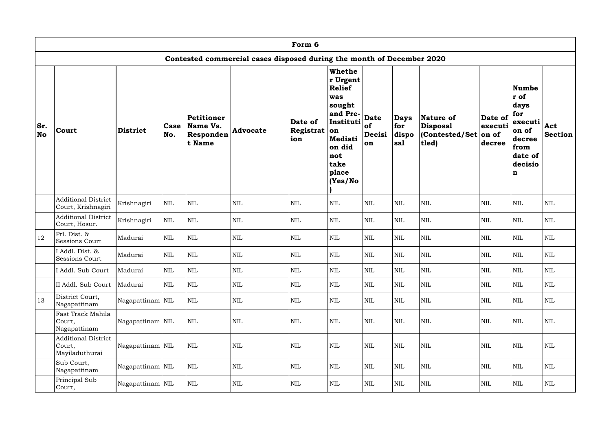|                  |                                                        |                  |                    |                                               |                                                                       | Form 6                      |                                                                                                                                              |                                   |                                    |                                                          |                                       |                                                                                                         |                       |
|------------------|--------------------------------------------------------|------------------|--------------------|-----------------------------------------------|-----------------------------------------------------------------------|-----------------------------|----------------------------------------------------------------------------------------------------------------------------------------------|-----------------------------------|------------------------------------|----------------------------------------------------------|---------------------------------------|---------------------------------------------------------------------------------------------------------|-----------------------|
|                  |                                                        |                  |                    |                                               | Contested commercial cases disposed during the month of December 2020 |                             |                                                                                                                                              |                                   |                                    |                                                          |                                       |                                                                                                         |                       |
| Sr.<br><b>No</b> | Court                                                  | <b>District</b>  | <b>Case</b><br>No. | Petitioner<br>Name Vs.<br>Responden<br>t Name | <b>Advocate</b>                                                       | Date of<br>Registrat<br>ion | Whethe<br>r Urgent<br><b>Relief</b><br>was<br>sought<br>and Pre-<br>Instituti<br>lon<br>Mediati<br>on did<br>not<br>take<br>place<br>(Yes/No | <b>Date</b><br>of<br>Decisi<br>on | <b>Days</b><br>for<br>dispo<br>sal | Nature of<br><b>Disposal</b><br>(Contested/Set)<br>tled) | Date of<br>executi<br>on of<br>decree | Numbe<br>r of<br>days<br>for<br>executi<br>on of<br>decree<br>from<br>date of<br>decisio<br>$\mathbf n$ | Act<br><b>Section</b> |
|                  | <b>Additional District</b><br>Court, Krishnagiri       | Krishnagiri      | $\mbox{NIL}$       | <b>NIL</b>                                    | <b>NIL</b>                                                            | <b>NIL</b>                  | <b>NIL</b>                                                                                                                                   | <b>NIL</b>                        | <b>NIL</b>                         | <b>NIL</b>                                               | <b>NIL</b>                            | <b>NIL</b>                                                                                              | <b>NIL</b>            |
|                  | <b>Additional District</b><br>Court, Hosur.            | Krishnagiri      | $\mbox{NIL}$       | <b>NIL</b>                                    | $\mbox{NIL}$                                                          | $\mbox{NIL}$                | <b>NIL</b>                                                                                                                                   | <b>NIL</b>                        | $\mbox{NIL}$                       | $\mbox{NIL}$                                             | <b>NIL</b>                            | <b>NIL</b>                                                                                              | <b>NIL</b>            |
| 12               | Prl. Dist. &<br><b>Sessions Court</b>                  | Madurai          | $\mbox{NIL}$       | $\mbox{NIL}$                                  | <b>NIL</b>                                                            | $\text{NIL}$                | <b>NIL</b>                                                                                                                                   | <b>NIL</b>                        | $\mbox{NIL}$                       | $\mbox{NIL}$                                             | $\text{NIL}$                          | $\mbox{NIL}$                                                                                            | <b>NIL</b>            |
|                  | I Addl. Dist. &<br><b>Sessions Court</b>               | Madurai          | $\mbox{NIL}$       | $\mbox{NIL}$                                  | $\mbox{NIL}$                                                          | $\mbox{NIL}$                | <b>NIL</b>                                                                                                                                   | $\mbox{NIL}$                      | $\mbox{NIL}$                       | $\mbox{NIL}$                                             | $\text{NIL}$                          | <b>NIL</b>                                                                                              | <b>NIL</b>            |
|                  | Addl. Sub Court                                        | Madurai          | $\mbox{NIL}$       | $\text{NIL}$                                  | $\mbox{NIL}$                                                          | $\mbox{NIL}$                | $\mbox{NIL}$                                                                                                                                 | $\mbox{NIL}$                      | $\mbox{NIL}$                       | $\mbox{NIL}$                                             | $\mbox{NIL}$                          | $\mbox{NIL}$                                                                                            | <b>NIL</b>            |
|                  | II Addl. Sub Court                                     | Madurai          | $\mbox{NIL}$       | $\mbox{NIL}$                                  | $\mbox{NIL}$                                                          | $\text{NIL}$                | <b>NIL</b>                                                                                                                                   | <b>NIL</b>                        | <b>NIL</b>                         | $\mbox{NIL}$                                             | <b>NIL</b>                            | <b>NIL</b>                                                                                              | <b>NIL</b>            |
| 13               | District Court,<br>Nagapattinam                        | Nagapattinam NIL |                    | $\mbox{NIL}$                                  | $\mbox{NIL}$                                                          | $\mbox{NIL}$                | $\mbox{NIL}$                                                                                                                                 | $\mbox{NIL}$                      | $\mbox{NIL}$                       | $\mbox{NIL}$                                             | $\mbox{NIL}$                          | $\mbox{NIL}$                                                                                            | <b>NIL</b>            |
|                  | Fast Track Mahila<br>Court,<br>Nagapattinam            | Nagapattinam NIL |                    | $\mbox{NIL}$                                  | $\mbox{NIL}$                                                          | $\mbox{NIL}$                | <b>NIL</b>                                                                                                                                   | $\mbox{NIL}$                      | $\mbox{NIL}$                       | $\mbox{NIL}$                                             | $\mbox{NIL}$                          | $\mbox{NIL}$                                                                                            | NIL                   |
|                  | <b>Additional District</b><br>Court,<br>Mayiladuthurai | Nagapattinam NIL |                    | $\mbox{NIL}$                                  | $\mbox{NIL}$                                                          | $\mbox{NIL}$                | <b>NIL</b>                                                                                                                                   | $\mbox{NIL}$                      | $\mbox{NIL}$                       | $\mbox{NIL}$                                             | $\mbox{NIL}$                          | $\mbox{NIL}$                                                                                            | <b>NIL</b>            |
|                  | Sub Court,<br>Nagapattinam                             | Nagapattinam NIL |                    | $\mbox{NIL}$                                  | $\mbox{NIL}$                                                          | $\mbox{NIL}$                | <b>NIL</b>                                                                                                                                   | $\mbox{NIL}$                      | $\mbox{NIL}$                       | $\mbox{NIL}$                                             | <b>NIL</b>                            | <b>NIL</b>                                                                                              | NIL                   |
|                  | Principal Sub<br>Court,                                | Nagapattinam NIL |                    | $\mbox{NIL}$                                  | $\mbox{NIL}$                                                          | $\mbox{NIL}$                | $\mbox{NIL}$                                                                                                                                 | $\mbox{NIL}$                      | $\mbox{NIL}$                       | $\mbox{NIL}$                                             | $\mbox{NIL}$                          | $\mbox{NIL}$                                                                                            | <b>NIL</b>            |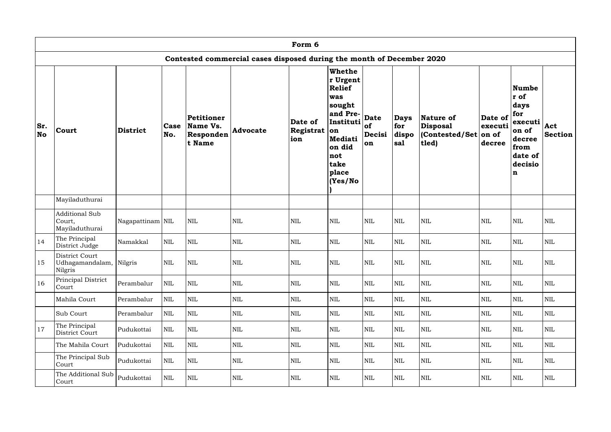|                  |                                                      |                  |              |                                               |                                                                       | Form 6                      |                                                                                                                                              |                                   |                                    |                                                  |                                       |                                                                                                         |                       |
|------------------|------------------------------------------------------|------------------|--------------|-----------------------------------------------|-----------------------------------------------------------------------|-----------------------------|----------------------------------------------------------------------------------------------------------------------------------------------|-----------------------------------|------------------------------------|--------------------------------------------------|---------------------------------------|---------------------------------------------------------------------------------------------------------|-----------------------|
|                  |                                                      |                  |              |                                               | Contested commercial cases disposed during the month of December 2020 |                             |                                                                                                                                              |                                   |                                    |                                                  |                                       |                                                                                                         |                       |
| Sr.<br><b>No</b> | <b>Court</b>                                         | <b>District</b>  | Case<br>No.  | Petitioner<br>Name Vs.<br>Responden<br>t Name | <b>Advocate</b>                                                       | Date of<br>Registrat<br>ion | Whethe<br>r Urgent<br><b>Relief</b><br>was<br>sought<br>and Pre-<br>Instituti<br> on<br>Mediati<br>on did<br>not<br>take<br>place<br>(Yes/No | <b>Date</b><br>of<br>Decisi<br>on | <b>Days</b><br>for<br>dispo<br>sal | Nature of<br>Disposal<br>(Contested/Set<br>tled) | Date of<br>executi<br>on of<br>decree | Numbe<br>r of<br>days<br>for<br>executi<br>on of<br>decree<br>from<br>date of<br>decisio<br>$\mathbf n$ | Act<br><b>Section</b> |
|                  | Mayiladuthurai                                       |                  |              |                                               |                                                                       |                             |                                                                                                                                              |                                   |                                    |                                                  |                                       |                                                                                                         |                       |
|                  | <b>Additional Sub</b><br>Court,<br>Mayiladuthurai    | Nagapattinam NIL |              | <b>NIL</b>                                    | <b>NIL</b>                                                            | <b>NIL</b>                  | <b>NIL</b>                                                                                                                                   | $\mbox{NIL}$                      | $\mbox{NIL}$                       | <b>NIL</b>                                       | $\text{NIL}$                          | <b>NIL</b>                                                                                              | <b>NIL</b>            |
| 14               | The Principal<br>District Judge                      | Namakkal         | $\mbox{NIL}$ | <b>NIL</b>                                    | $\mbox{NIL}$                                                          | <b>NIL</b>                  | <b>NIL</b>                                                                                                                                   | $\mbox{NIL}$                      | $\mbox{NIL}$                       | <b>NIL</b>                                       | <b>NIL</b>                            | <b>NIL</b>                                                                                              | <b>NIL</b>            |
| 15               | District Court<br>Udhagamandalam, Nilgris<br>Nilgris |                  | <b>NIL</b>   | <b>NIL</b>                                    | <b>NIL</b>                                                            | <b>NIL</b>                  | <b>NIL</b>                                                                                                                                   | <b>NIL</b>                        | <b>NIL</b>                         | <b>NIL</b>                                       | NIL                                   | <b>NIL</b>                                                                                              | <b>NIL</b>            |
| 16               | Principal District<br>Court                          | Perambalur       | $\mbox{NIL}$ | $\mbox{NIL}$                                  | $\mbox{NIL}$                                                          | $\mbox{NIL}$                | <b>NIL</b>                                                                                                                                   | <b>NIL</b>                        | $\mbox{NIL}$                       | $\mbox{NIL}$                                     | $\mbox{NIL}$                          | <b>NIL</b>                                                                                              | NIL                   |
|                  | Mahila Court                                         | Perambalur       | $\mbox{NIL}$ | $\mbox{NIL}$                                  | $\mbox{NIL}$                                                          | $\mbox{NIL}$                | $\mbox{NIL}$                                                                                                                                 | $\mbox{NIL}$                      | $\mbox{NIL}$                       | $\mbox{NIL}$                                     | $\mbox{NIL}$                          | $\mbox{NIL}$                                                                                            | <b>NIL</b>            |
|                  | Sub Court                                            | Perambalur       | $\mbox{NIL}$ | $\mbox{NIL}$                                  | $\mbox{NIL}$                                                          | $\mbox{NIL}$                | $\mbox{NIL}$                                                                                                                                 | <b>NIL</b>                        | NIL                                | $\mbox{NIL}$                                     | <b>NIL</b>                            | <b>NIL</b>                                                                                              | NIL                   |
| 17               | The Principal<br>District Court                      | Pudukottai       | $\mbox{NIL}$ | $\mbox{NIL}$                                  | $\mbox{NIL}$                                                          | $\mbox{NIL}$                | NIL                                                                                                                                          | <b>NIL</b>                        | <b>NIL</b>                         | <b>NIL</b>                                       | <b>NIL</b>                            | <b>NIL</b>                                                                                              | <b>NIL</b>            |
|                  | The Mahila Court                                     | Pudukottai       | $\mbox{NIL}$ | $\mbox{NIL}$                                  | $\mbox{NIL}$                                                          | $\mbox{NIL}$                | <b>NIL</b>                                                                                                                                   | <b>NIL</b>                        | $\mbox{NIL}$                       | $\mbox{NIL}$                                     | <b>NIL</b>                            | <b>NIL</b>                                                                                              | <b>NIL</b>            |
|                  | The Principal Sub<br>Court                           | Pudukottai       | $\mbox{NIL}$ | $\mbox{NIL}$                                  | $\mbox{NIL}$                                                          | $\mbox{NIL}$                | <b>NIL</b>                                                                                                                                   | <b>NIL</b>                        | $\mbox{NIL}$                       | $\mbox{NIL}$                                     | $\mbox{NIL}$                          | <b>NIL</b>                                                                                              | <b>NIL</b>            |
|                  | The Additional Sub<br>Court                          | Pudukottai       | $\mbox{NIL}$ | $\mbox{NIL}$                                  | $\mbox{NIL}$                                                          | $\mbox{NIL}$                | $\mbox{NIL}$                                                                                                                                 | $\mbox{NIL}$                      | NIL                                | $\mbox{NIL}$                                     | $\mbox{NIL}$                          | <b>NIL</b>                                                                                              | <b>NIL</b>            |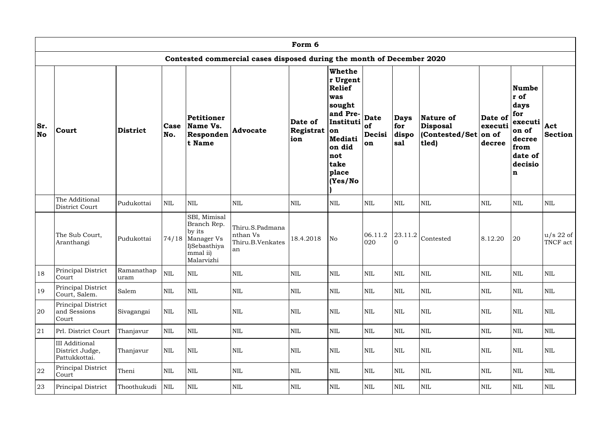|                  |                                                           |                    |                    |                                                                                                       |                                                                       | Form 6                             |                                                                                                                                                 |                                   |                                    |                                                        |                              |                                                                                                                |                         |
|------------------|-----------------------------------------------------------|--------------------|--------------------|-------------------------------------------------------------------------------------------------------|-----------------------------------------------------------------------|------------------------------------|-------------------------------------------------------------------------------------------------------------------------------------------------|-----------------------------------|------------------------------------|--------------------------------------------------------|------------------------------|----------------------------------------------------------------------------------------------------------------|-------------------------|
|                  |                                                           |                    |                    |                                                                                                       | Contested commercial cases disposed during the month of December 2020 |                                    |                                                                                                                                                 |                                   |                                    |                                                        |                              |                                                                                                                |                         |
| Sr.<br><b>No</b> | <b>Court</b>                                              | <b>District</b>    | <b>Case</b><br>No. | Petitioner<br>Name Vs.<br>Responden<br>t Name                                                         | <b>Advocate</b>                                                       | Date of<br>Registrat $ on $<br>ion | <b>Whethe</b><br>r Urgent<br>Relief<br>was<br> sought<br>and Pre-<br>Instituti<br> Mediati<br>on did<br>not<br><b>take</b><br>place<br>(Yes/No) | <b>Date</b><br>of<br>Decisi<br>on | <b>Days</b><br>for<br>dispo<br>sal | Nature of<br>Disposal<br>(Contested/Set on of<br>tled) | Date of<br>executi<br>decree | <b>Numbe</b><br>r of<br>days<br>for<br>executi<br>on of<br>decree<br>from<br>date of<br>decisio<br>$\mathbf n$ | Act<br><b>Section</b>   |
|                  | The Additional<br>District Court                          | Pudukottai         | $\mbox{NIL}$       | $\text{NIL}$                                                                                          | $\mbox{NIL}$                                                          | NIL                                | NIL                                                                                                                                             | <b>NIL</b>                        | <b>NIL</b>                         | <b>NIL</b>                                             | <b>NIL</b>                   | <b>NIL</b>                                                                                                     | $\mbox{NIL}$            |
|                  | The Sub Court,<br>Aranthangi                              | Pudukottai         |                    | SBI, Mimisal<br>Branch Rep.<br>by its<br>$74/18$ Manager Vs<br>I)Sebasthiya<br>mmal ii)<br>Malarvizhi | Thiru.S.Padmana<br>nthan Vs<br>Thiru.B.Venkates<br>an                 | 18.4.2018                          | N <sub>o</sub>                                                                                                                                  | 06.11.2<br>020                    | $\Omega$                           | $ 23.11.2 $ Contested                                  | 8.12.20                      | 20                                                                                                             | $u/s$ 22 of<br>TNCF act |
| 18               | Principal District<br>Court                               | Ramanathap<br>uram | $\mbox{NIL}$       | $\mbox{NIL}$                                                                                          | $\mbox{NIL}$                                                          | $\mbox{NIL}$                       | NIL                                                                                                                                             | $\mbox{NIL}$                      | <b>NIL</b>                         | <b>NIL</b>                                             | <b>NIL</b>                   | $\mbox{NIL}$                                                                                                   | $\mbox{NIL}$            |
| 19               | Principal District<br>Court, Salem.                       | Salem              | $\mbox{NIL}$       | $\mbox{NIL}$                                                                                          | <b>NIL</b>                                                            | $\mbox{NIL}$                       | NIL                                                                                                                                             | $\mbox{NIL}$                      | <b>NIL</b>                         | <b>NIL</b>                                             | <b>NIL</b>                   | $\mbox{NIL}$                                                                                                   | NIL                     |
| 20               | Principal District<br>and Sessions<br>Court               | Sivagangai         | $\mbox{NIL}$       | $\mbox{NIL}$                                                                                          | $\mbox{NIL}$                                                          | $\mbox{NIL}$                       | NIL                                                                                                                                             | $\mbox{NIL}$                      | <b>NIL</b>                         | <b>NIL</b>                                             | <b>NIL</b>                   | $\mbox{NIL}$                                                                                                   | NIL                     |
| 21               | Prl. District Court                                       | Thanjavur          | $\mbox{NIL}$       | $\mbox{NIL}$                                                                                          | $\mbox{NIL}$                                                          | $\mbox{NIL}$                       | NIL                                                                                                                                             | $\mbox{NIL}$                      | <b>NIL</b>                         | $\mbox{NIL}$                                           | <b>NIL</b>                   | $\mbox{NIL}$                                                                                                   | NIL                     |
|                  | <b>III</b> Additional<br>District Judge,<br>Pattukkottai. | Thanjavur          | $\mbox{NIL}$       | $\mbox{NIL}$                                                                                          | $\mbox{NIL}$                                                          | $\mbox{NIL}$                       | NIL                                                                                                                                             | $\mbox{NIL}$                      | <b>NIL</b>                         | $\mbox{NIL}$                                           | <b>NIL</b>                   | $\mbox{NIL}$                                                                                                   | NIL                     |
| ${\bf 22}$       | Principal District<br>Court                               | Theni              | $\mbox{NIL}$       | $\mbox{NIL}$                                                                                          | $\mbox{NIL}$                                                          | $\mbox{NIL}$                       | NIL                                                                                                                                             | $\mbox{NIL}$                      | <b>NIL</b>                         | $\mbox{NIL}$                                           | <b>NIL</b>                   | $\mbox{NIL}$                                                                                                   | NIL                     |
| 23               | Principal District                                        | Thoothukudi        | $\mbox{NIL}$       | $\mbox{NIL}$                                                                                          | $\mbox{NIL}$                                                          | $\mbox{NIL}$                       | <b>NIL</b>                                                                                                                                      | $\mbox{NIL}$                      | $\mbox{NIL}$                       | $\mbox{NIL}$                                           | $\mbox{NIL}$                 | $\mbox{NIL}$                                                                                                   | NIL                     |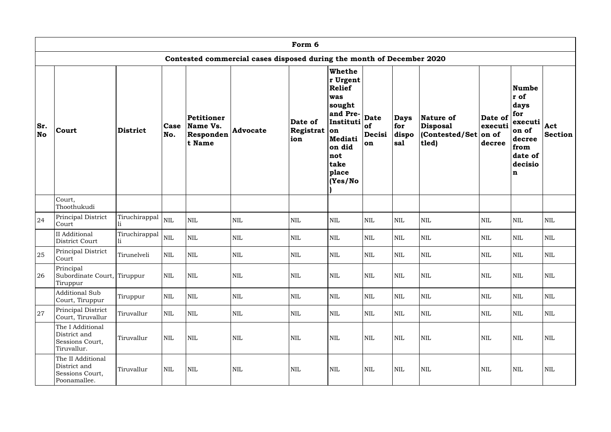|                  |                                                                      |                      |              |                                               |                                                                       | Form 6                      |                                                                                                                                             |                                   |                                    |                                                          |                                       |                                                                                                         |                       |
|------------------|----------------------------------------------------------------------|----------------------|--------------|-----------------------------------------------|-----------------------------------------------------------------------|-----------------------------|---------------------------------------------------------------------------------------------------------------------------------------------|-----------------------------------|------------------------------------|----------------------------------------------------------|---------------------------------------|---------------------------------------------------------------------------------------------------------|-----------------------|
|                  |                                                                      |                      |              |                                               | Contested commercial cases disposed during the month of December 2020 |                             |                                                                                                                                             |                                   |                                    |                                                          |                                       |                                                                                                         |                       |
| Sr.<br><b>No</b> | Court                                                                | <b>District</b>      | Case<br>No.  | Petitioner<br>Name Vs.<br>Responden<br>t Name | <b>Advocate</b>                                                       | Date of<br>Registrat<br>ion | Whethe<br>r Urgent<br><b>Relief</b><br>was<br>sought<br>and Pre-<br>Instituti<br>on<br>Mediati<br>on did<br>not<br>take<br>place<br>(Yes/No | <b>Date</b><br>of<br>Decisi<br>on | <b>Days</b><br>for<br>dispo<br>sal | Nature of<br><b>Disposal</b><br>(Contested/Set)<br>tled) | Date of<br>executi<br>on of<br>decree | Numbe<br>r of<br>days<br>for<br>executi<br>on of<br>decree<br>from<br>date of<br>decisio<br>$\mathbf n$ | Act<br><b>Section</b> |
|                  | Court,<br>Thoothukudi                                                |                      |              |                                               |                                                                       |                             |                                                                                                                                             |                                   |                                    |                                                          |                                       |                                                                                                         |                       |
| 24               | Principal District<br>Court                                          | Tiruchirappal        | <b>NIL</b>   | $\mbox{NIL}$                                  | $\mbox{NIL}$                                                          | $\mbox{NIL}$                | <b>NIL</b>                                                                                                                                  | <b>NIL</b>                        | $\mbox{NIL}$                       | <b>NIL</b>                                               | <b>NIL</b>                            | <b>NIL</b>                                                                                              | <b>NIL</b>            |
|                  | II Additional<br>District Court                                      | Tiruchirappal<br>li. | $\mbox{NIL}$ | NIL                                           | <b>NIL</b>                                                            | $\text{NIL}$                | <b>NIL</b>                                                                                                                                  | <b>NIL</b>                        | $\mbox{NIL}$                       | $\mbox{NIL}$                                             | $\text{NIL}$                          | $\mbox{NIL}$                                                                                            | <b>NIL</b>            |
| 25               | Principal District<br>Court                                          | Tirunelveli          | $\mbox{NIL}$ | <b>NIL</b>                                    | $\mbox{NIL}$                                                          | $\mbox{NIL}$                | <b>NIL</b>                                                                                                                                  | $\mbox{NIL}$                      | $\mbox{NIL}$                       | $\mbox{NIL}$                                             | $\text{NIL}$                          | <b>NIL</b>                                                                                              | <b>NIL</b>            |
| 26               | Principal<br>Subordinate Court, Tiruppur<br>Tiruppur                 |                      | $\mbox{NIL}$ | $\mbox{NIL}$                                  | $\mbox{NIL}$                                                          | $\mbox{NIL}$                | <b>NIL</b>                                                                                                                                  | $\mbox{NIL}$                      | $\mbox{NIL}$                       | <b>NIL</b>                                               | $\mbox{NIL}$                          | $\mbox{NIL}$                                                                                            | <b>NIL</b>            |
|                  | <b>Additional Sub</b><br>Court, Tiruppur                             | Tiruppur             | $\mbox{NIL}$ | $\mbox{NIL}$                                  | $\mbox{NIL}$                                                          | $\mbox{NIL}$                | <b>NIL</b>                                                                                                                                  | <b>NIL</b>                        | NIL                                | $\mbox{NIL}$                                             | $\mbox{NIL}$                          | <b>NIL</b>                                                                                              | NIL                   |
| 27               | Principal District<br>Court, Tiruvallur                              | Tiruvallur           | $\mbox{NIL}$ | $\mbox{NIL}$                                  | $\mbox{NIL}$                                                          | $\mbox{NIL}$                | <b>NIL</b>                                                                                                                                  | <b>NIL</b>                        | $\mbox{NIL}$                       | $\mbox{NIL}$                                             | <b>NIL</b>                            | <b>NIL</b>                                                                                              | NIL                   |
|                  | The I Additional<br>District and<br>Sessions Court,<br>Tiruvallur.   | Tiruvallur           | $\mbox{NIL}$ | $\mbox{NIL}$                                  | $\mbox{NIL}$                                                          | $\mbox{NIL}$                | NIL                                                                                                                                         | <b>NIL</b>                        | $\mbox{NIL}$                       | $\mbox{NIL}$                                             | $\mbox{NIL}$                          | $\mbox{NIL}$                                                                                            | <b>NIL</b>            |
|                  | The II Additional<br>District and<br>Sessions Court,<br>Poonamallee. | Tiruvallur           | $\mbox{NIL}$ | <b>NIL</b>                                    | $\mbox{NIL}$                                                          | <b>NIL</b>                  | <b>NIL</b>                                                                                                                                  | <b>NIL</b>                        | $\mbox{NIL}$                       | $\mbox{NIL}$                                             | $\mbox{NIL}$                          | <b>NIL</b>                                                                                              | <b>NIL</b>            |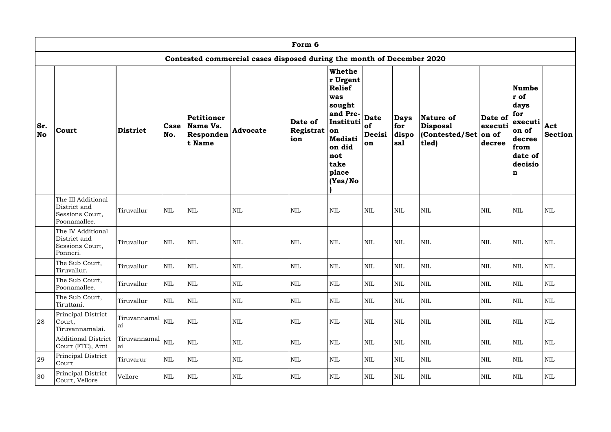|           |                                                                       |                                           |              |                                               |                                                                       | Form 6                             |                                                                                                                                  |                                          |                                    |                                                            |                              |                                                                                                                |                       |
|-----------|-----------------------------------------------------------------------|-------------------------------------------|--------------|-----------------------------------------------|-----------------------------------------------------------------------|------------------------------------|----------------------------------------------------------------------------------------------------------------------------------|------------------------------------------|------------------------------------|------------------------------------------------------------|------------------------------|----------------------------------------------------------------------------------------------------------------|-----------------------|
|           |                                                                       |                                           |              |                                               | Contested commercial cases disposed during the month of December 2020 |                                    |                                                                                                                                  |                                          |                                    |                                                            |                              |                                                                                                                |                       |
| Sr.<br>No | Court                                                                 | <b>District</b>                           | Case<br>No.  | Petitioner<br>Name Vs.<br>Responden<br>t Name | <b>Advocate</b>                                                       | Date of<br>Registrat $ $ on<br>ion | Whethe<br>r Urgent<br>Relief<br>was<br> sought<br>and Pre-<br>Instituti<br>Mediati<br>on did<br>not<br>take<br>place<br>(Yes/No) | <b>Date</b><br><b>of</b><br>Decisi<br>on | <b>Days</b><br>for<br>dispo<br>sal | Nature of<br>Disposal<br>$ $ (Contested/Set on of<br>tled) | Date of<br>executi<br>decree | <b>Numbe</b><br>r of<br>days<br>for<br>executi<br>on of<br>decree<br>from<br>date of<br>decisio<br>$\mathbf n$ | Act<br><b>Section</b> |
|           | The III Additional<br>District and<br>Sessions Court,<br>Poonamallee. | Tiruvallur                                | $\mbox{NIL}$ | NIL                                           | <b>NIL</b>                                                            | <b>NIL</b>                         | <b>NIL</b>                                                                                                                       | $\mbox{NIL}$                             | <b>NIL</b>                         | <b>NIL</b>                                                 | <b>NIL</b>                   | <b>NIL</b>                                                                                                     | <b>NIL</b>            |
|           | The IV Additional<br>District and<br>Sessions Court,<br>Ponneri.      | Tiruvallur                                | <b>NIL</b>   | NIL                                           | $\mbox{NIL}$                                                          | $\mbox{NIL}$                       | <b>NIL</b>                                                                                                                       | <b>NIL</b>                               | <b>NIL</b>                         | <b>NIL</b>                                                 | <b>NIL</b>                   | <b>NIL</b>                                                                                                     | $\mbox{NIL}$          |
|           | The Sub Court,<br>Tiruvallur.                                         | Tiruvallur                                | $\mbox{NIL}$ | <b>NIL</b>                                    | $\mbox{NIL}$                                                          | $\mbox{NIL}$                       | <b>NIL</b>                                                                                                                       | $\mbox{NIL}$                             | <b>NIL</b>                         | $\mbox{NIL}$                                               | $\mbox{NIL}$                 | <b>NIL</b>                                                                                                     | $\mbox{NIL}$          |
|           | The Sub Court,<br>Poonamallee.                                        | Tiruvallur                                | <b>NIL</b>   | NIL                                           | $\mbox{NIL}$                                                          | $\mbox{NIL}$                       | <b>NIL</b>                                                                                                                       | <b>NIL</b>                               | <b>NIL</b>                         | $\mbox{NIL}$                                               | <b>NIL</b>                   | <b>NIL</b>                                                                                                     | <b>NIL</b>            |
|           | The Sub Court,<br>Tiruttani.                                          | Tiruvallur                                | $\mbox{NIL}$ | NIL                                           | $\mbox{NIL}$                                                          | $\mbox{NIL}$                       | <b>NIL</b>                                                                                                                       | <b>NIL</b>                               | <b>NIL</b>                         | $\mbox{NIL}$                                               | <b>NIL</b>                   | NIL                                                                                                            | NIL                   |
| 28        | Principal District<br>Court,<br>Tiruvannamalai.                       | $ \text{Truvannamal} _{\text{NIL}}$<br>ai |              | NIL                                           | $\mbox{NIL}$                                                          | $\mbox{NIL}$                       | <b>NIL</b>                                                                                                                       | <b>NIL</b>                               | <b>NIL</b>                         | $\mbox{NIL}$                                               | <b>NIL</b>                   | NIL                                                                                                            | NIL                   |
|           | <b>Additional District</b><br>Court (FTC), Arni                       | Tiruvannamal<br>ai                        | <b>NIL</b>   | $\mbox{NIL}$                                  | $\mbox{NIL}$                                                          | $\mbox{NIL}$                       | <b>NIL</b>                                                                                                                       | $\mbox{NIL}$                             | <b>NIL</b>                         | $\mbox{NIL}$                                               | <b>NIL</b>                   | NIL                                                                                                            | NIL                   |
| 29        | Principal District<br>Court                                           | Tiruvarur                                 | $\mbox{NIL}$ | NIL                                           | $\mbox{NIL}$                                                          | $\mbox{NIL}$                       | <b>NIL</b>                                                                                                                       | $\mbox{NIL}$                             | <b>NIL</b>                         | $\mbox{NIL}$                                               | <b>NIL</b>                   | NIL                                                                                                            | NIL                   |
| 30        | Principal District<br>Court, Vellore                                  | Vellore                                   | NIL          | NIL                                           | $\mbox{NIL}$                                                          | NIL                                | <b>NIL</b>                                                                                                                       | $\mbox{NIL}$                             | <b>NIL</b>                         | $\mbox{NIL}$                                               | NIL                          | <b>NIL</b>                                                                                                     | NIL                   |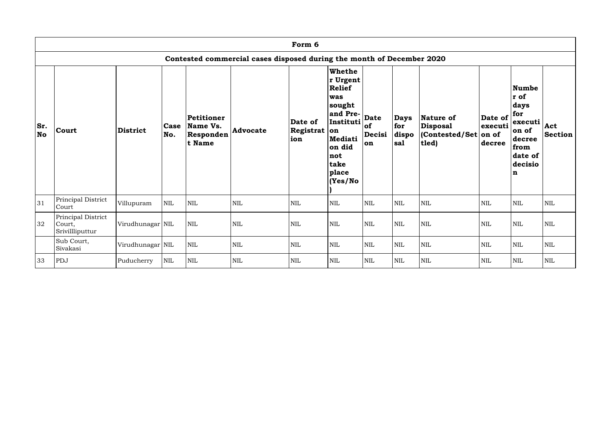|                  |                                                 |                  |              |                                               |                                                                       | Form 6                         |                                                                                                                                              |                                   |                                    |                                                               |                              |                                                                                                         |                       |
|------------------|-------------------------------------------------|------------------|--------------|-----------------------------------------------|-----------------------------------------------------------------------|--------------------------------|----------------------------------------------------------------------------------------------------------------------------------------------|-----------------------------------|------------------------------------|---------------------------------------------------------------|------------------------------|---------------------------------------------------------------------------------------------------------|-----------------------|
|                  |                                                 |                  |              |                                               | Contested commercial cases disposed during the month of December 2020 |                                |                                                                                                                                              |                                   |                                    |                                                               |                              |                                                                                                         |                       |
| Sr.<br><b>No</b> | Court                                           | District         | Case<br>No.  | Petitioner<br>Name Vs.<br>Responden<br>t Name | <b>Advocate</b>                                                       | Date of<br>Registrat on<br>ion | Whethe<br>r Urgent<br><b>Relief</b><br>was<br>sought<br>and Pre-<br>Instituti<br><b>Mediati</b><br>on did<br>not<br>take<br>place<br>(Yes/No | <b>Date</b><br>of<br>Decisi<br>on | <b>Days</b><br>for<br>dispo<br>sal | Nature of<br><b>Disposal</b><br>(Contested/Set on of<br>tled) | Date of<br>executi<br>decree | Numbe<br>r of<br>days<br>for<br>executi<br>on of<br>decree<br>from<br>date of<br>decisio<br>$\mathbf n$ | Act<br><b>Section</b> |
| 31               | Principal District<br>Court                     | Villupuram       | $\mbox{NIL}$ | NIL                                           | $\mbox{NIL}$                                                          | NIL                            | <b>NIL</b>                                                                                                                                   | $\mbox{NIL}$                      | $\mbox{NIL}$                       | <b>NIL</b>                                                    | <b>NIL</b>                   | <b>NIL</b>                                                                                              | $\mbox{NIL}$          |
| 32               | Principal District<br>Court,<br>Srivillliputtur | Virudhunagar NIL |              | $\mbox{NIL}$                                  | $\mbox{NIL}$                                                          | $\mbox{NIL}$                   | <b>NIL</b>                                                                                                                                   | $\mbox{NIL}$                      | $\mbox{NIL}$                       | <b>NIL</b>                                                    | $\mbox{NIL}$                 | <b>NIL</b>                                                                                              | $\mbox{NIL}$          |
|                  | Sub Court,<br>Sivakasi                          | Virudhunagar NIL |              | $\mbox{NIL}$                                  | $\mbox{NIL}$                                                          | NIL                            | <b>NIL</b>                                                                                                                                   | <b>NIL</b>                        | $\mbox{NIL}$                       | <b>NIL</b>                                                    | $\text{NIL}$                 | <b>NIL</b>                                                                                              | <b>NIL</b>            |
| 33               | PDJ                                             | Puducherry       | <b>NIL</b>   | $\mbox{NIL}$                                  | $\mbox{NIL}$                                                          | NIL                            | <b>NIL</b>                                                                                                                                   | <b>NIL</b>                        | $\mbox{NIL}$                       | <b>NIL</b>                                                    | <b>NIL</b>                   | <b>NIL</b>                                                                                              | $\mbox{NIL}$          |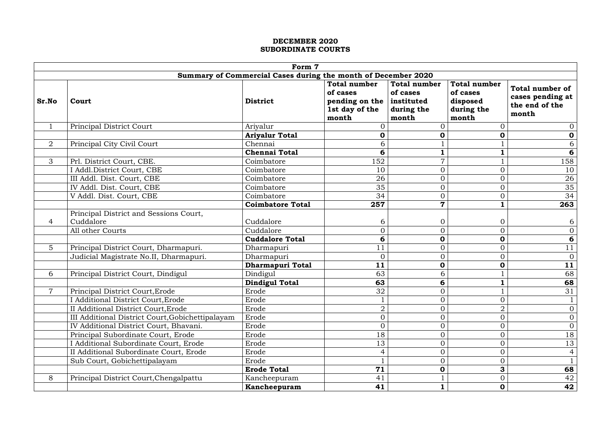|                | Form 7                                                        |                         |                               |                         |                     |                        |  |  |  |
|----------------|---------------------------------------------------------------|-------------------------|-------------------------------|-------------------------|---------------------|------------------------|--|--|--|
|                | Summary of Commercial Cases during the month of December 2020 |                         |                               |                         |                     |                        |  |  |  |
|                |                                                               |                         | <b>Total number</b>           | <b>Total number</b>     | <b>Total number</b> | <b>Total number of</b> |  |  |  |
|                |                                                               |                         | of cases                      | of cases                | of cases            | cases pending at       |  |  |  |
| Sr.No          | Court                                                         | <b>District</b>         | pending on the $ $ instituted |                         | disposed            | the end of the         |  |  |  |
|                |                                                               |                         | 1st day of the                | during the              | during the          | month                  |  |  |  |
|                |                                                               |                         | month                         | month                   | month               |                        |  |  |  |
| $\mathbf{1}$   | Principal District Court                                      | Ariyalur                |                               | $\Omega$                | $\Omega$            | $\overline{0}$         |  |  |  |
|                |                                                               | <b>Ariyalur Total</b>   | $\mathbf 0$                   | $\mathbf 0$             | $\mathbf 0$         | $\mathbf 0$            |  |  |  |
| $\overline{2}$ | Principal City Civil Court                                    | Chennai                 | 6                             |                         |                     | 6                      |  |  |  |
|                |                                                               | <b>Chennai Total</b>    | 6                             | $\mathbf 1$             |                     | 6                      |  |  |  |
| $\mathcal{S}$  | Prl. District Court, CBE.                                     | Coimbatore              | 152                           | $\overline{7}$          |                     | 158                    |  |  |  |
|                | I Addl. District Court, CBE                                   | Coimbatore              | 10                            | $\overline{0}$          | $\overline{0}$      | 10                     |  |  |  |
|                | III Addl. Dist. Court, CBE                                    | Coimbatore              | 26                            | $\overline{0}$          | $\overline{0}$      | 26                     |  |  |  |
|                | IV Addl. Dist. Court, CBE                                     | Coimbatore              | 35                            | $\overline{0}$          | $\overline{0}$      | 35                     |  |  |  |
|                | V Addl. Dist. Court, CBE                                      | Coimbatore              | 34                            | $\overline{0}$          | $\overline{0}$      | 34                     |  |  |  |
|                |                                                               | <b>Coimbatore Total</b> | 257                           | $\overline{\mathbf{7}}$ | $\mathbf{1}$        | 263                    |  |  |  |
|                | Principal District and Sessions Court,                        |                         |                               |                         |                     |                        |  |  |  |
| $\overline{4}$ | Cuddalore                                                     | Cuddalore               | 6                             | $\overline{0}$          | $\overline{0}$      | 6                      |  |  |  |
|                | All other Courts                                              | Cuddalore               | $\overline{0}$                | $\overline{0}$          | $\overline{0}$      | $\overline{0}$         |  |  |  |
|                |                                                               | <b>Cuddalore Total</b>  | 6                             | $\mathbf 0$             | $\boldsymbol{0}$    | 6                      |  |  |  |
| 5              | Principal District Court, Dharmapuri.                         | Dharmapuri              | 11                            | $\overline{0}$          | $\overline{0}$      | 11                     |  |  |  |
|                | Judicial Magistrate No.II, Dharmapuri.                        | Dharmapuri              | $\overline{0}$                | $\overline{0}$          | $\overline{0}$      | $\mathbf{0}$           |  |  |  |
|                |                                                               | <b>Dharmapuri Total</b> | 11                            | $\mathbf 0$             | $\mathbf 0$         | 11                     |  |  |  |
| 6              | Principal District Court, Dindigul                            | Dindigul                | 63                            | 6                       |                     | 68                     |  |  |  |
|                |                                                               | <b>Dindigul Total</b>   | 63                            | 6                       | $\mathbf{1}$        | 68                     |  |  |  |
| $\overline{ }$ | Principal District Court, Erode                               | Erode                   | 32                            | $\overline{0}$          |                     | 31                     |  |  |  |
|                | Additional District Court, Erode                              | Erode                   |                               | $\overline{0}$          | $\overline{0}$      |                        |  |  |  |
|                | II Additional District Court, Erode                           | Erode                   | $\overline{2}$                | $\overline{0}$          | $\overline{2}$      | $\overline{0}$         |  |  |  |
|                | III Additional District Court, Gobichettipalayam              | Erode                   | $\overline{0}$                | $\overline{0}$          | $\overline{0}$      | $\overline{O}$         |  |  |  |
|                | IV Additional District Court, Bhavani.                        | Erode                   | $\overline{0}$                | $\theta$                | $\Omega$            | $\overline{0}$         |  |  |  |
|                | Principal Subordinate Court, Erode                            | Erode                   | 18                            | $\overline{0}$          | $\overline{0}$      | 18                     |  |  |  |
|                | Additional Subordinate Court, Erode                           | Erode                   | 13                            | $\overline{0}$          | $\overline{0}$      | 13                     |  |  |  |
|                | II Additional Subordinate Court, Erode                        | Erode                   | $\overline{4}$                | $\overline{0}$          | $\overline{0}$      | $\overline{4}$         |  |  |  |
|                | Sub Court, Gobichettipalayam                                  | Erode                   |                               | $\overline{0}$          | $\overline{0}$      | $\mathbf{1}$           |  |  |  |
|                |                                                               | <b>Erode Total</b>      | 71                            | $\mathbf 0$             | 3                   | 68                     |  |  |  |
| 8              | Principal District Court, Chengalpattu                        | Kancheepuram            | 41                            |                         | $\overline{0}$      | 42                     |  |  |  |
|                |                                                               | Kancheepuram            | 41                            | $\mathbf{1}$            | $\mathbf 0$         | 42                     |  |  |  |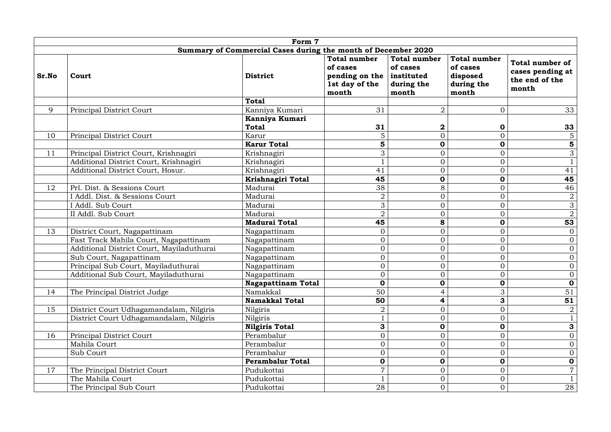|                                                               | Form 7                                    |                                |                                                                              |                                                                        |                                                                    |                                                                       |  |
|---------------------------------------------------------------|-------------------------------------------|--------------------------------|------------------------------------------------------------------------------|------------------------------------------------------------------------|--------------------------------------------------------------------|-----------------------------------------------------------------------|--|
| Summary of Commercial Cases during the month of December 2020 |                                           |                                |                                                                              |                                                                        |                                                                    |                                                                       |  |
| Sr.No                                                         | Court                                     | <b>District</b>                | <b>Total number</b><br>of cases<br>pending on the<br>1st day of the<br>month | <b>Total number</b><br>of cases<br>  instituted<br>during the<br>month | <b>Total number</b><br>of cases<br>disposed<br>during the<br>month | <b>Total number of</b><br>cases pending at<br>the end of the<br>month |  |
|                                                               |                                           | <b>Total</b>                   |                                                                              |                                                                        |                                                                    |                                                                       |  |
| 9                                                             | <b>Principal District Court</b>           | Kanniya Kumari                 | 31                                                                           | $\overline{2}$                                                         | $\Omega$                                                           | 33                                                                    |  |
|                                                               |                                           | Kanniya Kumari<br><b>Total</b> | 31                                                                           | $\bf{2}$                                                               | $\mathbf 0$                                                        | 33                                                                    |  |
| 10                                                            | Principal District Court                  | Karur                          | 5                                                                            | $\overline{0}$                                                         | $\overline{0}$                                                     | $5\phantom{.}$                                                        |  |
|                                                               |                                           | <b>Karur Total</b>             | 5                                                                            | $\mathbf 0$                                                            | $\boldsymbol{0}$                                                   | 5                                                                     |  |
| 11                                                            | Principal District Court, Krishnagiri     | Krishnagiri                    | 3                                                                            | $\overline{0}$                                                         | $\overline{0}$                                                     | 3                                                                     |  |
|                                                               | Additional District Court, Krishnagiri    | Krishnagiri                    |                                                                              | $\overline{0}$                                                         | $\overline{0}$                                                     | $\mathbf{1}$                                                          |  |
|                                                               | Additional District Court, Hosur.         | Krishnagiri                    | 41                                                                           | $\overline{0}$                                                         | $\overline{0}$                                                     | 41                                                                    |  |
|                                                               |                                           | Krishnagiri Total              | 45                                                                           | $\mathbf 0$                                                            | $\mathbf 0$                                                        | 45                                                                    |  |
| 12                                                            | Prl. Dist. & Sessions Court               | Madurai                        | 38                                                                           | 8                                                                      | $\overline{0}$                                                     | 46                                                                    |  |
|                                                               | I Addl. Dist. & Sessions Court            | Madurai                        | $\overline{2}$                                                               | $\overline{0}$                                                         | $\overline{0}$                                                     | $\overline{a}$                                                        |  |
|                                                               | I Addl. Sub Court                         | Madurai                        | 3                                                                            | $\overline{0}$                                                         | $\Omega$                                                           | 3                                                                     |  |
|                                                               | II Addl. Sub Court                        | Madurai                        | $\overline{2}$                                                               | $\overline{0}$                                                         | $\overline{0}$                                                     | $\overline{2}$                                                        |  |
|                                                               |                                           | <b>Madurai Total</b>           | 45                                                                           | 8                                                                      | $\mathbf 0$                                                        | 53                                                                    |  |
| 13                                                            | District Court, Nagapattinam              | Nagapattinam                   | $\overline{0}$                                                               | $\overline{0}$                                                         | $\overline{0}$                                                     | $\overline{0}$                                                        |  |
|                                                               | Fast Track Mahila Court, Nagapattinam     | Nagapattinam                   | $\overline{0}$                                                               | $\overline{O}$                                                         | $\overline{0}$                                                     | $\overline{0}$                                                        |  |
|                                                               | Additional District Court, Mayiladuthurai | Nagapattinam                   | $\overline{0}$                                                               | $\overline{O}$                                                         | $\Omega$                                                           | $\overline{0}$                                                        |  |
|                                                               | Sub Court, Nagapattinam                   | Nagapattinam                   | $\overline{0}$                                                               | $\overline{0}$                                                         | $\overline{0}$                                                     | $\overline{O}$                                                        |  |
|                                                               | Principal Sub Court, Mayiladuthurai       | Nagapattinam                   | $\overline{0}$                                                               | $\overline{0}$                                                         | $\overline{O}$                                                     | $\overline{0}$                                                        |  |
|                                                               | Additional Sub Court, Mayiladuthurai      | Nagapattinam                   | $\overline{0}$                                                               | $\overline{0}$                                                         | $\Omega$                                                           | $\overline{0}$                                                        |  |
|                                                               |                                           | <b>Nagapattinam Total</b>      | $\mathbf 0$                                                                  | $\mathbf 0$                                                            | $\mathbf 0$                                                        | $\mathbf 0$                                                           |  |
| 14                                                            | The Principal District Judge              | Namakkal                       | 50                                                                           | $\overline{4}$                                                         | 3                                                                  | 51                                                                    |  |
|                                                               |                                           | <b>Namakkal Total</b>          | 50                                                                           | 4                                                                      | 3                                                                  | 51                                                                    |  |
| 15                                                            | District Court Udhagamandalam, Nilgiris   | Nilgiris                       | $\overline{2}$                                                               | $\overline{0}$                                                         | $\overline{0}$                                                     | $\overline{2}$                                                        |  |
|                                                               | District Court Udhagamandalam, Nilgiris   | Nilgiris                       |                                                                              | $\overline{0}$                                                         | $\Omega$                                                           | $\mathbf{1}$                                                          |  |
|                                                               |                                           | <b>Nilgiris Total</b>          | 3                                                                            | $\mathbf 0$                                                            | $\mathbf 0$                                                        | 3                                                                     |  |
| 16                                                            | Principal District Court                  | Perambalur                     | $\overline{0}$                                                               | $\overline{0}$                                                         | $\overline{0}$                                                     | $\overline{0}$                                                        |  |
|                                                               | Mahila Court                              | Perambalur                     | $\overline{0}$                                                               | $\overline{0}$                                                         | $\overline{0}$                                                     | $\overline{0}$                                                        |  |
|                                                               | Sub Court                                 | Perambalur                     | $\overline{0}$                                                               | $\overline{0}$                                                         | $\Omega$                                                           | $\overline{0}$                                                        |  |
|                                                               |                                           | <b>Perambalur Total</b>        | 0                                                                            | $\mathbf 0$                                                            | $\mathbf 0$                                                        | $\mathbf 0$                                                           |  |
| 17                                                            | The Principal District Court              | Pudukottai                     | $\overline{7}$                                                               | $\overline{0}$                                                         | $\overline{0}$                                                     | $\overline{7}$                                                        |  |
|                                                               | The Mahila Court                          | Pudukottai                     |                                                                              | $\overline{0}$                                                         | $\overline{0}$                                                     | $\mathbf{1}$                                                          |  |
|                                                               | The Principal Sub Court                   | Pudukottai                     | 28                                                                           | $\overline{0}$                                                         | $\overline{0}$                                                     | 28                                                                    |  |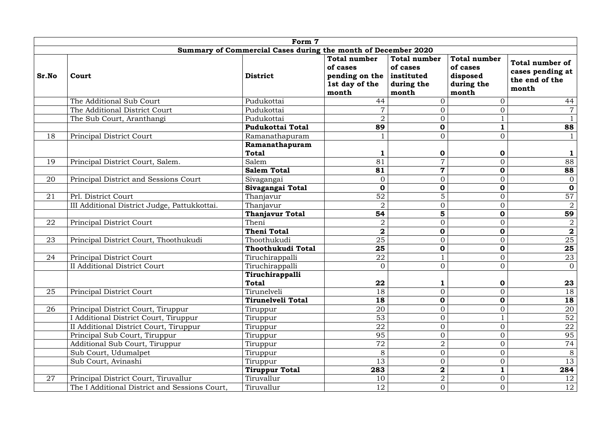|                                                               | Form 7                                        |                                 |                                                                                         |                                                        |                                                                    |                                                                       |  |  |
|---------------------------------------------------------------|-----------------------------------------------|---------------------------------|-----------------------------------------------------------------------------------------|--------------------------------------------------------|--------------------------------------------------------------------|-----------------------------------------------------------------------|--|--|
| Summary of Commercial Cases during the month of December 2020 |                                               |                                 |                                                                                         |                                                        |                                                                    |                                                                       |  |  |
| Sr.No                                                         | Court                                         | <b>District</b>                 | <b>Total number</b><br>of cases<br>pending on the instituted<br>1st day of the<br>month | <b>Total number</b><br>of cases<br>during the<br>month | <b>Total number</b><br>of cases<br>disposed<br>during the<br>month | <b>Total number of</b><br>cases pending at<br>the end of the<br>month |  |  |
|                                                               | The Additional Sub Court                      | Pudukottai                      | 44                                                                                      | $\overline{0}$                                         | $\overline{0}$                                                     | 44                                                                    |  |  |
|                                                               | The Additional District Court                 | Pudukottai                      | $\overline{7}$                                                                          | $\overline{0}$                                         | $\overline{0}$                                                     | $\overline{7}$                                                        |  |  |
|                                                               | The Sub Court, Aranthangi                     | Pudukottai                      | $\overline{2}$                                                                          | $\overline{0}$                                         |                                                                    |                                                                       |  |  |
|                                                               |                                               | <b>Pudukottai Total</b>         | 89                                                                                      | $\mathbf 0$                                            |                                                                    | 88                                                                    |  |  |
| 18                                                            | Principal District Court                      | Ramanathapuram                  |                                                                                         | $\overline{0}$                                         | $\overline{0}$                                                     |                                                                       |  |  |
|                                                               |                                               | Ramanathapuram<br><b>Total</b>  |                                                                                         | $\mathbf 0$                                            | $\mathbf 0$                                                        |                                                                       |  |  |
| 19                                                            | Principal District Court, Salem.              | Salem                           | 81                                                                                      | $\overline{7}$                                         | $\overline{0}$                                                     | 88                                                                    |  |  |
|                                                               |                                               | <b>Salem Total</b>              | 81                                                                                      | $\mathbf 7$                                            | $\mathbf 0$                                                        | 88                                                                    |  |  |
| 20                                                            | Principal District and Sessions Court         | Sivagangai                      | $\overline{0}$                                                                          | $\overline{0}$                                         | $\overline{0}$                                                     | $\overline{0}$                                                        |  |  |
|                                                               |                                               | Sivagangai Total                | $\mathbf 0$                                                                             | $\mathbf 0$                                            | $\mathbf 0$                                                        | $\mathbf 0$                                                           |  |  |
| 21                                                            | Prl. District Court                           | Thanjavur                       | 52                                                                                      | 5                                                      | $\overline{0}$                                                     | 57                                                                    |  |  |
|                                                               | III Additional District Judge, Pattukkottai.  | Thanjavur                       | $\overline{2}$                                                                          | $\overline{0}$                                         | $\overline{0}$                                                     | $\overline{2}$                                                        |  |  |
|                                                               |                                               | <b>Thanjavur Total</b>          | 54                                                                                      | 5                                                      | $\mathbf 0$                                                        | 59                                                                    |  |  |
| 22                                                            | Principal District Court                      | Theni                           | $\overline{2}$                                                                          | $\overline{0}$                                         | $\overline{0}$                                                     | $\sqrt{2}$                                                            |  |  |
|                                                               |                                               | <b>Theni Total</b>              | $\overline{\mathbf{2}}$                                                                 | $\mathbf 0$                                            | $\mathbf 0$                                                        | $\boldsymbol{2}$                                                      |  |  |
| 23                                                            | Principal District Court, Thoothukudi         | Thoothukudi                     | 25                                                                                      | $\overline{0}$                                         | $\overline{0}$                                                     | 25                                                                    |  |  |
|                                                               |                                               | <b>Thoothukudi Total</b>        | 25                                                                                      | $\mathbf 0$                                            | $\mathbf 0$                                                        | 25                                                                    |  |  |
| 24                                                            | Principal District Court                      | Tiruchirappalli                 | 22                                                                                      | $\mathbf{1}$                                           | $\overline{0}$                                                     | 23                                                                    |  |  |
|                                                               | II Additional District Court                  | Tiruchirappalli                 | $\overline{0}$                                                                          | $\Omega$<br>$\cup$                                     | $\boldsymbol{0}$                                                   | $\overline{0}$                                                        |  |  |
|                                                               |                                               | Tiruchirappalli<br><b>Total</b> | 22                                                                                      | $\mathbf{1}$                                           | $\mathbf 0$                                                        | 23                                                                    |  |  |
| 25                                                            | Principal District Court                      | Tirunelveli                     | 18                                                                                      | $\overline{0}$                                         | $\overline{0}$                                                     | 18                                                                    |  |  |
|                                                               |                                               | Tirunelveli Total               | 18                                                                                      | $\mathbf 0$                                            | $\mathbf 0$                                                        | 18                                                                    |  |  |
| 26                                                            | Principal District Court, Tiruppur            | Tiruppur                        | 20                                                                                      | $\boldsymbol{0}$                                       | $\overline{0}$                                                     | 20                                                                    |  |  |
|                                                               | I Additional District Court, Tiruppur         | Tiruppur                        | 53                                                                                      | $\mathbf{0}$                                           |                                                                    | 52                                                                    |  |  |
|                                                               | II Additional District Court, Tiruppur        | Tiruppur                        | 22                                                                                      | $\boldsymbol{0}$                                       | $\overline{0}$                                                     | 22                                                                    |  |  |
|                                                               | Principal Sub Court, Tiruppur                 | Tiruppur                        | 95                                                                                      | $\boldsymbol{0}$                                       | $\overline{0}$                                                     | 95                                                                    |  |  |
|                                                               | <b>Additional Sub Court, Tiruppur</b>         | Tiruppur                        | 72                                                                                      | $\overline{2}$                                         | $\overline{0}$                                                     | 74                                                                    |  |  |
|                                                               | Sub Court, Udumalpet                          | Tiruppur                        | 8                                                                                       | $\overline{0}$                                         | $\overline{0}$                                                     | $8\,$                                                                 |  |  |
|                                                               | Sub Court, Avinashi                           | Tiruppur                        | 13                                                                                      | $\overline{0}$                                         | $\overline{0}$                                                     | 13                                                                    |  |  |
|                                                               |                                               | <b>Tiruppur Total</b>           | 283                                                                                     | $\boldsymbol{2}$                                       |                                                                    | 284                                                                   |  |  |
| 27                                                            | Principal District Court, Tiruvallur          | Tiruvallur                      | 10                                                                                      | $\overline{2}$                                         | $\overline{0}$                                                     | 12                                                                    |  |  |
|                                                               | The I Additional District and Sessions Court, | Tiruvallur                      | 12                                                                                      | $\overline{0}$                                         | $\overline{0}$                                                     | 12                                                                    |  |  |